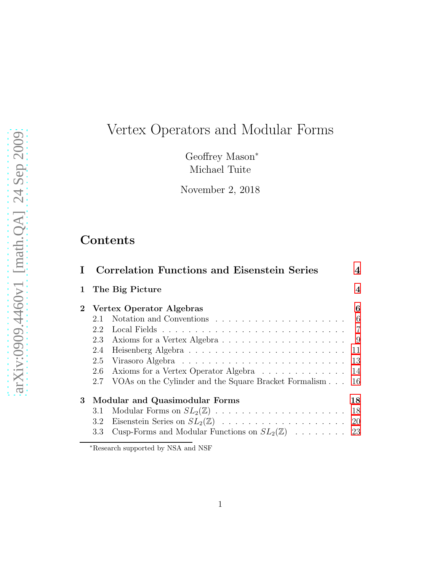# Vertex Operators and Modular Forms

Geoffrey Mason<sup>∗</sup> Michael Tuite

November 2, 2018

# Contents

|               |              | 4                                                                                                                                                                                                                                                                                                                                                                                                                          |
|---------------|--------------|----------------------------------------------------------------------------------------------------------------------------------------------------------------------------------------------------------------------------------------------------------------------------------------------------------------------------------------------------------------------------------------------------------------------------|
|               |              | $\overline{4}$                                                                                                                                                                                                                                                                                                                                                                                                             |
|               |              | 6                                                                                                                                                                                                                                                                                                                                                                                                                          |
| 2.1           |              |                                                                                                                                                                                                                                                                                                                                                                                                                            |
| 2.2           |              |                                                                                                                                                                                                                                                                                                                                                                                                                            |
| 2.3           |              |                                                                                                                                                                                                                                                                                                                                                                                                                            |
| 2.4           |              | 11                                                                                                                                                                                                                                                                                                                                                                                                                         |
| 2.5           |              | 13                                                                                                                                                                                                                                                                                                                                                                                                                         |
| 2.6           |              |                                                                                                                                                                                                                                                                                                                                                                                                                            |
| 2.7           |              | -16                                                                                                                                                                                                                                                                                                                                                                                                                        |
|               |              | 18                                                                                                                                                                                                                                                                                                                                                                                                                         |
| 3.1           |              | 18                                                                                                                                                                                                                                                                                                                                                                                                                         |
| $3.2^{\circ}$ |              | <b>20</b>                                                                                                                                                                                                                                                                                                                                                                                                                  |
| 3.3           |              |                                                                                                                                                                                                                                                                                                                                                                                                                            |
|               | $\mathbf{1}$ | <b>Correlation Functions and Eisenstein Series</b><br>The Big Picture<br>Vertex Operator Algebras<br>Notation and Conventions $\ldots \ldots \ldots \ldots \ldots \ldots \ldots$<br>Axioms for a Vertex Operator Algebra 14<br>VOAs on the Cylinder and the Square Bracket Formalism<br>Modular and Quasimodular Forms<br>Modular Forms on $SL_2(\mathbb{Z})$<br>Cusp-Forms and Modular Functions on $SL_2(\mathbb{Z})$ 23 |

<sup>∗</sup>Research supported by NSA and NSF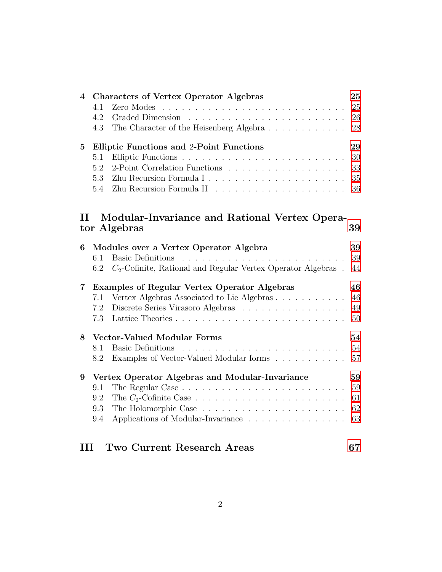| $\overline{\mathbf{4}}$ | <b>Characters of Vertex Operator Algebras</b>                                                  | 25     |
|-------------------------|------------------------------------------------------------------------------------------------|--------|
|                         | 4.1<br>Zero Modes<br><u>. A series and a series and a series and a series and a series and</u> | 25     |
|                         | 4.2                                                                                            | 26     |
|                         | The Character of the Heisenberg Algebra<br>4.3                                                 | 28     |
| $\bf{5}$                | <b>Elliptic Functions and 2-Point Functions</b>                                                | 29     |
|                         | 5.1                                                                                            | 30     |
|                         | 2-Point Correlation Functions<br>5.2                                                           | 33     |
|                         | 5.3                                                                                            | $35\,$ |
|                         | 5.4                                                                                            | 36     |
|                         |                                                                                                |        |
| $\mathbf{H}$            | Modular-Invariance and Rational Vertex Opera-                                                  |        |
|                         | tor Algebras                                                                                   | 39     |
| 6                       | Modules over a Vertex Operator Algebra                                                         | 39     |
|                         | <b>Basic Definitions</b><br>6.1                                                                | 39     |
|                         | $C_2$ -Cofinite, Rational and Regular Vertex Operator Algebras.<br>6.2                         | 44     |
| 7                       | <b>Examples of Regular Vertex Operator Algebras</b>                                            | 46     |
|                         | Vertex Algebras Associated to Lie Algebras<br>7.1                                              | 46     |
|                         | Discrete Series Virasoro Algebras<br>7.2                                                       | 49     |
|                         | 7.3                                                                                            | 50     |
| 8                       | Vector-Valued Modular Forms                                                                    | 54     |
|                         | 8.1<br><b>Basic Definitions</b>                                                                | 54     |
|                         | Examples of Vector-Valued Modular forms<br>8.2                                                 | 57     |
| 9                       | Vertex Operator Algebras and Modular-Invariance                                                | 59     |
|                         | 9.1                                                                                            | 59     |
|                         | 9.2                                                                                            | 61     |
|                         | 9.3                                                                                            | 62     |
|                         | Applications of Modular-Invariance<br>9.4                                                      | 63     |
|                         |                                                                                                |        |
| ш                       | Two Current Research Areas                                                                     | 67     |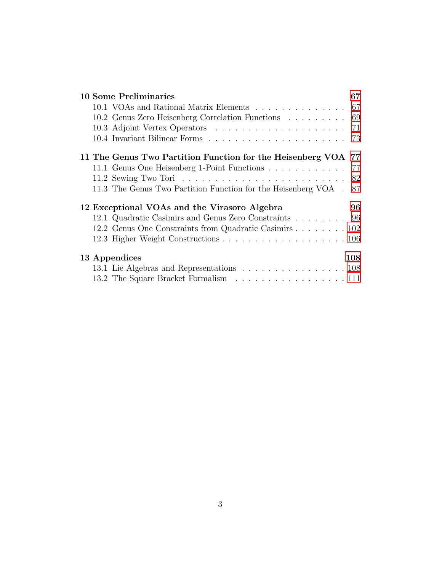| <b>10 Some Preliminaries</b>                                      | 67  |
|-------------------------------------------------------------------|-----|
| 10.1 VOAs and Rational Matrix Elements 67                         |     |
| 10.2 Genus Zero Heisenberg Correlation Functions 69               |     |
|                                                                   |     |
|                                                                   |     |
| 11 The Genus Two Partition Function for the Heisenberg VOA 77     |     |
| 11.1 Genus One Heisenberg 1-Point Functions 77                    |     |
|                                                                   | 82  |
| 11.3 The Genus Two Partition Function for the Heisenberg VOA . 87 |     |
| 12 Exceptional VOAs and the Virasoro Algebra                      | 96  |
| 12.1 Quadratic Casimirs and Genus Zero Constraints 96             |     |
| 12.2 Genus One Constraints from Quadratic Casimirs 102            |     |
|                                                                   |     |
| 13 Appendices                                                     | 108 |
| 13.1 Lie Algebras and Representations 108                         |     |
| 13.2 The Square Bracket Formalism 111                             |     |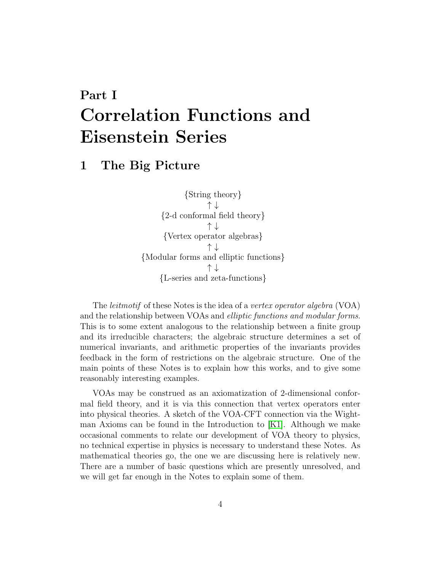# <span id="page-3-0"></span>Part I Correlation Functions and Eisenstein Series

# <span id="page-3-1"></span>1 The Big Picture

{String theory} ↑ ↓ {2-d conformal field theory} ↑ ↓ {Vertex operator algebras} ↑ ↓ {Modular forms and elliptic functions} ↑ ↓ {L-series and zeta-functions}

The *leitmotif* of these Notes is the idea of a vertex operator algebra (VOA) and the relationship between VOAs and elliptic functions and modular forms. This is to some extent analogous to the relationship between a finite group and its irreducible characters; the algebraic structure determines a set of numerical invariants, and arithmetic properties of the invariants provides feedback in the form of restrictions on the algebraic structure. One of the main points of these Notes is to explain how this works, and to give some reasonably interesting examples.

VOAs may be construed as an axiomatization of 2-dimensional conformal field theory, and it is via this connection that vertex operators enter into physical theories. A sketch of the VOA-CFT connection via the Wightman Axioms can be found in the Introduction to [\[K1\]](#page-114-0). Although we make occasional comments to relate our development of VOA theory to physics, no technical expertise in physics is necessary to understand these Notes. As mathematical theories go, the one we are discussing here is relatively new. There are a number of basic questions which are presently unresolved, and we will get far enough in the Notes to explain some of them.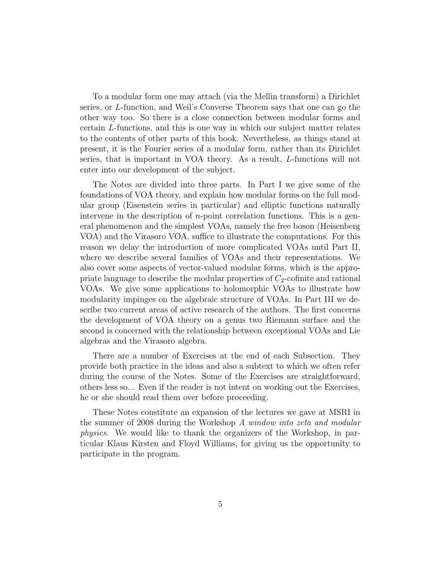To a modular form one may attach (via the Mellin transform) a Dirichlet series, or L-function, and Weil's Converse Theorem says that one can go the other way too. So there is a close connection between modular forms and certain L-functions, and this is one way in which our subject matter relates to the contents of other parts of this book. Nevertheless, as things stand at present, it is the Fourier series of a modular form, rather than its Dirichlet series, that is important in VOA theory. As a result, L-functions will not enter into our development of the subject.

The Notes are divided into three parts. In Part I we give some of the foundations of VOA theory, and explain how modular forms on the full modular group (Eisenstein series in particular) and elliptic functions naturally intervene in the description of  $n$ -point correlation functions. This is a general phenomenon and the simplest VOAs, namely the free boson (Heisenberg VOA) and the Virasoro VOA, suffice to illustrate the computations. For this reason we delay the introduction of more complicated VOAs until Part II, where we describe several families of VOAs and their representations. We also cover some aspects of vector-valued modular forms, which is the appropriate language to describe the modular properties of  $C_2$ -cofinite and rational VOAs. We give some applications to holomorphic VOAs to illustrate how modularity impinges on the algebraic structure of VOAs. In Part III we describe two current areas of active research of the authors. The first concerns the development of VOA theory on a genus two Riemann surface and the second is concerned with the relationship between exceptional VOAs and Lie algebras and the Virasoro algebra.

There are a number of Exercises at the end of each Subsection. They provide both practice in the ideas and also a subtext to which we often refer during the course of the Notes. Some of the Exercises are straightforward, others less so... Even if the reader is not intent on working out the Exercises, he or she should read them over before proceeding.

These Notes constitute an expansion of the lectures we gave at MSRI in the summer of 2008 during the Workshop A window into zeta and modular physics. We would like to thank the organizers of the Workshop, in particular Klaus Kirsten and Floyd Williams, for giving us the opportunity to participate in the program.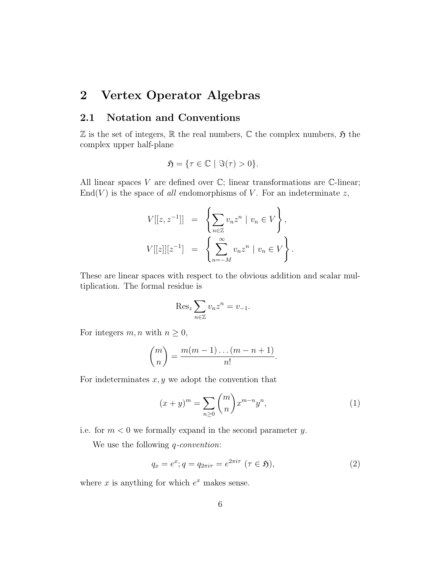# <span id="page-5-1"></span><span id="page-5-0"></span>2 Vertex Operator Algebras

#### 2.1 Notation and Conventions

 $\mathbb Z$  is the set of integers,  $\mathbb R$  the real numbers,  $\mathbb C$  the complex numbers,  $\mathfrak H$  the complex upper half-plane

$$
\mathfrak{H} = \{ \tau \in \mathbb{C} \mid \Im(\tau) > 0 \}.
$$

All linear spaces V are defined over  $\mathbb{C}$ ; linear transformations are  $\mathbb{C}$ -linear;  $End(V)$  is the space of all endomorphisms of V. For an indeterminate z,

$$
V[[z, z^{-1}]] = \left\{ \sum_{n \in \mathbb{Z}} v_n z^n \mid v_n \in V \right\},
$$
  

$$
V[[z]][z^{-1}] = \left\{ \sum_{n=-M}^{\infty} v_n z^n \mid v_n \in V \right\}.
$$

These are linear spaces with respect to the obvious addition and scalar multiplication. The formal residue is

$$
\operatorname{Res}_{z} \sum_{n \in \mathbb{Z}} v_n z^n = v_{-1}.
$$

For integers  $m, n$  with  $n \geq 0$ ,

$$
\binom{m}{n} = \frac{m(m-1)\dots(m-n+1)}{n!}.
$$

For indeterminates  $x, y$  we adopt the convention that

<span id="page-5-2"></span>
$$
(x+y)^m = \sum_{n\geq 0} \binom{m}{n} x^{m-n} y^n,
$$
\n(1)

i.e. for  $m < 0$  we formally expand in the second parameter y.

We use the following *q*-convention:

<span id="page-5-3"></span>
$$
q_x = e^x; q = q_{2\pi i\tau} = e^{2\pi i\tau} \ (\tau \in \mathfrak{H}), \tag{2}
$$

where  $x$  is anything for which  $e^x$  makes sense.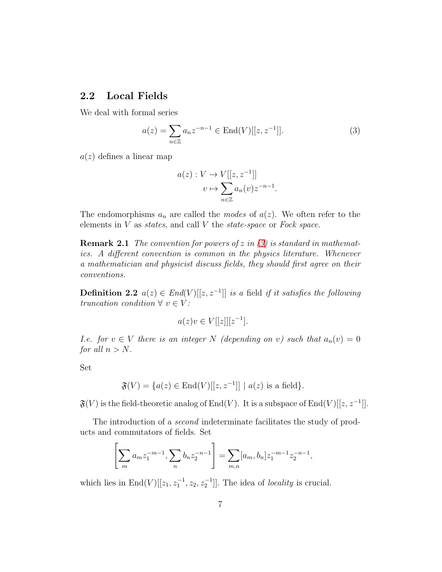#### <span id="page-6-0"></span>2.2 Local Fields

We deal with formal series

<span id="page-6-1"></span>
$$
a(z) = \sum_{n \in \mathbb{Z}} a_n z^{-n-1} \in \text{End}(V)[[z, z^{-1}]].
$$
 (3)

 $a(z)$  defines a linear map

$$
a(z) : V \to V[[z, z^{-1}]]
$$

$$
v \mapsto \sum_{n \in \mathbb{Z}} a_n(v) z^{-n-1}.
$$

The endomorphisms  $a_n$  are called the *modes* of  $a(z)$ . We often refer to the elements in  $V$  as states, and call  $V$  the state-space or Fock space.

**Remark 2.1** The convention for powers of z in  $(3)$  is standard in mathematics. A different convention is common in the physics literature. Whenever a mathematician and physicist discuss fields, they should first agree on their conventions.

**Definition 2.2**  $a(z) \in End(V)[[z, z^{-1}]]$  is a field if it satisfies the following truncation condition  $\forall v \in V$ :

$$
a(z)v \in V[[z]][z^{-1}].
$$

*I.e.* for  $v \in V$  there is an integer N (depending on v) such that  $a_n(v) = 0$ for all  $n > N$ .

Set

$$
\mathfrak{F}(V) = \{a(z) \in \text{End}(V)[[z, z^{-1}]] \mid a(z) \text{ is a field}\}.
$$

 $\mathfrak{F}(V)$  is the field-theoretic analog of End $(V)$ . It is a subspace of End $(V)[[z,z^{-1}]]$ .

The introduction of a *second* indeterminate facilitates the study of products and commutators of fields. Set

$$
\left[\sum_{m} a_m z_1^{-m-1}, \sum_{n} b_n z_2^{-n-1}\right] = \sum_{m,n} [a_m, b_n] z_1^{-m-1} z_2^{-n-1},
$$

which lies in  $\text{End}(V)[[z_1, z_1^{-1}, z_2, z_2^{-1}]]$ . The idea of *locality* is crucial.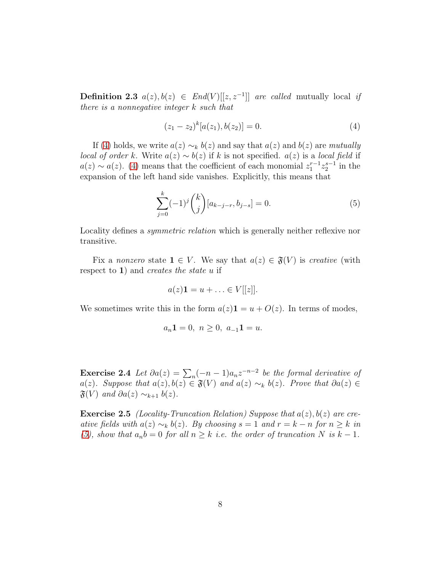**Definition 2.3**  $a(z), b(z) \in End(V)[[z, z^{-1}]]$  are called mutually local if there is a nonnegative integer k such that

<span id="page-7-0"></span>
$$
(z_1 - z_2)^k [a(z_1), b(z_2)] = 0.
$$
 (4)

If [\(4\)](#page-7-0) holds, we write  $a(z) \sim_k b(z)$  and say that  $a(z)$  and  $b(z)$  are mutually *local of order k.* Write  $a(z) \sim b(z)$  if k is not specified.  $a(z)$  is a *local field* if  $a(z) \sim a(z)$ . [\(4\)](#page-7-0) means that the coefficient of each monomial  $z_1^{r-1} z_2^{s-1}$  in the expansion of the left hand side vanishes. Explicitly, this means that

<span id="page-7-1"></span>
$$
\sum_{j=0}^{k} (-1)^{j} {k \choose j} [a_{k-j-r}, b_{j-s}] = 0.
$$
 (5)

Locality defines a *symmetric relation* which is generally neither reflexive nor transitive.

Fix a nonzero state  $1 \in V$ . We say that  $a(z) \in \mathfrak{F}(V)$  is creative (with respect to 1) and *creates the state*  $u$  if

$$
a(z)\mathbf{1}=u+\ldots\in V[[z]].
$$

We sometimes write this in the form  $a(z)\mathbf{1} = u + O(z)$ . In terms of modes,

$$
a_n \mathbf{1} = 0, \ n \ge 0, \ a_{-1} \mathbf{1} = u.
$$

**Exercise 2.4** Let  $\partial a(z) = \sum_n (-n-1)a_n z^{-n-2}$  be the formal derivative of a(z). Suppose that  $a(z)$ ,  $b(z) \in \mathfrak{F}(V)$  and  $a(z) \sim_k b(z)$ . Prove that  $\partial a(z) \in$  $\mathfrak{F}(V)$  and  $\partial a(z) \sim_{k+1} b(z)$ .

<span id="page-7-2"></span>**Exercise 2.5** (Locality-Truncation Relation) Suppose that  $a(z)$ ,  $b(z)$  are creative fields with  $a(z) \sim_k b(z)$ . By choosing  $s = 1$  and  $r = k - n$  for  $n \geq k$  in [\(5\)](#page-7-1), show that  $a_n b = 0$  for all  $n \geq k$  i.e. the order of truncation N is  $k - 1$ .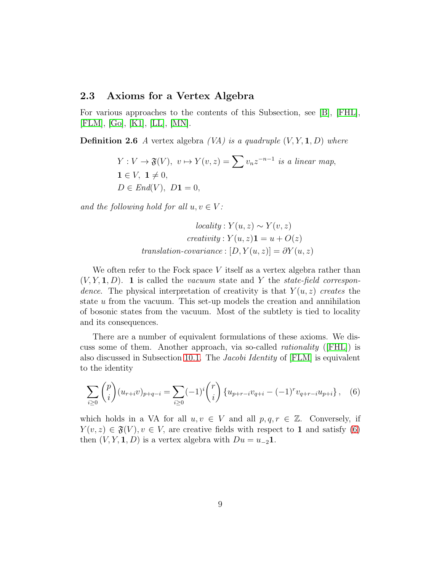#### <span id="page-8-0"></span>2.3 Axioms for a Vertex Algebra

For various approaches to the contents of this Subsection, see [\[B\]](#page-111-0), [\[FHL\]](#page-113-0), [\[FLM\]](#page-113-1), [\[Go\]](#page-114-1), [\[K1\]](#page-114-0), [\[LL\]](#page-115-0), [\[MN\]](#page-115-1).

**Definition 2.6** A vertex algebra  $(VA)$  is a quadruple  $(V, Y, 1, D)$  where

$$
Y: V \to \mathfrak{F}(V), v \mapsto Y(v, z) = \sum v_n z^{-n-1} \text{ is a linear map,}
$$
  

$$
\mathbf{1} \in V, \mathbf{1} \neq 0,
$$
  

$$
D \in End(V), D\mathbf{1} = 0,
$$

and the following hold for all  $u, v \in V$ :

$$
locality: Y(u, z) \sim Y(v, z)
$$
  

$$
creativity: Y(u, z)1 = u + O(z)
$$
  
translation-covariance:  $[D, Y(u, z)] = \partial Y(u, z)$ 

We often refer to the Fock space  $V$  itself as a vertex algebra rather than  $(V, Y, \mathbf{1}, D)$ . 1 is called the vacuum state and Y the state-field correspondence. The physical interpretation of creativity is that  $Y(u, z)$  creates the state  $u$  from the vacuum. This set-up models the creation and annihilation of bosonic states from the vacuum. Most of the subtlety is tied to locality and its consequences.

There are a number of equivalent formulations of these axioms. We discuss some of them. Another approach, via so-called *rationality* ( $|FHL|$ ) is also discussed in Subsection [10.1.](#page-66-2) The Jacobi Identity of [\[FLM\]](#page-113-1) is equivalent to the identity

<span id="page-8-1"></span>
$$
\sum_{i\geq 0} \binom{p}{i} (u_{r+i}v)_{p+q-i} = \sum_{i\geq 0} (-1)^i \binom{r}{i} \{u_{p+r-i}v_{q+i} - (-1)^r v_{q+r-i}u_{p+i}\}, \quad (6)
$$

which holds in a VA for all  $u, v \in V$  and all  $p, q, r \in \mathbb{Z}$ . Conversely, if  $Y(v, z) \in \mathfrak{F}(V), v \in V$ , are creative fields with respect to 1 and satisfy [\(6\)](#page-8-1) then  $(V, Y, \mathbf{1}, D)$  is a vertex algebra with  $Du = u_{-2}\mathbf{1}$ .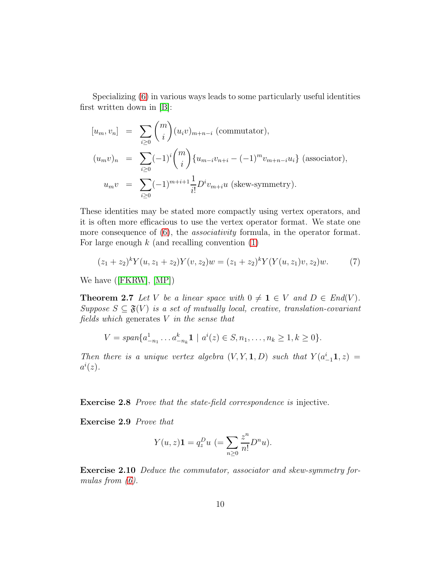Specializing [\(6\)](#page-8-1) in various ways leads to some particularly useful identities first written down in [\[B\]](#page-111-0):

$$
[u_m, v_n] = \sum_{i \ge 0} {m \choose i} (u_i v)_{m+n-i}
$$
 (commutator),  
\n
$$
(u_m v)_n = \sum_{i \ge 0} (-1)^i {m \choose i} \{u_{m-i} v_{n+i} - (-1)^m v_{m+n-i} u_i\}
$$
 (associator),  
\n
$$
u_m v = \sum_{i \ge 0} (-1)^{m+i+1} \frac{1}{i!} D^i v_{m+i} u
$$
 (skew-symmetry).

These identities may be stated more compactly using vertex operators, and it is often more efficacious to use the vertex operator format. We state one more consequence of  $(6)$ , the *associativity* formula, in the operator format. For large enough  $k$  (and recalling convention  $(1)$ )

<span id="page-9-1"></span><span id="page-9-0"></span>
$$
(z_1 + z_2)^k Y(u, z_1 + z_2) Y(v, z_2) w = (z_1 + z_2)^k Y(Y(u, z_1)v, z_2) w.
$$
 (7)

We have([\[FKRW\]](#page-113-2), [\[MP\]](#page-115-2))

**Theorem 2.7** Let V be a linear space with  $0 \neq 1 \in V$  and  $D \in End(V)$ . Suppose  $S \subseteq \mathfrak{F}(V)$  is a set of mutually local, creative, translation-covariant fields which generates  $V$  in the sense that

$$
V = span{a_{-n_1}^1 \dots a_{-n_k}^k \mathbf{1} \mid a^i(z) \in S, n_1, \dots, n_k \ge 1, k \ge 0}.
$$

Then there is a unique vertex algebra  $(V, Y, \mathbf{1}, D)$  such that  $Y(a_{-1}^i \mathbf{1}, z) =$  $a^i(z)$ .

**Exercise 2.8** Prove that the state-field correspondence is injective.

Exercise 2.9 Prove that

$$
Y(u, z)\mathbf{1} = q_z^D u \ (= \sum_{n\geq 0} \frac{z^n}{n!} D^n u).
$$

Exercise 2.10 Deduce the commutator, associator and skew-symmetry formulas from  $(6)$ .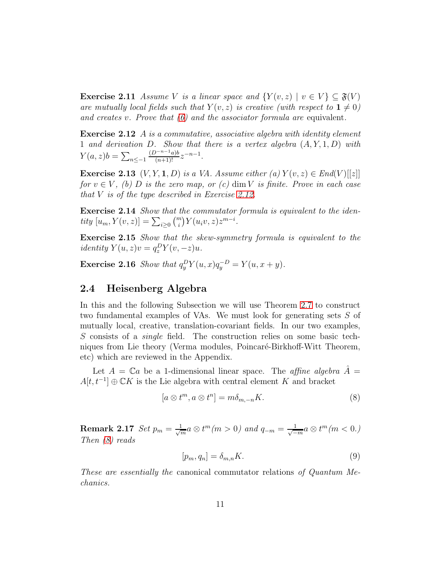**Exercise 2.11** Assume V is a linear space and  $\{Y(v, z) \mid v \in V\} \subseteq \mathfrak{F}(V)$ are mutually local fields such that  $Y(v, z)$  is creative (with respect to  $1 \neq 0$ ) and creates v. Prove that  $(6)$  and the associator formula are equivalent.

<span id="page-10-1"></span>Exercise 2.12 A is a commutative, associative algebra with identity element 1 and derivation D. Show that there is a vertex algebra  $(A, Y, 1, D)$  with  $Y(a, z)b = \sum_{n \leq -1}$  $\frac{(D^{-n-1}a)b}{(n+1)!}z^{-n-1}.$ 

<span id="page-10-4"></span>**Exercise 2.13**  $(V, Y, 1, D)$  is a VA. Assume either (a)  $Y(v, z) \in End(V)[[z]]$ for  $v \in V$ , (b) D is the zero map, or (c) dim V is finite. Prove in each case that  $V$  is of the type described in Exercise [2.12.](#page-10-1)

Exercise 2.14 Show that the commutator formula is equivalent to the identity  $[u_m, Y(v, z)] = \sum_{i \geq 0} {m \choose i} Y(u_i v, z) z^{m-i}.$ 

Exercise 2.15 Show that the skew-symmetry formula is equivalent to the identity  $Y(u, z)v = q_z^D Y(v, -z)u$ .

**Exercise 2.16** Show that  $q_y^D Y(u, x) q_y^{-D} = Y(u, x + y)$ .

#### <span id="page-10-0"></span>2.4 Heisenberg Algebra

In this and the following Subsection we will use Theorem [2.7](#page-9-0) to construct two fundamental examples of VAs. We must look for generating sets S of mutually local, creative, translation-covariant fields. In our two examples, S consists of a *single* field. The construction relies on some basic techniques from Lie theory (Verma modules, Poincaré-Birkhoff-Witt Theorem, etc) which are reviewed in the Appendix.

Let  $A = \mathbb{C}a$  be a 1-dimensional linear space. The *affine algebra*  $\hat{A} =$  $A[t, t^{-1}] \oplus \mathbb{C}K$  is the Lie algebra with central element K and bracket

<span id="page-10-2"></span>
$$
[a \otimes t^m, a \otimes t^n] = m\delta_{m,-n}K.
$$
 (8)

Remark 2.17 Set  $p_m = \frac{1}{\sqrt{2}}$  $\frac{1}{m} a \otimes t^m (m>0)$  and  $q_{-m} = \frac{1}{\sqrt{-\varepsilon}}$  $\frac{1}{-m}a\otimes t^m(m<0.$ Then [\(8\)](#page-10-2) reads

<span id="page-10-3"></span>
$$
[p_m, q_n] = \delta_{m,n} K. \tag{9}
$$

These are essentially the canonical commutator relations of Quantum Mechanics.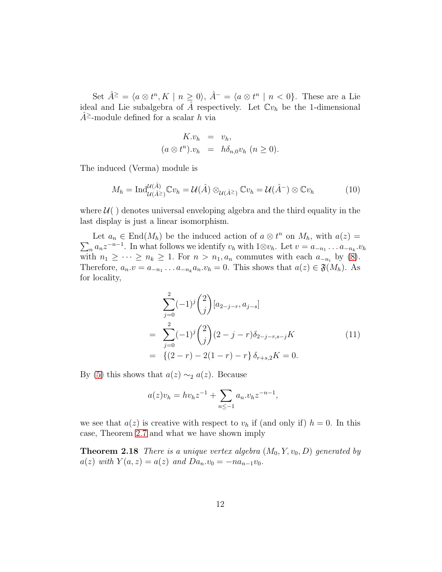Set  $\hat{A}^{\geq} = \langle a \otimes t^n, K \mid n \geq 0 \rangle, \hat{A}^{-} = \langle a \otimes t^n \mid n < 0 \rangle.$  These are a Lie ideal and Lie subalgebra of  $\hat{A}$  respectively. Let  $\mathbb{C}v_h$  be the 1-dimensional  $A^{\ge}$ -module defined for a scalar h via

$$
K.v_h = v_h,
$$
  
\n
$$
(a \otimes t^n).v_h = h\delta_{n,0}v_h \ (n \ge 0).
$$

The induced (Verma) module is

<span id="page-11-1"></span>
$$
M_h = \mathrm{Ind}_{\mathcal{U}(\hat{A}^{\geq})}^{\mathcal{U}(\hat{A})} \mathbb{C}v_h = \mathcal{U}(\hat{A}) \otimes_{\mathcal{U}(\hat{A}^{\geq})} \mathbb{C}v_h = \mathcal{U}(\hat{A}^{-}) \otimes \mathbb{C}v_h \tag{10}
$$

where  $\mathcal{U}(\cdot)$  denotes universal enveloping algebra and the third equality in the last display is just a linear isomorphism.

Let  $a_n \in \text{End}(M_h)$  be the induced action of  $a \otimes t^n$  on  $M_h$ , with  $a(z) =$  $\sum_n a_n z^{-n-1}$ . In what follows we identify  $v_h$  with  $1 \otimes v_h$ . Let  $v = a_{-n_1} \dots a_{-n_k} v_h$ with  $n_1 \geq \cdots \geq n_k \geq 1$ . For  $n > n_1, a_n$  commutes with each  $a_{-n_i}$  by [\(8\)](#page-10-2). Therefore,  $a_n \cdot v = a_{-n_1} \dots a_{-n_k} a_n \cdot v_h = 0$ . This shows that  $a(z) \in \mathfrak{F}(M_h)$ . As for locality,

$$
\sum_{j=0}^{2} (-1)^{j} {2 \choose j} [a_{2-j-r}, a_{j-s}]
$$
\n
$$
= \sum_{j=0}^{2} (-1)^{j} {2 \choose j} (2-j-r) \delta_{2-j-r,s-j} K
$$
\n
$$
= \{(2-r) - 2(1-r) - r\} \delta_{r+s,2} K = 0.
$$
\n(11)

By [\(5\)](#page-7-1) this shows that  $a(z) \sim_2 a(z)$ . Because

<span id="page-11-0"></span>
$$
a(z)v_h = hv_h z^{-1} + \sum_{n \le -1} a_n v_h z^{-n-1},
$$

we see that  $a(z)$  is creative with respect to  $v<sub>h</sub>$  if (and only if)  $h = 0$ . In this case, Theorem [2.7](#page-9-0) and what we have shown imply

<span id="page-11-2"></span>**Theorem 2.18** There is a unique vertex algebra  $(M_0, Y, v_0, D)$  generated by  $a(z)$  with  $Y(a, z) = a(z)$  and  $Da_n v_0 = -na_{n-1}v_0$ .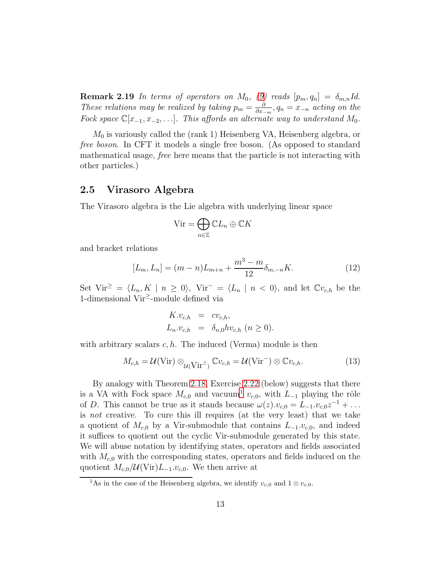**Remark 2.19** In terms of operators on  $M_0$ , [\(9\)](#page-10-3) reads  $[p_m, q_n] = \delta_{m,n} Id$ . These relations may be realized by taking  $p_m = \frac{\partial}{\partial x}$  $\frac{\partial}{\partial x_{-m}}, q_n = x_{-n}$  acting on the Fock space  $\mathbb{C}[x_{-1}, x_{-2}, \ldots]$ . This affords an alternate way to understand  $M_0$ .

 $M_0$  is variously called the (rank 1) Heisenberg VA, Heisenberg algebra, or free boson. In CFT it models a single free boson. (As opposed to standard mathematical usage, free here means that the particle is not interacting with other particles.)

#### <span id="page-12-0"></span>2.5 Virasoro Algebra

The Virasoro algebra is the Lie algebra with underlying linear space

$$
\mathrm{Vir}=\bigoplus_{n\in\mathbb{Z}}\mathbb{C}L_n\oplus\mathbb{C}K
$$

and bracket relations

<span id="page-12-3"></span>
$$
[L_m, L_n] = (m - n)L_{m+n} + \frac{m^3 - m}{12} \delta_{m,-n} K.
$$
 (12)

Set Vir<sup>≥</sup> =  $\langle L_n, K | n \ge 0 \rangle$ , Vir<sup>-</sup> =  $\langle L_n | n < 0 \rangle$ , and let  $\mathbb{C}v_{c,h}$  be the 1-dimensional Vir<sup>≥</sup> -module defined via

$$
K.v_{c,h} = cv_{c,h},
$$
  
\n
$$
L_n.v_{c,h} = \delta_{n,0} hv_{c,h} \ (n \ge 0).
$$

with arbitrary scalars  $c, h$ . The induced (Verma) module is then

<span id="page-12-4"></span>
$$
M_{c,h} = \mathcal{U}(\text{Vir}) \otimes_{\mathcal{U}(\text{Vir}^{\ge})} \mathbb{C}v_{c,h} = \mathcal{U}(\text{Vir}^{-}) \otimes \mathbb{C}v_{c,h}.
$$
 (13)

By analogy with Theorem [2.18,](#page-11-0) Exercise [2.22](#page-13-1) (below) suggests that there is a VA with Fock space  $M_{c,0}$  and vacuum<sup>[1](#page-12-1)</sup>  $v_{c,0}$ , with  $L_{-1}$  playing the rôle of D. This cannot be true as it stands because  $\omega(z) \cdot v_{c,0} = L_{-1} \cdot v_{c,0} z^{-1} + \dots$ is not creative. To cure this ill requires (at the very least) that we take a quotient of  $M_{c,0}$  by a Vir-submodule that contains  $L_{-1}.v_{c,0}$ , and indeed it suffices to quotient out the cyclic Vir-submodule generated by this state. We will abuse notation by identifying states, operators and fields associated with  $M_{c,0}$  with the corresponding states, operators and fields induced on the quotient  $M_{c,0}/\mathcal{U}(\text{Vir})L_{-1}.v_{c,0}$ . We then arrive at

<span id="page-12-2"></span><span id="page-12-1"></span><sup>&</sup>lt;sup>1</sup>As in the case of the Heisenberg algebra, we identify  $v_{c,0}$  and  $1 \otimes v_{c,0}$ .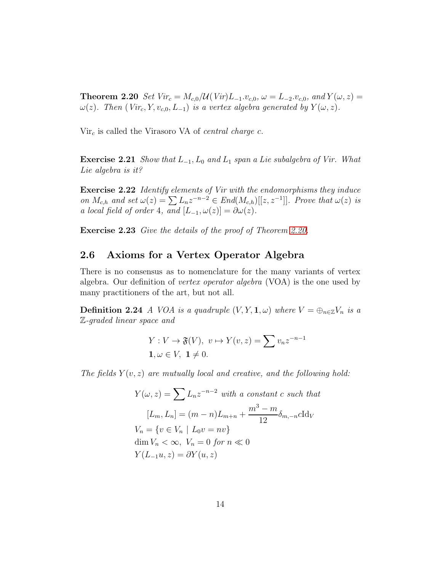**Theorem 2.20** Set Vir<sub>c</sub> =  $M_{c,0}/\mathcal{U}(Vir)L_{-1}.v_{c,0}, \omega = L_{-2}.v_{c,0}, and Y(\omega, z) =$  $\omega(z)$ . Then (Vir<sub>c</sub>, Y, v<sub>c,0</sub>, L<sub>-1</sub>) is a vertex algebra generated by Y( $\omega$ , z).

 $Vir<sub>c</sub>$  is called the Virasoro VA of *central charge c*.

**Exercise 2.21** Show that  $L_{-1}$ ,  $L_0$  and  $L_1$  span a Lie subalgebra of Vir. What Lie algebra is it?

<span id="page-13-1"></span>Exercise 2.22 Identify elements of Vir with the endomorphisms they induce on  $M_{c,h}$  and set  $\omega(z) = \sum L_n z^{-n-2} \in End(M_{c,h})[[z, z^{-1}]]$ . Prove that  $\omega(z)$  is a local field of order 4, and  $[L_{-1}, \omega(z)] = \partial \omega(z)$ .

<span id="page-13-0"></span>Exercise 2.23 Give the details of the proof of Theorem [2.20.](#page-12-2)

#### 2.6 Axioms for a Vertex Operator Algebra

There is no consensus as to nomenclature for the many variants of vertex algebra. Our definition of vertex operator algebra (VOA) is the one used by many practitioners of the art, but not all.

**Definition 2.24** A VOA is a quadruple  $(V, Y, \mathbf{1}, \omega)$  where  $V = \bigoplus_{n \in \mathbb{Z}} V_n$  is a Z-graded linear space and

$$
Y: V \to \mathfrak{F}(V), v \mapsto Y(v, z) = \sum v_n z^{-n-1}
$$
  

$$
1, \omega \in V, 1 \neq 0.
$$

The fields  $Y(v, z)$  are mutually local and creative, and the following hold:

$$
Y(\omega, z) = \sum L_n z^{-n-2} \text{ with a constant } c \text{ such that}
$$

$$
[L_m, L_n] = (m - n)L_{m+n} + \frac{m^3 - m}{12} \delta_{m, -n} c \text{Id}_V
$$

$$
V_n = \{v \in V_n \mid L_0 v = n v\}
$$

$$
\dim V_n < \infty, V_n = 0 \text{ for } n \ll 0
$$

$$
Y(L_{-1}u, z) = \partial Y(u, z)
$$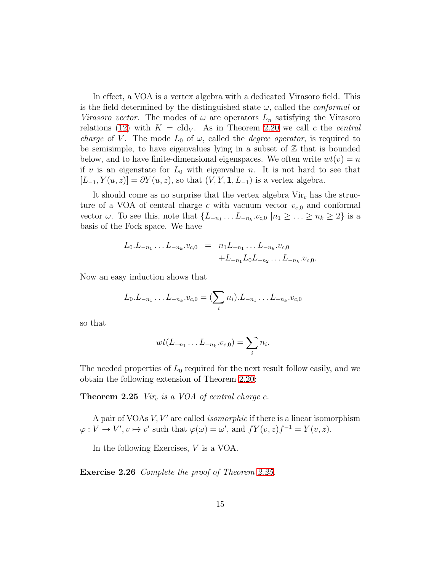In effect, a VOA is a vertex algebra with a dedicated Virasoro field. This is the field determined by the distinguished state  $\omega$ , called the *conformal* or *Virasoro vector.* The modes of  $\omega$  are operators  $L_n$  satisfying the Virasoro relations [\(12\)](#page-12-3) with  $K = c \, \text{Id}_V$ . As in Theorem [2.20](#page-12-2) we call c the central *charge* of V. The mode  $L_0$  of  $\omega$ , called the *degree operator*, is required to be semisimple, to have eigenvalues lying in a subset of  $\mathbb Z$  that is bounded below, and to have finite-dimensional eigenspaces. We often write  $wt(v) = n$ if v is an eigenstate for  $L_0$  with eigenvalue n. It is not hard to see that  $[L_{-1}, Y(u, z)] = \partial Y(u, z)$ , so that  $(V, Y, \mathbf{1}, L_{-1})$  is a vertex algebra.

It should come as no surprise that the vertex algebra  $Vir<sub>c</sub>$  has the structure of a VOA of central charge c with vacuum vector  $v_{c,0}$  and conformal vector  $\omega$ . To see this, note that  $\{L_{-n_1} \ldots L_{-n_k} \ldots v_{c,0} \mid n_1 \geq \ldots \geq n_k \geq 2\}$  is a basis of the Fock space. We have

$$
L_0.L_{-n_1}\ldots L_{-n_k}.v_{c,0} = n_1L_{-n_1}\ldots L_{-n_k}.v_{c,0}
$$
  
+ $L_{-n_1}L_0L_{-n_2}\ldots L_{-n_k}.v_{c,0}.$ 

Now an easy induction shows that

$$
L_0.L_{-n_1}\ldots L_{-n_k}.v_{c,0}=(\sum_i n_i).L_{-n_1}\ldots L_{-n_k}.v_{c,0}
$$

so that

<span id="page-14-0"></span>
$$
wt(L_{-n_1}\ldots L_{-n_k}.v_{c,0})=\sum_i n_i.
$$

The needed properties of  $L_0$  required for the next result follow easily, and we obtain the following extension of Theorem [2.20:](#page-12-2)

**Theorem 2.25** Vir<sub>c</sub> is a VOA of central charge c.

A pair of VOAs  $V, V'$  are called *isomorphic* if there is a linear isomorphism  $\varphi: V \to V', v \mapsto v'$  such that  $\varphi(\omega) = \omega'$ , and  $fY(v, z)f^{-1} = Y(v, z)$ .

<span id="page-14-2"></span>In the following Exercises, V is a VOA.

<span id="page-14-1"></span>Exercise 2.26 Complete the proof of Theorem [2.25.](#page-14-0)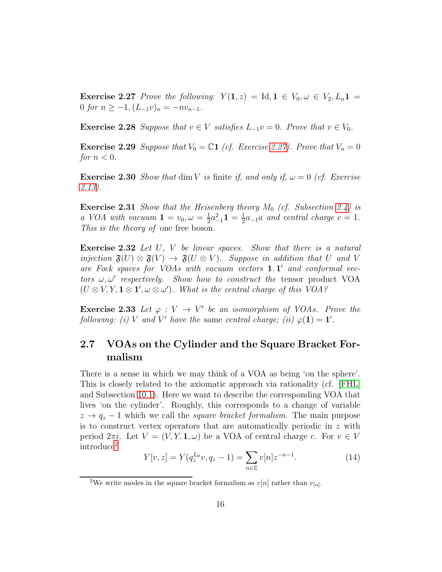**Exercise 2.27** Prove the following:  $Y(1, z) = \text{Id}, 1 \in V_0, \omega \in V_2, L_n 1 =$ 0 for  $n \ge -1$ ,  $(L_{-1}v)_n = -nv_{n-1}$ .

<span id="page-15-3"></span>Exercise 2.28 Suppose that  $v \in V$  satisfies  $L_{-1}v = 0$ . Prove that  $v \in V_0$ .

**Exercise 2.29** Suppose that  $V_0 = \mathbb{C}1$  (cf. Exercise [2.27\)](#page-14-1). Prove that  $V_n = 0$ for  $n < 0$ .

**Exercise 2.30** Show that dim V is finite if, and only if,  $\omega = 0$  (cf. Exercise [2.13\)](#page-10-4).

**Exercise 2.31** Show that the Heisenberg theory  $M_0$  (cf. Subsection [2.4\)](#page-10-0) is a VOA with vacuum  $1 = v_0, \omega = \frac{1}{2}$  $\frac{1}{2}a_{-1}^2\mathbf{1} = \frac{1}{2}$  $\frac{1}{2}a_{-1}a$  and central charge  $c=1$ . This is the theory of one free boson.

<span id="page-15-2"></span>**Exercise 2.32** Let U, V be linear spaces. Show that there is a natural injection  $\mathfrak{F}(U) \otimes \mathfrak{F}(V) \to \mathfrak{F}(U \otimes V)$ . Suppose in addition that U and V are Fock spaces for VOAs with vacuum vectors  $1, 1'$  and conformal vectors  $\omega, \omega'$  respectively. Show how to construct the tensor product VOA  $(U \otimes V, Y, \mathbf{1} \otimes \mathbf{1}', \omega \otimes \omega')$ . What is the central charge of this VOA?

**Exercise 2.33** Let  $\varphi: V \to V'$  be an isomorphism of VOAs. Prove the following: (i) V and V' have the same central charge; (ii)  $\varphi(1) = 1'$ .

### <span id="page-15-0"></span>2.7 VOAs on the Cylinder and the Square Bracket Formalism

There is a sense in which we may think of a VOA as being 'on the sphere'. This is closely related to the axiomatic approach via rationality (cf. [\[FHL\]](#page-113-0) and Subsection [10.1\)](#page-66-2). Here we want to describe the corresponding VOA that lives 'on the cylinder'. Roughly, this corresponds to a change of variable  $z \rightarrow q_z - 1$  which we call the *square bracket formalism*. The main purpose is to construct vertex operators that are automatically periodic in  $z$  with period  $2\pi i$ . Let  $V = (V, Y, \mathbf{1}, \omega)$  be a VOA of central charge c. For  $v \in V$ introduce[2](#page-15-1)

$$
Y[v, z] = Y(q_z^{L_0}v, q_z - 1) = \sum_{n \in \mathbb{Z}} v[n]z^{-n-1}.
$$
 (14)

<span id="page-15-1"></span><sup>&</sup>lt;sup>2</sup>We write modes in the square bracket formalism as  $v[n]$  rather than  $v_{[n]}$ .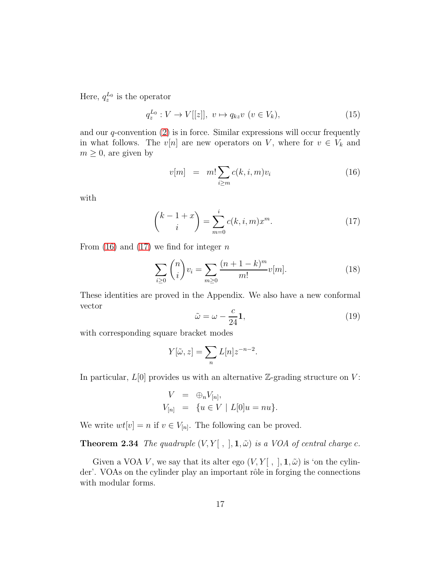Here,  $q_z^{L_0}$  is the operator

<span id="page-16-3"></span>
$$
q_z^{L_0}: V \to V[[z]], \ v \mapsto q_{kz}v \ (v \in V_k), \tag{15}
$$

and our  $q$ -convention  $(2)$  is in force. Similar expressions will occur frequently in what follows. The v[n] are new operators on V, where for  $v \in V_k$  and  $m \geq 0$ , are given by

<span id="page-16-0"></span>
$$
v[m] = m! \sum_{i \ge m} c(k, i, m) v_i \tag{16}
$$

with

<span id="page-16-1"></span>
$$
\binom{k-1+x}{i} = \sum_{m=0}^{i} c(k, i, m) x^m.
$$
 (17)

From  $(16)$  and  $(17)$  we find for integer n

<span id="page-16-5"></span>
$$
\sum_{i\geq 0} \binom{n}{i} v_i = \sum_{m\geq 0} \frac{(n+1-k)^m}{m!} v[m].
$$
 (18)

These identities are proved in the Appendix. We also have a new conformal vector

<span id="page-16-4"></span>
$$
\tilde{\omega} = \omega - \frac{c}{24} \mathbf{1},\tag{19}
$$

with corresponding square bracket modes

$$
Y[\tilde{\omega}, z] = \sum_{n} L[n] z^{-n-2}.
$$

In particular,  $L[0]$  provides us with an alternative  $\mathbb{Z}$ -grading structure on  $V$ :

$$
V = \bigoplus_{n} V_{[n]},
$$
  
\n
$$
V_{[n]} = \{ u \in V \mid L[0]u = nu \}.
$$

We write  $wt[v] = n$  if  $v \in V_{[n]}$ . The following can be proved.

#### **Theorem 2.34** The quadruple  $(V, Y[ , ], 1, \tilde{\omega})$  is a VOA of central charge c.

<span id="page-16-2"></span>Given a VOA V, we say that its alter ego  $(V, Y | , |, 1, \tilde{\omega})$  is 'on the cylinder'. VOAs on the cylinder play an important rôle in forging the connections with modular forms.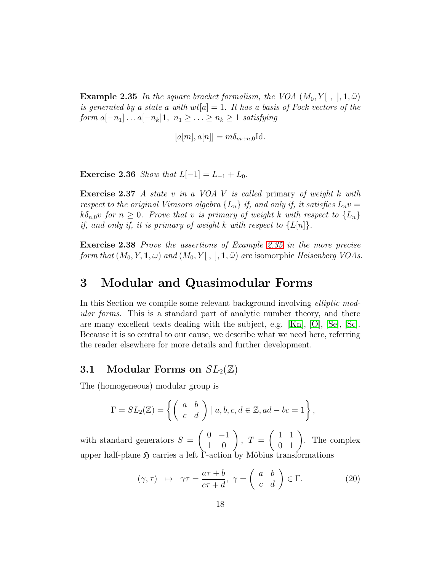**Example 2.35** In the square bracket formalism, the VOA  $(M_0, Y[ , ], 1, \tilde{\omega})$ is generated by a state a with  $wt[a] = 1$ . It has a basis of Fock vectors of the form  $a[-n_1] \dots a[-n_k] \mathbf{1}, n_1 \geq \dots \geq n_k \geq 1$  satisfying

$$
[a[m], a[n]] = m\delta_{m+n,0} \mathrm{Id}.
$$

**Exercise 2.36** Show that  $L[-1] = L_{-1} + L_0$ .

Exercise 2.37 A state v in a VOA V is called primary of weight k with respect to the original Virasoro algebra  $\{L_n\}$  if, and only if, it satisfies  $L_n v =$  $k\delta_{n,0}v$  for  $n \geq 0$ . Prove that v is primary of weight k with respect to  $\{L_n\}$ if, and only if, it is primary of weight k with respect to  $\{L[n]\}.$ 

Exercise 2.38 Prove the assertions of Example [2.35](#page-16-2) in the more precise form that  $(M_0, Y, \mathbf{1}, \omega)$  and  $(M_0, Y[, ], \mathbf{1}, \tilde{\omega})$  are isomorphic Heisenberg VOAs.

# <span id="page-17-0"></span>3 Modular and Quasimodular Forms

In this Section we compile some relevant background involving *elliptic mod*ular forms. This is a standard part of analytic number theory, and there are many excellent texts dealing with the subject, e.g. [\[Kn\]](#page-114-2), [\[O\]](#page-116-0), [\[Se\]](#page-116-1), [\[Sc\]](#page-116-2). Because it is so central to our cause, we describe what we need here, referring the reader elsewhere for more details and further development.

#### <span id="page-17-1"></span>**3.1** Modular Forms on  $SL_2(\mathbb{Z})$

The (homogeneous) modular group is

$$
\Gamma = SL_2(\mathbb{Z}) = \left\{ \begin{pmatrix} a & b \\ c & d \end{pmatrix} \mid a, b, c, d \in \mathbb{Z}, ad - bc = 1 \right\},\
$$

with standard generators  $S =$  $\left(\begin{array}{cc} 0 & -1 \\ 1 & 0 \end{array}\right)$ ,  $T =$  $\left(\begin{array}{cc} 1 & 1 \\ 0 & 1 \end{array}\right)$ . The complex upper half-plane  $\mathfrak H$  carries a left  $\Gamma$ -action by Möbius transformations

<span id="page-17-2"></span>
$$
(\gamma, \tau) \quad \mapsto \quad \gamma \tau = \frac{a\tau + b}{c\tau + d}, \ \gamma = \left(\begin{array}{cc} a & b \\ c & d \end{array}\right) \in \Gamma. \tag{20}
$$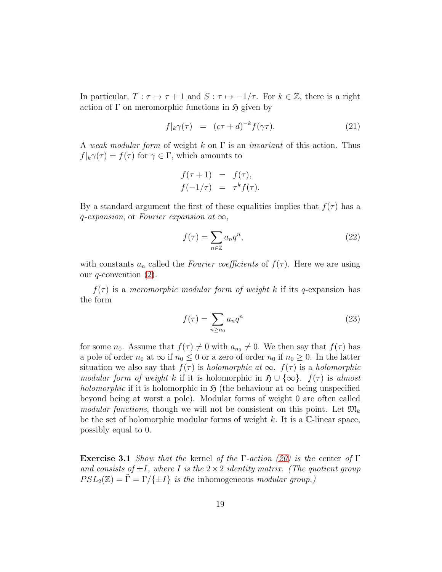In particular,  $T : \tau \mapsto \tau + 1$  and  $S : \tau \mapsto -1/\tau$ . For  $k \in \mathbb{Z}$ , there is a right action of  $\Gamma$  on meromorphic functions in  $\mathfrak{H}$  given by

<span id="page-18-0"></span>
$$
f|_{k}\gamma(\tau) = (c\tau + d)^{-k}f(\gamma\tau). \tag{21}
$$

A weak modular form of weight k on  $\Gamma$  is an *invariant* of this action. Thus  $f|_k\gamma(\tau) = f(\tau)$  for  $\gamma \in \Gamma$ , which amounts to

$$
f(\tau + 1) = f(\tau),
$$
  

$$
f(-1/\tau) = \tau^k f(\tau).
$$

By a standard argument the first of these equalities implies that  $f(\tau)$  has a q-expansion, or Fourier expansion at  $\infty$ ,

$$
f(\tau) = \sum_{n \in \mathbb{Z}} a_n q^n,
$$
\n(22)

with constants  $a_n$  called the *Fourier coefficients* of  $f(\tau)$ . Here we are using our  $q$ -convention  $(2)$ .

 $f(\tau)$  is a meromorphic modular form of weight k if its q-expansion has the form

$$
f(\tau) = \sum_{n \ge n_0} a_n q^n \tag{23}
$$

for some  $n_0$ . Assume that  $f(\tau) \neq 0$  with  $a_{n_0} \neq 0$ . We then say that  $f(\tau)$  has a pole of order  $n_0$  at  $\infty$  if  $n_0 \leq 0$  or a zero of order  $n_0$  if  $n_0 \geq 0$ . In the latter situation we also say that  $f(\tau)$  is *holomorphic at*  $\infty$ .  $f(\tau)$  is a *holomorphic* modular form of weight k if it is holomorphic in  $\mathfrak{H} \cup {\infty}$ .  $f(\tau)$  is almost *holomorphic* if it is holomorphic in  $\mathfrak{H}$  (the behaviour at  $\infty$  being unspecified beyond being at worst a pole). Modular forms of weight 0 are often called modular functions, though we will not be consistent on this point. Let  $\mathfrak{M}_k$ be the set of holomorphic modular forms of weight  $k$ . It is a  $\mathbb{C}\text{-linear space}$ , possibly equal to 0.

<span id="page-18-1"></span>**Exercise 3.1** Show that the kernel of the Γ-action [\(20\)](#page-17-2) is the center of Γ and consists of  $\pm I$ , where I is the  $2 \times 2$  identity matrix. (The quotient group  $PSL_2(\mathbb{Z}) = \tilde{\Gamma} = \Gamma / \{ \pm I \}$  is the inhomogeneous modular group.)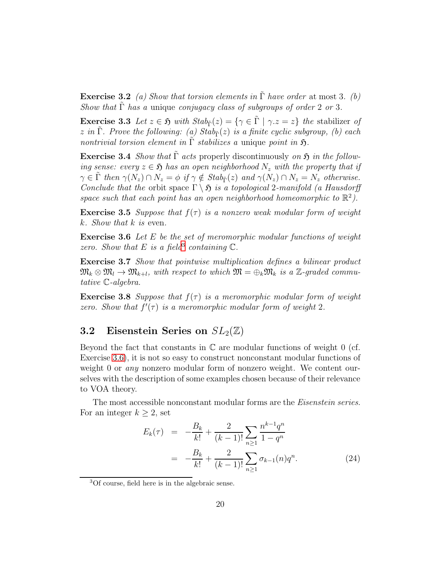**Exercise 3.2** (a) Show that torsion elements in  $\tilde{\Gamma}$  have order at most 3. (b) Show that  $\tilde{\Gamma}$  has a unique conjugacy class of subgroups of order 2 or 3.

**Exercise 3.3** Let  $z \in \mathfrak{H}$  with  $Stab_{\tilde{\Gamma}}(z) = \{ \gamma \in \tilde{\Gamma} \mid \gamma \cdot z = z \}$  the stabilizer of z in  $\tilde{\Gamma}$ . Prove the following: (a)  $Stab_{\tilde{\Gamma}}(z)$  is a finite cyclic subgroup, (b) each nontrivial torsion element in  $\Gamma$  stabilizes a unique point in  $\mathfrak{H}$ .

<span id="page-19-5"></span>Exercise 3.4 Show that  $\tilde{\Gamma}$  acts properly discontinuously on  $\mathfrak{H}$  in the following sense: every  $z \in \mathfrak{H}$  has an open neighborhood  $N_z$  with the property that if  $\gamma \in \tilde{\Gamma}$  then  $\gamma(N_z) \cap N_z = \phi$  if  $\gamma \notin Stab_{\tilde{\Gamma}}(z)$  and  $\gamma(N_z) \cap N_z = N_z$  otherwise. Conclude that the orbit space  $\Gamma \setminus \mathfrak{H}$  is a topological 2-manifold (a Hausdorff space such that each point has an open neighborhood homeomorphic to  $\mathbb{R}^2$ ).

<span id="page-19-2"></span>**Exercise 3.5** Suppose that  $f(\tau)$  is a nonzero weak modular form of weight  $k.$  Show that  $k$  is even.

Exercise 3.6 Let E be the set of meromorphic modular functions of weight zero. Show that E is a field<sup>[3](#page-19-1)</sup> containing  $\mathbb{C}$ .

<span id="page-19-4"></span>Exercise 3.7 Show that pointwise multiplication defines a bilinear product  $\mathfrak{M}_k \otimes \mathfrak{M}_l \to \mathfrak{M}_{k+l}$ , with respect to which  $\mathfrak{M} = \bigoplus_k \mathfrak{M}_k$  is a  $\mathbb{Z}\text{-graded commu-}$ tative C-algebra.

**Exercise 3.8** Suppose that  $f(\tau)$  is a meromorphic modular form of weight zero. Show that  $f'(\tau)$  is a meromorphic modular form of weight 2.

#### <span id="page-19-0"></span>3.2 Eisenstein Series on  $SL_2(\mathbb{Z})$

Beyond the fact that constants in  $\mathbb C$  are modular functions of weight 0 (cf. Exercise [3.6\)](#page-19-2), it is not so easy to construct nonconstant modular functions of weight 0 or *any* nonzero modular form of nonzero weight. We content ourselves with the description of some examples chosen because of their relevance to VOA theory.

The most accessible nonconstant modular forms are the *Eisenstein series*. For an integer  $k \geq 2$ , set

<span id="page-19-3"></span>
$$
E_k(\tau) = -\frac{B_k}{k!} + \frac{2}{(k-1)!} \sum_{n \ge 1} \frac{n^{k-1} q^n}{1 - q^n}
$$
  
= 
$$
-\frac{B_k}{k!} + \frac{2}{(k-1)!} \sum_{n \ge 1} \sigma_{k-1}(n) q^n.
$$
 (24)

<span id="page-19-1"></span><sup>3</sup>Of course, field here is in the algebraic sense.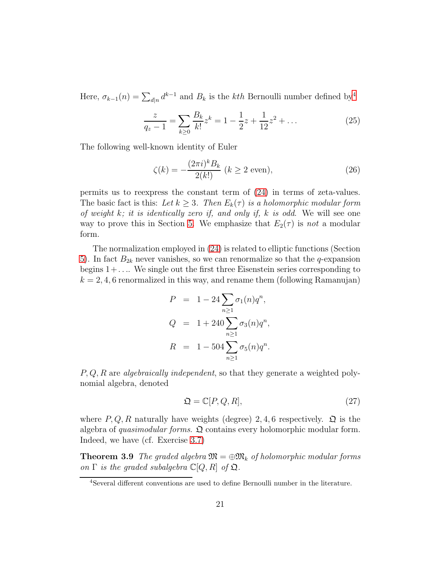Here,  $\sigma_{k-1}(n) = \sum_{d|n} d^{k-1}$  and  $B_k$  is the *kth* Bernoulli number defined by<sup>[4](#page-20-0)</sup>

$$
\frac{z}{q_z - 1} = \sum_{k \ge 0} \frac{B_k}{k!} z^k = 1 - \frac{1}{2} z + \frac{1}{12} z^2 + \dots
$$
 (25)

The following well-known identity of Euler

<span id="page-20-3"></span>
$$
\zeta(k) = -\frac{(2\pi i)^k B_k}{2(k!)} \ (k \ge 2 \text{ even}),\tag{26}
$$

permits us to reexpress the constant term of [\(24\)](#page-19-3) in terms of zeta-values. The basic fact is this: Let  $k \geq 3$ . Then  $E_k(\tau)$  is a holomorphic modular form of weight  $k$ ; it is identically zero if, and only if,  $k$  is odd. We will see one way to prove this in Section [5.](#page-28-0) We emphasize that  $E_2(\tau)$  is not a modular form.

The normalization employed in [\(24\)](#page-19-3) is related to elliptic functions (Section [5\)](#page-28-0). In fact  $B_{2k}$  never vanishes, so we can renormalize so that the q-expansion begins  $1+\ldots$  We single out the first three Eisenstein series corresponding to  $k = 2, 4, 6$  renormalized in this way, and rename them (following Ramanujan)

$$
P = 1 - 24 \sum_{n \ge 1} \sigma_1(n) q^n,
$$
  
\n
$$
Q = 1 + 240 \sum_{n \ge 1} \sigma_3(n) q^n,
$$
  
\n
$$
R = 1 - 504 \sum_{n \ge 1} \sigma_5(n) q^n.
$$

 $P, Q, R$  are *algebraically independent*, so that they generate a weighted polynomial algebra, denoted

<span id="page-20-2"></span><span id="page-20-1"></span>
$$
\mathfrak{Q} = \mathbb{C}[P, Q, R],\tag{27}
$$

where  $P, Q, R$  naturally have weights (degree) 2, 4, 6 respectively.  $\mathfrak{Q}$  is the algebra of quasimodular forms.  $\Omega$  contains every holomorphic modular form. Indeed, we have (cf. Exercise [3.7\)](#page-19-4)

**Theorem 3.9** The graded algebra  $\mathfrak{M} = \bigoplus \mathfrak{M}_k$  of holomorphic modular forms on  $\Gamma$  is the graded subalgebra  $\mathbb{C}[Q, R]$  of  $\mathfrak{Q}$ .

<span id="page-20-0"></span><sup>4</sup>Several different conventions are used to define Bernoulli number in the literature.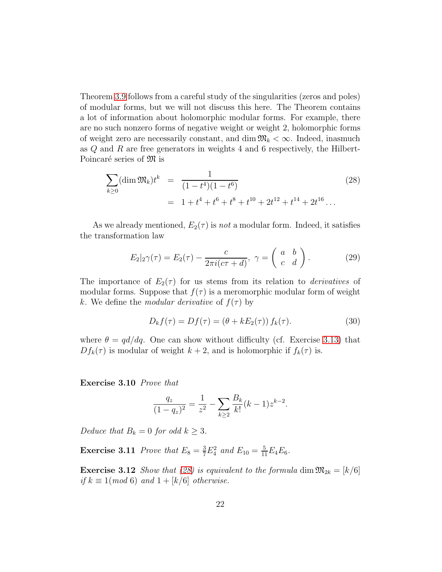Theorem [3.9](#page-20-1) follows from a careful study of the singularities (zeros and poles) of modular forms, but we will not discuss this here. The Theorem contains a lot of information about holomorphic modular forms. For example, there are no such nonzero forms of negative weight or weight 2, holomorphic forms of weight zero are necessarily constant, and dim  $\mathfrak{M}_k < \infty$ . Indeed, inasmuch as  $Q$  and  $R$  are free generators in weights 4 and 6 respectively, the Hilbert-Poincaré series of  $\mathfrak{M}$  is

<span id="page-21-1"></span>
$$
\sum_{k\geq 0} (\dim \mathfrak{M}_k) t^k = \frac{1}{(1-t^4)(1-t^6)}
$$
\n
$$
= 1 + t^4 + t^6 + t^8 + t^{10} + 2t^{12} + t^{14} + 2t^{16} \dots
$$
\n(28)

As we already mentioned,  $E_2(\tau)$  is not a modular form. Indeed, it satisfies the transformation law

$$
E_2|_2\gamma(\tau) = E_2(\tau) - \frac{c}{2\pi i(c\tau + d)}, \ \gamma = \begin{pmatrix} a & b \\ c & d \end{pmatrix}.
$$
 (29)

The importance of  $E_2(\tau)$  for us stems from its relation to *derivatives* of modular forms. Suppose that  $f(\tau)$  is a meromorphic modular form of weight k. We define the modular derivative of  $f(\tau)$  by

<span id="page-21-2"></span>
$$
D_k f(\tau) = Df(\tau) = (\theta + kE_2(\tau)) f_k(\tau). \tag{30}
$$

where  $\theta = \frac{qd}{dq}$ . One can show without difficulty (cf. Exercise [3.13\)](#page-21-0) that  $Df_k(\tau)$  is modular of weight  $k+2$ , and is holomorphic if  $f_k(\tau)$  is.

Exercise 3.10 Prove that

$$
\frac{q_z}{(1-q_z)^2} = \frac{1}{z^2} - \sum_{k\geq 2} \frac{B_k}{k!} (k-1) z^{k-2}.
$$

Deduce that  $B_k = 0$  for odd  $k \geq 3$ .

**Exercise 3.11** Prove that  $E_8 = \frac{3}{7} E_4^2$  and  $E_{10} = \frac{5}{11} E_4 E_6$ .

<span id="page-21-0"></span>**Exercise 3.12** Show that [\(28\)](#page-21-1) is equivalent to the formula dim  $\mathfrak{M}_{2k} = [k/6]$ if  $k \equiv 1 \pmod{6}$  and  $1 + \lfloor k/6 \rfloor$  otherwise.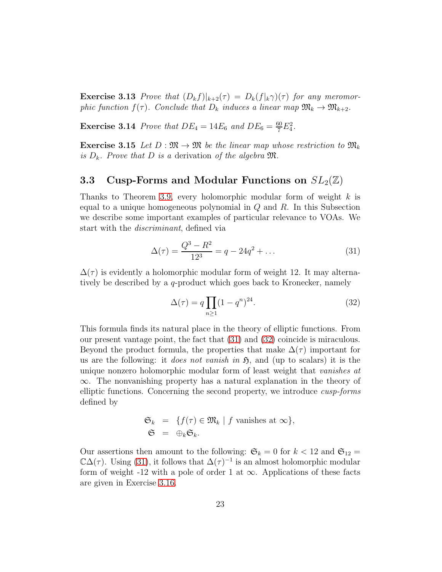**Exercise 3.13** Prove that  $(D_k f)|_{k+2}(\tau) = D_k(f|_{k} \gamma)(\tau)$  for any meromorphic function  $f(\tau)$ . Conclude that  $D_k$  induces a linear map  $\mathfrak{M}_k \to \mathfrak{M}_{k+2}$ .

**Exercise 3.14** Prove that  $DE_4 = 14E_6$  and  $DE_6 = \frac{60}{7}E_4^2$ .

<span id="page-22-3"></span>**Exercise 3.15** Let  $D : \mathfrak{M} \to \mathfrak{M}$  be the linear map whose restriction to  $\mathfrak{M}_k$ is  $D_k$ . Prove that D is a derivation of the algebra  $\mathfrak{M}$ .

#### <span id="page-22-0"></span>**3.3** Cusp-Forms and Modular Functions on  $SL_2(\mathbb{Z})$

Thanks to Theorem [3.9,](#page-20-1) every holomorphic modular form of weight  $k$  is equal to a unique homogeneous polynomial in  $Q$  and  $R$ . In this Subsection we describe some important examples of particular relevance to VOAs. We start with the discriminant, defined via

<span id="page-22-1"></span>
$$
\Delta(\tau) = \frac{Q^3 - R^2}{12^3} = q - 24q^2 + \dots \tag{31}
$$

 $\Delta(\tau)$  is evidently a holomorphic modular form of weight 12. It may alternatively be described by a q-product which goes back to Kronecker, namely

<span id="page-22-2"></span>
$$
\Delta(\tau) = q \prod_{n \ge 1} (1 - q^n)^{24}.
$$
\n(32)

This formula finds its natural place in the theory of elliptic functions. From our present vantage point, the fact that [\(31\)](#page-22-1) and [\(32\)](#page-22-2) coincide is miraculous. Beyond the product formula, the properties that make  $\Delta(\tau)$  important for us are the following: it *does not vanish in*  $\mathfrak{H}$ , and (up to scalars) it is the unique nonzero holomorphic modular form of least weight that vanishes at ∞. The nonvanishing property has a natural explanation in the theory of elliptic functions. Concerning the second property, we introduce cusp-forms defined by

$$
\mathfrak{S}_k = \{ f(\tau) \in \mathfrak{M}_k \mid f \text{ vanishes at } \infty \},
$$
  

$$
\mathfrak{S} = \oplus_k \mathfrak{S}_k.
$$

Our assertions then amount to the following:  $\mathfrak{S}_k = 0$  for  $k < 12$  and  $\mathfrak{S}_{12} =$  $\mathbb{C}\Delta(\tau)$ . Using [\(31\)](#page-22-1), it follows that  $\Delta(\tau)^{-1}$  is an almost holomorphic modular form of weight -12 with a pole of order 1 at  $\infty$ . Applications of these facts are given in Exercise [3.16.](#page-23-0)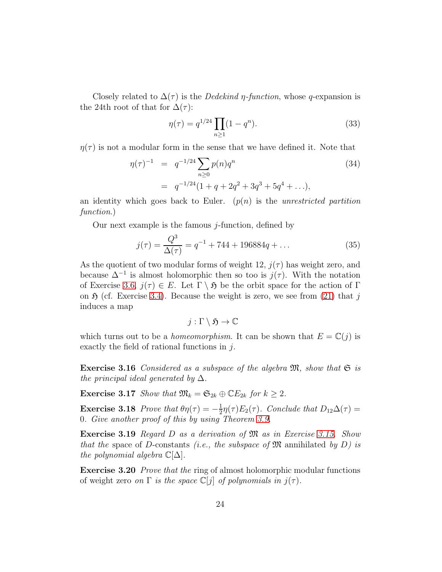Closely related to  $\Delta(\tau)$  is the *Dedekind*  $\eta$ -function, whose q-expansion is the 24th root of that for  $\Delta(\tau)$ :

<span id="page-23-1"></span>
$$
\eta(\tau) = q^{1/24} \prod_{n \ge 1} (1 - q^n). \tag{33}
$$

 $\eta(\tau)$  is not a modular form in the sense that we have defined it. Note that

<span id="page-23-2"></span>
$$
\eta(\tau)^{-1} = q^{-1/24} \sum_{n\geq 0} p(n)q^n
$$
\n
$$
= q^{-1/24} (1 + q + 2q^2 + 3q^3 + 5q^4 + \ldots),
$$
\n(34)

an identity which goes back to Euler.  $(p(n))$  is the unrestricted partition function.)

Our next example is the famous  $j$ -function, defined by

$$
j(\tau) = \frac{Q^3}{\Delta(\tau)} = q^{-1} + 744 + 196884q + \dots
$$
 (35)

As the quotient of two modular forms of weight 12,  $j(\tau)$  has weight zero, and because  $\Delta^{-1}$  is almost holomorphic then so too is  $j(\tau)$ . With the notation of Exercise [3.6,](#page-19-2)  $j(\tau) \in E$ . Let  $\Gamma \setminus \mathfrak{H}$  be the orbit space for the action of  $\Gamma$ on  $\mathfrak H$  (cf. Exercise [3.4\)](#page-19-5). Because the weight is zero, we see from [\(21\)](#page-18-0) that j induces a map

$$
j:\Gamma\setminus\mathfrak{H}\to\mathbb{C}
$$

which turns out to be a *homeomorphism*. It can be shown that  $E = \mathbb{C}(j)$  is exactly the field of rational functions in  $i$ .

<span id="page-23-0"></span>**Exercise 3.16** Considered as a subspace of the algebra  $\mathfrak{M}$ , show that  $\mathfrak{S}$  is the principal ideal generated by  $\Delta$ .

<span id="page-23-3"></span>**Exercise 3.17** Show that  $\mathfrak{M}_k = \mathfrak{S}_{2k} \oplus \mathbb{C}E_{2k}$  for  $k \geq 2$ .

**Exercise 3.18** Prove that  $\theta \eta(\tau) = -\frac{1}{2}$  $\frac{1}{2}\eta(\tau)E_2(\tau)$ . Conclude that  $D_{12}\Delta(\tau) =$ 0. Give another proof of this by using Theorem [3.9.](#page-20-1)

Exercise 3.19 Regard D as a derivation of M as in Exercise [3.15.](#page-22-3) Show that the space of D-constants (i.e., the subspace of  $\mathfrak{M}$  annihilated by D) is the polynomial algebra  $\mathbb{C}[\Delta]$ .

Exercise 3.20 Prove that the ring of almost holomorphic modular functions of weight zero on  $\Gamma$  is the space  $\mathbb{C}[i]$  of polynomials in  $i(\tau)$ .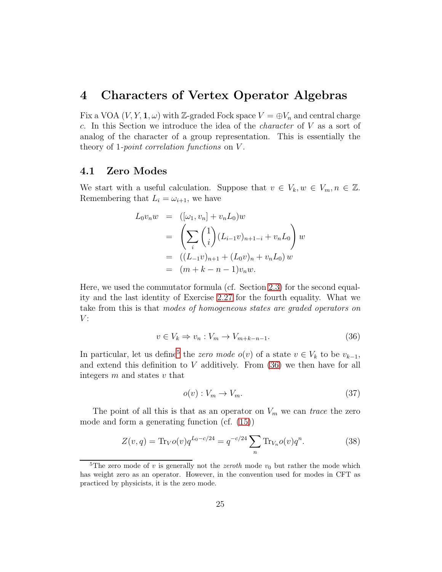### <span id="page-24-0"></span>4 Characters of Vertex Operator Algebras

Fix a VOA  $(V, Y, \mathbf{1}, \omega)$  with Z-graded Fock space  $V = \bigoplus V_n$  and central charge c. In this Section we introduce the idea of the *character* of  $V$  as a sort of analog of the character of a group representation. This is essentially the theory of 1-point correlation functions on V .

#### <span id="page-24-1"></span>4.1 Zero Modes

We start with a useful calculation. Suppose that  $v \in V_k, w \in V_m, n \in \mathbb{Z}$ . Remembering that  $L_i = \omega_{i+1}$ , we have

$$
L_0 v_n w = ([\omega_1, v_n] + v_n L_0) w
$$
  
= 
$$
\left(\sum_i {1 \choose i} (L_{i-1} v)_{n+1-i} + v_n L_0\right) w
$$
  
= 
$$
((L_{-1} v)_{n+1} + (L_0 v)_n + v_n L_0) w
$$
  
= 
$$
(m + k - n - 1) v_n w.
$$

Here, we used the commutator formula (cf. Section [2.3\)](#page-8-0) for the second equality and the last identity of Exercise [2.27](#page-14-1) for the fourth equality. What we take from this is that modes of homogeneous states are graded operators on  $V$ :

<span id="page-24-3"></span>
$$
v \in V_k \Rightarrow v_n : V_m \to V_{m+k-n-1}.
$$
\n(36)

In particular, let us define<sup>[5](#page-24-2)</sup> the zero mode  $o(v)$  of a state  $v \in V_k$  to be  $v_{k-1}$ , and extend this definition to  $V$  additively. From  $(36)$  we then have for all integers  $m$  and states  $v$  that

$$
o(v): V_m \to V_m. \tag{37}
$$

The point of all this is that as an operator on  $V_m$  we can trace the zero mode and form a generating function (cf. [\(15\)](#page-16-3))

<span id="page-24-4"></span>
$$
Z(v,q) = \text{Tr}_V o(v) q^{L_0 - c/24} = q^{-c/24} \sum_n \text{Tr}_{V_n} o(v) q^n.
$$
 (38)

<span id="page-24-2"></span><sup>&</sup>lt;sup>5</sup>The zero mode of v is generally not the *zeroth* mode  $v_0$  but rather the mode which has weight zero as an operator. However, in the convention used for modes in CFT as practiced by physicists, it is the zero mode.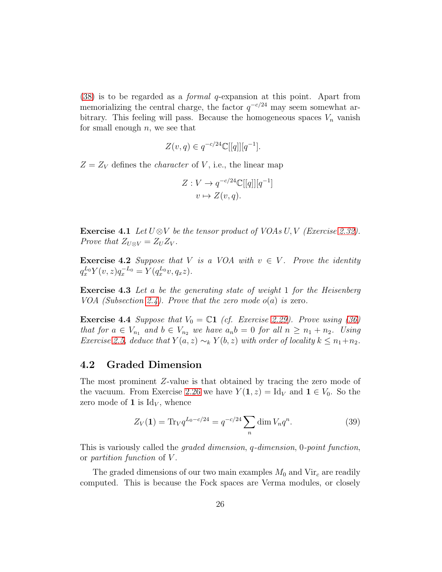[\(38\)](#page-24-4) is to be regarded as a formal q-expansion at this point. Apart from memorializing the central charge, the factor  $q^{-c/24}$  may seem somewhat arbitrary. This feeling will pass. Because the homogeneous spaces  $V_n$  vanish for small enough  $n$ , we see that

$$
Z(v,q) \in q^{-c/24} \mathbb{C}[[q]][q^{-1}].
$$

 $Z = Z_V$  defines the *character* of V, i.e., the linear map

$$
Z: V \to q^{-c/24} \mathbb{C}[[q]][q^{-1}]
$$

$$
v \mapsto Z(v,q).
$$

Exercise 4.1 Let  $U \otimes V$  be the tensor product of VOAs U, V (Exercise [2.32\)](#page-15-2). Prove that  $Z_{U\otimes V} = Z_U Z_V$ .

<span id="page-25-1"></span>**Exercise 4.2** Suppose that V is a VOA with  $v \in V$ . Prove the identity  $q_x^{L_0} Y(v, z) q_x^{-L_0} = Y(q_x^{L_0} v, q_x z).$ 

Exercise 4.3 Let a be the generating state of weight 1 for the Heisenberg VOA (Subsection [2.4\)](#page-10-0). Prove that the zero mode  $o(a)$  is zero.

**Exercise 4.4** Suppose that  $V_0 = \mathbb{C}1$  (cf. Exercise [2.29\)](#page-15-3). Prove using [\(36\)](#page-24-3) that for  $a \in V_{n_1}$  and  $b \in V_{n_2}$  we have  $a_n b = 0$  for all  $n \geq n_1 + n_2$ . Using Exercise [2.5,](#page-7-2) deduce that  $Y(a, z) \sim_k Y(b, z)$  with order of locality  $k \leq n_1+n_2$ .

#### <span id="page-25-0"></span>4.2 Graded Dimension

The most prominent Z-value is that obtained by tracing the zero mode of the vacuum. From Exercise [2.26](#page-14-2) we have  $Y(1, z) = \text{Id}_V$  and  $1 \in V_0$ . So the zero mode of 1 is  $\mathrm{Id}_V$ , whence

$$
Z_V(1) = \text{Tr}_V q^{L_0 - c/24} = q^{-c/24} \sum_n \dim V_n q^n.
$$
 (39)

This is variously called the *graded dimension*, q-dimension, 0-point function, or partition function of V .

The graded dimensions of our two main examples  $M_0$  and  $Vir_c$  are readily computed. This is because the Fock spaces are Verma modules, or closely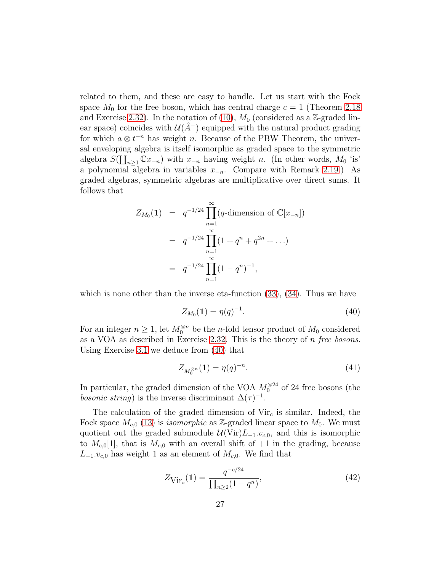related to them, and these are easy to handle. Let us start with the Fock space  $M_0$  for the free boson, which has central charge  $c = 1$  (Theorem [2.18](#page-11-0)) and Exercise [2.32\)](#page-15-2). In the notation of [\(10\)](#page-11-1),  $M_0$  (considered as a Z-graded linear space) coincides with  $\mathcal{U}(A^-)$  equipped with the natural product grading for which  $a \otimes t^{-n}$  has weight n. Because of the PBW Theorem, the universal enveloping algebra is itself isomorphic as graded space to the symmetric algebra  $S(\coprod_{n\geq 1} \mathbb{C}x_{-n})$  with  $x_{-n}$  having weight n. (In other words,  $M_0$  'is' a polynomial algebra in variables  $x_{-n}$ . Compare with Remark [2.19.](#page-11-2)) As graded algebras, symmetric algebras are multiplicative over direct sums. It follows that

$$
Z_{M_0}(1) = q^{-1/24} \prod_{n=1}^{\infty} (q \text{-dimension of } \mathbb{C}[x_{-n}])
$$
  
=  $q^{-1/24} \prod_{n=1}^{\infty} (1 + q^n + q^{2n} + ...)$   
=  $q^{-1/24} \prod_{n=1}^{\infty} (1 - q^n)^{-1},$ 

which is none other than the inverse eta-function  $(33)$ ,  $(34)$ . Thus we have

<span id="page-26-0"></span>
$$
Z_{M_0}(1) = \eta(q)^{-1}.
$$
\n(40)

For an integer  $n \geq 1$ , let  $M_0^{\otimes n}$  be the *n*-fold tensor product of  $M_0$  considered as a VOA as described in Exercise [2.32.](#page-15-2) This is the theory of  $n$  free bosons. Using Exercise [3.1](#page-18-1) we deduce from [\(40\)](#page-26-0) that

$$
Z_{M_0^{\otimes n}}(\mathbf{1}) = \eta(q)^{-n}.\tag{41}
$$

In particular, the graded dimension of the VOA  $M_0^{\otimes 24}$  of 24 free bosons (the *bosonic string*) is the inverse discriminant  $\Delta(\tau)^{-1}$ .

The calculation of the graded dimension of  $Vir<sub>c</sub>$  is similar. Indeed, the Fock space  $M_{c,0}$  [\(13\)](#page-12-4) is *isomorphic* as Z-graded linear space to  $M_0$ . We must quotient out the graded submodule  $\mathcal{U}(\text{Vir})L_{-1}.v_{c,0}$ , and this is isomorphic to  $M_{c,0}[1]$ , that is  $M_{c,0}$  with an overall shift of  $+1$  in the grading, because  $L_{-1}.v_{c,0}$  has weight 1 as an element of  $M_{c,0}$ . We find that

$$
Z_{\text{Vir}_c}(1) = \frac{q^{-c/24}}{\prod_{n\geq 2} (1-q^n)},\tag{42}
$$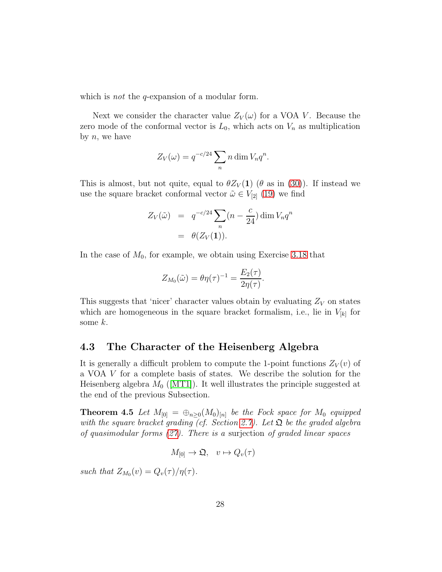which is *not* the *q*-expansion of a modular form.

Next we consider the character value  $Z_V(\omega)$  for a VOA V. Because the zero mode of the conformal vector is  $L_0$ , which acts on  $V_n$  as multiplication by  $n$ , we have

$$
Z_V(\omega) = q^{-c/24} \sum_n n \dim V_n q^n.
$$

This is almost, but not quite, equal to  $\theta Z_V(1)$  ( $\theta$  as in [\(30\)](#page-21-2)). If instead we use the square bracket conformal vector  $\tilde{\omega} \in V_{2}$  [\(19\)](#page-16-4) we find

$$
Z_V(\tilde{\omega}) = q^{-c/24} \sum_n (n - \frac{c}{24}) \dim V_n q^n
$$
  
=  $\theta(Z_V(\mathbf{1})).$ 

In the case of  $M_0$ , for example, we obtain using Exercise [3.18](#page-23-3) that

$$
Z_{M_0}(\tilde{\omega})=\theta \eta(\tau)^{-1}=\frac{E_2(\tau)}{2 \eta(\tau)}.
$$

This suggests that 'nicer' character values obtain by evaluating  $Z_V$  on states which are homogeneous in the square bracket formalism, i.e., lie in  $V_{[k]}$  for some  $k$ .

#### <span id="page-27-0"></span>4.3 The Character of the Heisenberg Algebra

It is generally a difficult problem to compute the 1-point functions  $Z_V(v)$  of a VOA V for a complete basis of states. We describe the solution for the Heisenberg algebra  $M_0$  ([\[MT1\]](#page-116-3)). It well illustrates the principle suggested at the end of the previous Subsection.

**Theorem 4.5** Let  $M_{[0]} = \bigoplus_{n>0} (M_0)_{[n]}$  be the Fock space for  $M_0$  equipped with the square bracket grading (cf. Section [2.7\)](#page-15-0). Let  $\mathfrak{Q}$  be the graded algebra of quasimodular forms [\(27\)](#page-20-2). There is a surjection of graded linear spaces

$$
M_{[0]} \to \mathfrak{Q}, \quad v \mapsto Q_v(\tau)
$$

such that  $Z_{M_0}(v) = Q_v(\tau)/\eta(\tau)$ .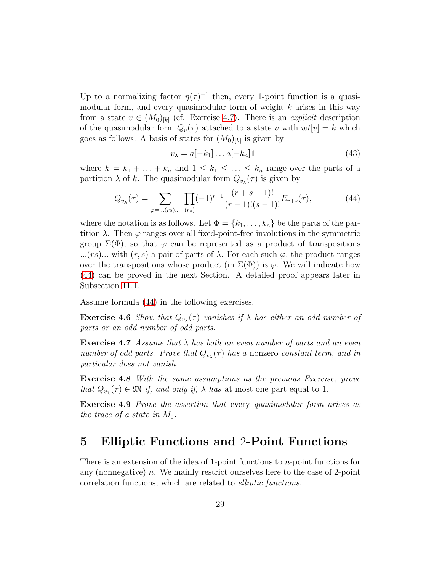Up to a normalizing factor  $\eta(\tau)^{-1}$  then, every 1-point function is a quasimodular form, and every quasimodular form of weight  $k$  arises in this way from a state  $v \in (M_0)_{[k]}$  (cf. Exercise [4.7\)](#page-28-1). There is an *explicit* description of the quasimodular form  $Q_v(\tau)$  attached to a state v with  $wt[v] = k$  which goes as follows. A basis of states for  $(M_0)_{[k]}$  is given by

$$
v_{\lambda} = a[-k_1] \dots a[-k_n] \mathbf{1}
$$
\n(43)

where  $k = k_1 + \ldots + k_n$  and  $1 \leq k_1 \leq \ldots \leq k_n$  range over the parts of a partition  $\lambda$  of k. The quasimodular form  $Q_{v_{\lambda}}(\tau)$  is given by

<span id="page-28-2"></span>
$$
Q_{v_{\lambda}}(\tau) = \sum_{\varphi=\dots(rs)\dots} \prod_{(rs)} (-1)^{r+1} \frac{(r+s-1)!}{(r-1)!(s-1)!} E_{r+s}(\tau), \tag{44}
$$

where the notation is as follows. Let  $\Phi = \{k_1, \ldots, k_n\}$  be the parts of the partition  $\lambda$ . Then  $\varphi$  ranges over all fixed-point-free involutions in the symmetric group  $\Sigma(\Phi)$ , so that  $\varphi$  can be represented as a product of transpositions ...(rs)... with  $(r, s)$  a pair of parts of  $\lambda$ . For each such  $\varphi$ , the product ranges over the transpositions whose product (in  $\Sigma(\Phi)$ ) is  $\varphi$ . We will indicate how [\(44\)](#page-28-2) can be proved in the next Section. A detailed proof appears later in Subsection [11.1.](#page-76-1)

Assume formula [\(44\)](#page-28-2) in the following exercises.

**Exercise 4.6** Show that  $Q_{v_{\lambda}}(\tau)$  vanishes if  $\lambda$  has either an odd number of parts or an odd number of odd parts.

<span id="page-28-1"></span>**Exercise 4.7** Assume that  $\lambda$  has both an even number of parts and an even number of odd parts. Prove that  $Q_{v_{\lambda}}(\tau)$  has a nonzero constant term, and in particular does not vanish.

Exercise 4.8 With the same assumptions as the previous Exercise, prove that  $Q_{v_{\lambda}}(\tau) \in \mathfrak{M}$  if, and only if,  $\lambda$  has at most one part equal to 1.

Exercise 4.9 Prove the assertion that every quasimodular form arises as the trace of a state in  $M_0$ .

# <span id="page-28-0"></span>5 Elliptic Functions and 2-Point Functions

There is an extension of the idea of 1-point functions to n-point functions for any (nonnegative) n. We mainly restrict ourselves here to the case of 2-point correlation functions, which are related to elliptic functions.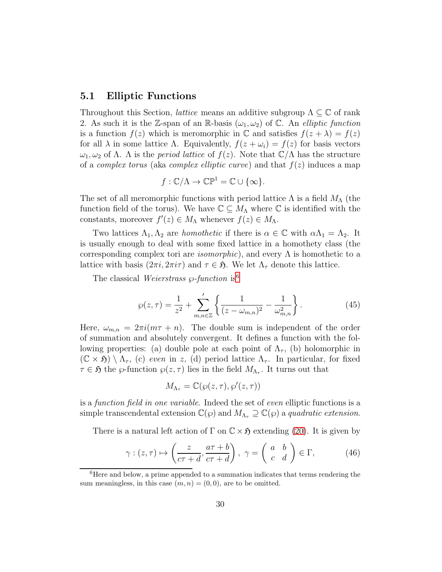#### <span id="page-29-0"></span>5.1 Elliptic Functions

Throughout this Section, *lattice* means an additive subgroup  $\Lambda \subseteq \mathbb{C}$  of rank 2. As such it is the Z-span of an R-basis  $(\omega_1, \omega_2)$  of C. An *elliptic function* is a function  $f(z)$  which is meromorphic in  $\mathbb C$  and satisfies  $f(z + \lambda) = f(z)$ for all  $\lambda$  in some lattice  $\Lambda$ . Equivalently,  $f(z + \omega_i) = f(z)$  for basis vectors  $ω_1, ω_2$  of Λ. Λ is the *period lattice* of  $f(z)$ . Note that  $\mathbb{C}/\Lambda$  has the structure of a *complex torus* (aka *complex elliptic curve*) and that  $f(z)$  induces a map

$$
f: \mathbb{C}/\Lambda \to \mathbb{CP}^1 = \mathbb{C} \cup \{\infty\}.
$$

The set of all meromorphic functions with period lattice  $\Lambda$  is a field  $M_{\Lambda}$  (the function field of the torus). We have  $\mathbb{C} \subseteq M_{\Lambda}$  where  $\mathbb{C}$  is identified with the constants, moreover  $f'(z) \in M_{\Lambda}$  whenever  $f(z) \in M_{\Lambda}$ .

Two lattices  $\Lambda_1, \Lambda_2$  are *homothetic* if there is  $\alpha \in \mathbb{C}$  with  $\alpha \Lambda_1 = \Lambda_2$ . It is usually enough to deal with some fixed lattice in a homothety class (the corresponding complex tori are *isomorphic*), and every  $\Lambda$  is homothetic to a lattice with basis  $(2\pi i, 2\pi i\tau)$  and  $\tau \in \mathfrak{H}$ . We let  $\Lambda_{\tau}$  denote this lattice.

The classical Weierstrass  $\wp$ -function is<sup>[6](#page-29-1)</sup>

<span id="page-29-2"></span>
$$
\wp(z,\tau) = \frac{1}{z^2} + \sum_{m,n \in \mathbb{Z}}' \left\{ \frac{1}{(z - \omega_{m,n})^2} - \frac{1}{\omega_{m,n}^2} \right\}.
$$
 (45)

Here,  $\omega_{m,n} = 2\pi i (m\tau + n)$ . The double sum is independent of the order of summation and absolutely convergent. It defines a function with the following properties: (a) double pole at each point of  $\Lambda_{\tau}$ , (b) holomorphic in  $(\mathbb{C} \times \mathfrak{H}) \setminus \Lambda_{\tau}$ , (c) even in z, (d) period lattice  $\Lambda_{\tau}$ . In particular, for fixed  $\tau \in \mathfrak{H}$  the  $\varphi$ -function  $\varphi(z,\tau)$  lies in the field  $M_{\Lambda_{\tau}}$ . It turns out that

$$
M_{\Lambda_{\tau}} = \mathbb{C}(\wp(z,\tau),\wp'(z,\tau))
$$

is a function field in one variable. Indeed the set of even elliptic functions is a simple transcendental extension  $\mathbb{C}(\wp)$  and  $M_{\Lambda_{\tau}} \supseteq \mathbb{C}(\wp)$  a quadratic extension.

There is a natural left action of  $\Gamma$  on  $\mathbb{C}\times\mathfrak{H}$  extending [\(20\)](#page-17-2). It is given by

$$
\gamma : (z, \tau) \mapsto \left(\frac{z}{c\tau + d}, \frac{a\tau + b}{c\tau + d}\right), \ \gamma = \left(\begin{array}{cc} a & b \\ c & d \end{array}\right) \in \Gamma, \tag{46}
$$

<span id="page-29-1"></span><sup>6</sup>Here and below, a prime appended to a summation indicates that terms rendering the sum meaningless, in this case  $(m, n) = (0, 0)$ , are to be omitted.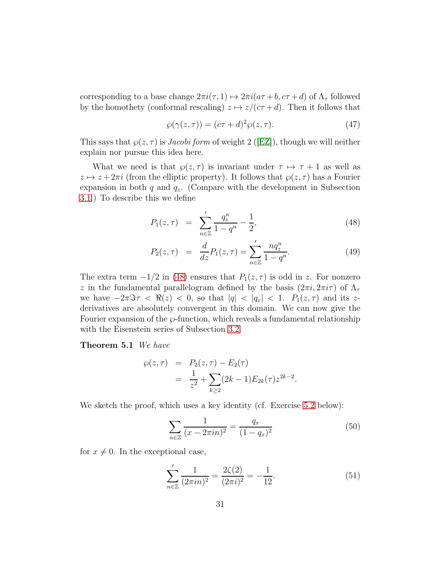corresponding to a base change  $2\pi i(\tau, 1) \mapsto 2\pi i(a\tau + b, c\tau + d)$  of  $\Lambda_{\tau}$  followed by the homothety (conformal rescaling)  $z \mapsto z/(c\tau + d)$ . Then it follows that

<span id="page-30-4"></span>
$$
\wp(\gamma(z,\tau)) = (c\tau + d)^2 \wp(z,\tau). \tag{47}
$$

Thissays that  $\wp(z,\tau)$  is *Jacobi form* of weight 2 ([\[EZ\]](#page-113-3)), though we will neither explain nor pursue this idea here.

What we need is that  $\wp(z,\tau)$  is invariant under  $\tau \mapsto \tau + 1$  as well as  $z \mapsto z + 2\pi i$  (from the elliptic property). It follows that  $\wp(z, \tau)$  has a Fourier expansion in both q and  $q_z$ . (Compare with the development in Subsection [3.1.](#page-17-1)) To describe this we define

<span id="page-30-0"></span>
$$
P_1(z,\tau) = \sum_{n\in\mathbb{Z}}' \frac{q_z^n}{1-q^n} - \frac{1}{2},\tag{48}
$$

$$
P_2(z,\tau) = \frac{d}{dz} P_1(z,\tau) = \sum_{n \in \mathbb{Z}}' \frac{n q_z^n}{1 - q^n}.
$$
 (49)

The extra term  $-1/2$  in [\(48\)](#page-30-0) ensures that  $P_1(z,\tau)$  is odd in z. For nonzero z in the fundamental parallelogram defined by the basis  $(2\pi i, 2\pi i\tau)$  of  $\Lambda_{\tau}$ we have  $-2\pi \Im \tau < \Re(z) < 0$ , so that  $|q| < |q_z| < 1$ .  $P_1(z, \tau)$  and its zderivatives are absolutely convergent in this domain. We can now give the Fourier expansion of the  $\wp$ -function, which reveals a fundamental relationship with the Eisenstein series of Subsection [3.2.](#page-19-0)

Theorem 5.1 We have

<span id="page-30-3"></span>
$$
\wp(z,\tau) = P_2(z,\tau) - E_2(\tau) \n= \frac{1}{z^2} + \sum_{k \ge 2} (2k-1) E_{2k}(\tau) z^{2k-2}.
$$

We sketch the proof, which uses a key identity (cf. Exercise [5.2](#page-32-1) below):

<span id="page-30-1"></span>
$$
\sum_{n \in \mathbb{Z}} \frac{1}{(x - 2\pi in)^2} = \frac{q_x}{(1 - q_x)^2} \tag{50}
$$

for  $x \neq 0$ . In the exceptional case,

<span id="page-30-2"></span>
$$
\sum_{n\in\mathbb{Z}}'\frac{1}{(2\pi in)^2} = \frac{2\zeta(2)}{(2\pi i)^2} = -\frac{1}{12}.\tag{51}
$$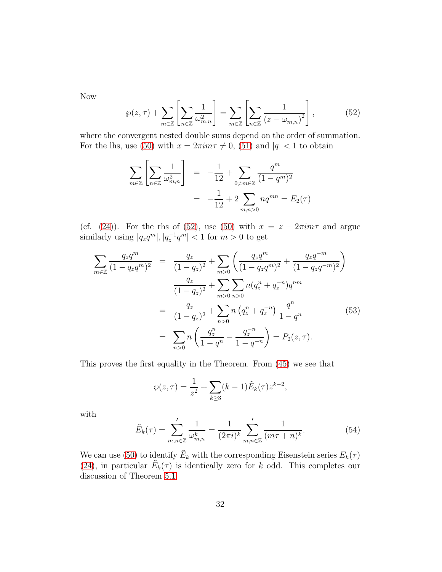Now

<span id="page-31-0"></span>
$$
\wp(z,\tau) + \sum_{m \in \mathbb{Z}} \left[ \sum_{n \in \mathbb{Z}} \frac{1}{\omega_{m,n}^2} \right] = \sum_{m \in \mathbb{Z}} \left[ \sum_{n \in \mathbb{Z}} \frac{1}{(z - \omega_{m,n})^2} \right],\tag{52}
$$

where the convergent nested double sums depend on the order of summation. For the lhs, use [\(50\)](#page-30-1) with  $x = 2\pi im\tau \neq 0$ , [\(51\)](#page-30-2) and  $|q| < 1$  to obtain

$$
\sum_{m\in\mathbb{Z}}\left[\sum_{n\in\mathbb{Z}}\frac{1}{\omega_{m,n}^2}\right] = -\frac{1}{12} + \sum_{0\neq m\in\mathbb{Z}}\frac{q^m}{(1-q^m)^2}
$$

$$
= -\frac{1}{12} + 2\sum_{m,n>0} nq^{mn} = E_2(\tau)
$$

(cf. [\(24\)](#page-19-3)). For the rhs of [\(52\)](#page-31-0), use [\(50\)](#page-30-1) with  $x = z - 2\pi i m\tau$  and argue similarly using  $|q_z q^m|, |q_z^{-1} q^m| < 1$  for  $m > 0$  to get

$$
\sum_{m\in\mathbb{Z}} \frac{q_z q^m}{(1-q_z q^m)^2} = \frac{q_z}{(1-q_z)^2} + \sum_{m>0} \left( \frac{q_z q^m}{(1-q_z q^m)^2} + \frac{q_z q^{-m}}{(1-q_z q^{-m})^2} \right)
$$

$$
\frac{q_z}{(1-q_z)^2} + \sum_{m>0} \sum_{n>0} n (q_z^n + q_z^{-n}) q^{nm}
$$

$$
= \frac{q_z}{(1-q_z)^2} + \sum_{n>0} n (q_z^n + q_z^{-n}) \frac{q^n}{1-q^n}
$$
(53)
$$
= \sum_{n>0} n \left( \frac{q_z^n}{1-q^n} - \frac{q_z^{-n}}{1-q^{-n}} \right) = P_2(z,\tau).
$$

This proves the first equality in the Theorem. From [\(45\)](#page-29-2) we see that

$$
\wp(z,\tau) = \frac{1}{z^2} + \sum_{k \ge 3} (k-1) \tilde{E}_k(\tau) z^{k-2},
$$

with

$$
\tilde{E}_k(\tau) = \sum'_{m,n \in \mathbb{Z}} \frac{1}{\omega_{m,n}^k} = \frac{1}{(2\pi i)^k} \sum'_{m,n \in \mathbb{Z}} \frac{1}{(m\tau + n)^k}.
$$
\n(54)

We can use [\(50\)](#page-30-1) to identify  $\tilde{E}_k$  with the corresponding Eisenstein series  $E_k(\tau)$ [\(24\)](#page-19-3), in particular  $\tilde{E}_k(\tau)$  is identically zero for k odd. This completes our discussion of Theorem [5.1.](#page-30-3)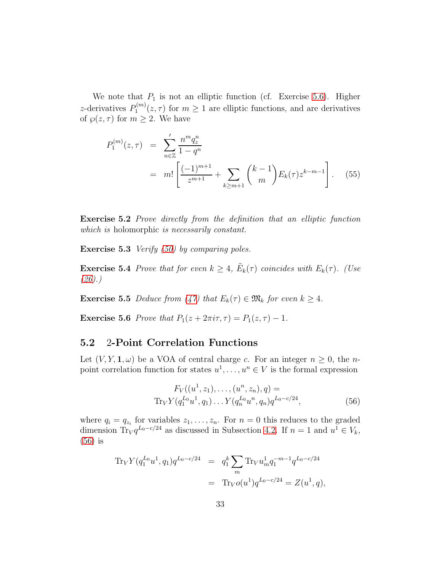We note that  $P_1$  is not an elliptic function (cf. Exercise [5.6\)](#page-32-2). Higher z-derivatives  $P_1^{(m)}$  $\sum_{1}^{(m)}(z,\tau)$  for  $m\geq 1$  are elliptic functions, and are derivatives of  $\wp(z,\tau)$  for  $m \geq 2$ . We have

<span id="page-32-4"></span>
$$
P_1^{(m)}(z,\tau) = \sum_{n\in\mathbb{Z}}' \frac{n^m q_z^n}{1-q^n}
$$
  
=  $m! \left[ \frac{(-1)^{m+1}}{z^{m+1}} + \sum_{k\geq m+1} {k-1 \choose m} E_k(\tau) z^{k-m-1} \right].$  (55)

<span id="page-32-1"></span>Exercise 5.2 Prove directly from the definition that an elliptic function which is holomorphic is necessarily constant.

Exercise 5.3 *Verify [\(50\)](#page-30-1) by comparing poles.* 

**Exercise 5.4** Prove that for even  $k \geq 4$ ,  $\tilde{E}_k(\tau)$  coincides with  $E_k(\tau)$ . (Use  $(26).$  $(26).$ 

**Exercise 5.5** Deduce from [\(47\)](#page-30-4) that  $E_k(\tau) \in \mathfrak{M}_k$  for even  $k \geq 4$ .

<span id="page-32-2"></span>**Exercise 5.6** Prove that  $P_1(z + 2\pi i\tau, \tau) = P_1(z, \tau) - 1$ .

#### <span id="page-32-0"></span>5.2 2-Point Correlation Functions

Let  $(V, Y, \mathbf{1}, \omega)$  be a VOA of central charge c. For an integer  $n \geq 0$ , the npoint correlation function for states  $u^1, \ldots, u^n \in V$  is the formal expression

<span id="page-32-3"></span>
$$
F_V((u^1, z_1), \dots, (u^n, z_n), q) =
$$
  
\n
$$
\text{Tr}_V Y(q_1^{L_0} u^1, q_1) \dots Y(q_n^{L_0} u^n, q_n) q^{L_0 - c/24},
$$
\n(56)

where  $q_i = q_{z_i}$  for variables  $z_1, \ldots, z_n$ . For  $n = 0$  this reduces to the graded dimension Tr<sub>V</sub> $q^{L_0-c/24}$  as discussed in Subsection [4.2.](#page-25-0) If  $n=1$  and  $u^1 \in V_k$ , [\(56\)](#page-32-3) is

$$
\begin{array}{rcl}\n\operatorname{Tr}_V Y(q_1^{L_0} u^1, q_1) q^{L_0 - c/24} & = & q_1^k \sum_m \operatorname{Tr}_V u_m^1 q_1^{-m-1} q^{L_0 - c/24} \\
& = & \operatorname{Tr}_V o(u^1) q^{L_0 - c/24} = Z(u^1, q),\n\end{array}
$$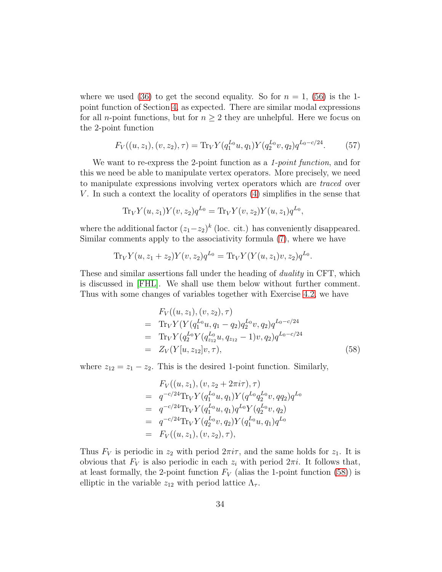where we used [\(36\)](#page-24-3) to get the second equality. So for  $n = 1$ , [\(56\)](#page-32-3) is the 1point function of Section [4,](#page-24-0) as expected. There are similar modal expressions for all *n*-point functions, but for  $n \geq 2$  they are unhelpful. Here we focus on the 2-point function

$$
F_V((u, z_1), (v, z_2), \tau) = \text{Tr}_V Y(q_1^{L_0} u, q_1) Y(q_2^{L_0} v, q_2) q^{L_0 - c/24}.
$$
 (57)

We want to re-express the 2-point function as a 1-*point function*, and for this we need be able to manipulate vertex operators. More precisely, we need to manipulate expressions involving vertex operators which are traced over V. In such a context the locality of operators  $(4)$  simplifies in the sense that

$$
\text{Tr}_V Y(u, z_1) Y(v, z_2) q^{L_0} = \text{Tr}_V Y(v, z_2) Y(u, z_1) q^{L_0},
$$

where the additional factor  $(z_1-z_2)^k$  (loc. cit.) has conveniently disappeared. Similar comments apply to the associativity formula [\(7\)](#page-9-1), where we have

$$
\text{Tr}_V Y(u, z_1 + z_2) Y(v, z_2) q^{L_0} = \text{Tr}_V Y(Y(u, z_1)v, z_2) q^{L_0}.
$$

These and similar assertions fall under the heading of duality in CFT, which is discussed in [\[FHL\]](#page-113-0). We shall use them below without further comment. Thus with some changes of variables together with Exercise [4.2,](#page-25-1) we have

<span id="page-33-0"></span>
$$
F_V((u, z_1), (v, z_2), \tau)
$$
  
= Tr<sub>V</sub>Y(Y(q<sub>1</sub><sup>L<sub>0</sub></sup>u, q<sub>1</sub> - q<sub>2</sub>)q<sub>2</sub><sup>L<sub>0</sub></sup>v, q<sub>2</sub>)q<sub>L<sub>0</sub>-c/24</sub>  
= Tr<sub>V</sub>Y(q<sub>2</sub><sup>L<sub>0</sub></sup>Y(q<sub>z<sub>12</sub></sub><sup>L<sub>0</sub></sup>u, q<sub>z<sub>12</sub></sub> - 1)v, q<sub>2</sub>)q<sub>L<sub>0</sub>-c/24</sub>  
= Z<sub>V</sub>(Y[u, z<sub>12</sub>]v, \tau), (58)

where  $z_{12} = z_1 - z_2$ . This is the desired 1-point function. Similarly,

$$
F_V((u, z_1), (v, z_2 + 2\pi i\tau), \tau)
$$
  
=  $q^{-c/24} \text{Tr}_V Y(q_1^{L_0} u, q_1) Y(q^{L_0} q_2^{L_0} v, q q_2) q^{L_0}$   
=  $q^{-c/24} \text{Tr}_V Y(q_1^{L_0} u, q_1) q^{L_0} Y(q_2^{L_0} v, q_2)$   
=  $q^{-c/24} \text{Tr}_V Y(q_2^{L_0} v, q_2) Y(q_1^{L_0} u, q_1) q^{L_0}$   
=  $F_V((u, z_1), (v, z_2), \tau)$ ,

Thus  $F_V$  is periodic in  $z_2$  with period  $2\pi i\tau$ , and the same holds for  $z_1$ . It is obvious that  $F_V$  is also periodic in each  $z_i$  with period  $2\pi i$ . It follows that, at least formally, the 2-point function  $F_V$  (alias the 1-point function [\(58\)](#page-33-0)) is elliptic in the variable  $z_{12}$  with period lattice  $\Lambda_{\tau}$ .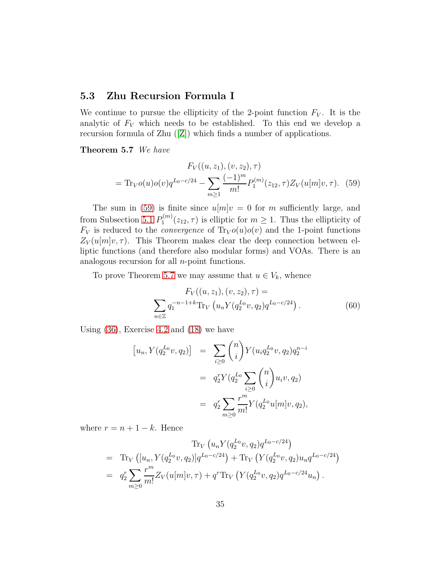#### <span id="page-34-0"></span>5.3 Zhu Recursion Formula I

We continue to pursue the ellipticity of the 2-point function  $F_V$ . It is the analytic of  $F_V$  which needs to be established. To this end we develop a recursion formula of Zhu([\[Z\]](#page-117-0)) which finds a number of applications.

<span id="page-34-2"></span>Theorem 5.7 We have

<span id="page-34-1"></span>
$$
F_V((u, z_1), (v, z_2), \tau)
$$
  
= Tr<sub>V</sub>o(u)<sub>o</sub>(v)<sub>q</sub><sup>L<sub>0</sub>-c/24</sup> - 
$$
\sum_{m\geq 1} \frac{(-1)^m}{m!} P_1^{(m)}(z_{12}, \tau) Z_V(u[m]v, \tau). \quad (59)
$$

The sum in [\(59\)](#page-34-1) is finite since  $u[m]v = 0$  for m sufficiently large, and from Subsection [5.1](#page-29-0)  $P_1^{(m)}$  $\sum_{1}^{(m)}(z_{12},\tau)$  is elliptic for  $m\geq 1$ . Thus the ellipticity of  $F_V$  is reduced to the *convergence* of  $Tr_V o(u)o(v)$  and the 1-point functions  $Z_V(u[m]v, \tau)$ . This Theorem makes clear the deep connection between elliptic functions (and therefore also modular forms) and VOAs. There is an analogous recursion for all  $n$ -point functions.

To prove Theorem [5.7](#page-34-2) we may assume that  $u \in V_k$ , whence

<span id="page-34-3"></span>
$$
F_V((u, z_1), (v, z_2), \tau) =
$$
  

$$
\sum_{n \in \mathbb{Z}} q_1^{-n-1+k} \text{Tr}_V(u_n Y(q_2^{L_0} v, q_2) q^{L_0 - c/24}).
$$
 (60)

Using [\(36\)](#page-24-3), Exercise [4.2](#page-25-1) and [\(18\)](#page-16-5) we have

$$
[u_n, Y(q_2^{L_0}v, q_2)] = \sum_{i \ge 0} {n \choose i} Y(u_i q_2^{L_0}v, q_2) q_2^{n-i}
$$
  

$$
= q_2^r Y(q_2^{L_0} \sum_{i \ge 0} {n \choose i} u_i v, q_2)
$$
  

$$
= q_2^r \sum_{m \ge 0} \frac{r^m}{m!} Y(q_2^{L_0} u[m]v, q_2),
$$

where  $r = n + 1 - k$ . Hence

$$
\text{Tr}_V (u_n Y(q_2^{L_0} v, q_2) q^{L_0 - c/24})
$$
\n
$$
= \text{Tr}_V ( [u_n, Y(q_2^{L_0} v, q_2)] q^{L_0 - c/24} ) + \text{Tr}_V (Y(q_2^{L_0} v, q_2) u_n q^{L_0 - c/24} )
$$
\n
$$
= q_2^r \sum_{m \geq 0} \frac{r^m}{m!} Z_V(u[m]v, \tau) + q^r \text{Tr}_V (Y(q_2^{L_0} v, q_2) q^{L_0 - c/24} u_n).
$$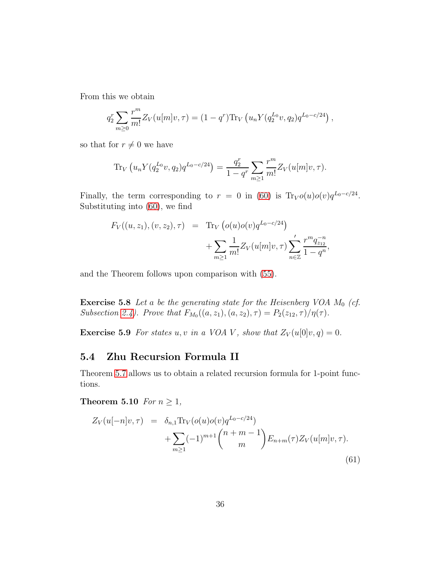From this we obtain

$$
q_2^r \sum_{m \geq 0} \frac{r^m}{m!} Z_V(u[m]v, \tau) = (1 - q^r) \text{Tr}_V(u_n Y(q_2^{L_0} v, q_2) q^{L_0 - c/24}),
$$

so that for  $r \neq 0$  we have

$$
\text{Tr}_V(u_n Y(q_2^{L_0} v, q_2) q^{L_0 - c/24}) = \frac{q_2^r}{1 - q^r} \sum_{m \ge 1} \frac{r^m}{m!} Z_V(u[m]v, \tau).
$$

Finally, the term corresponding to  $r = 0$  in [\(60\)](#page-34-3) is Tr<sub>V</sub> $o(u)o(v)q^{L_0-c/24}$ . Substituting into [\(60\)](#page-34-3), we find

$$
F_V((u, z_1), (v, z_2), \tau) = \text{Tr}_V (o(u)o(v)q^{L_0 - c/24}) + \sum_{m \ge 1} \frac{1}{m!} Z_V(u[m]v, \tau) \sum_{n \in \mathbb{Z}}' \frac{r^m q_{z_{12}}^{-n}}{1 - q^n},
$$

and the Theorem follows upon comparison with [\(55\)](#page-32-4).

**Exercise 5.8** Let a be the generating state for the Heisenberg VOA  $M_0$  (cf. Subsection [2.4\)](#page-10-0). Prove that  $F_{M_0}((a, z_1), (a, z_2), \tau) = P_2(z_{12}, \tau)/\eta(\tau)$ .

**Exercise 5.9** For states u, v in a VOA V, show that  $Z_V(u[0]v, q) = 0$ .

#### <span id="page-35-0"></span>5.4 Zhu Recursion Formula II

Theorem [5.7](#page-34-2) allows us to obtain a related recursion formula for 1-point functions.

Theorem 5.10 For  $n \geq 1$ ,

$$
Z_V(u[-n]v, \tau) = \delta_{n,1} \text{Tr}_V(o(u)o(v)q^{L_0 - c/24}) + \sum_{m \ge 1} (-1)^{m+1} \binom{n+m-1}{m} E_{n+m}(\tau) Z_V(u[m]v, \tau).
$$
\n(61)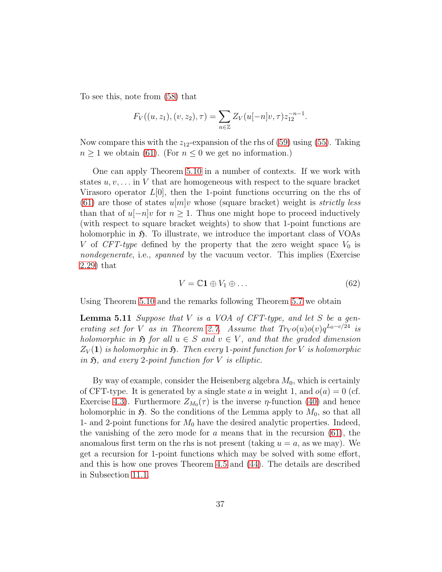To see this, note from [\(58\)](#page-33-0) that

$$
F_V((u, z_1), (v, z_2), \tau) = \sum_{n \in \mathbb{Z}} Z_V(u[-n]v, \tau) z_{12}^{-n-1}.
$$

Now compare this with the  $z_{12}$ -expansion of the rhs of [\(59\)](#page-34-0) using [\(55\)](#page-32-0). Taking  $n \geq 1$  we obtain [\(61\)](#page-35-0). (For  $n \leq 0$  we get no information.)

One can apply Theorem [5.10](#page-35-1) in a number of contexts. If we work with states  $u, v, \ldots$  in V that are homogeneous with respect to the square bracket Virasoro operator  $L[0]$ , then the 1-point functions occurring on the rhs of [\(61\)](#page-35-0) are those of states  $u[m]v$  whose (square bracket) weight is *strictly less* than that of  $u[-n]v$  for  $n \geq 1$ . Thus one might hope to proceed inductively (with respect to square bracket weights) to show that 1-point functions are holomorphic in  $\mathfrak{H}$ . To illustrate, we introduce the important class of VOAs V of CFT-type defined by the property that the zero weight space  $V_0$  is nondegenerate, i.e., spanned by the vacuum vector. This implies (Exercise [2.29\)](#page-15-0) that

<span id="page-36-1"></span><span id="page-36-0"></span>
$$
V = \mathbb{C}1 \oplus V_1 \oplus \dots \tag{62}
$$

Using Theorem [5.10](#page-35-1) and the remarks following Theorem [5.7](#page-34-1) we obtain

**Lemma 5.11** Suppose that  $V$  is a VOA of CFT-type, and let  $S$  be a gen-erating set for V as in Theorem [2.7.](#page-9-0) Assume that  $Tr_V o(u) o(v) q^{L_0 - c/24}$  is holomorphic in  $\mathfrak H$  for all  $u \in S$  and  $v \in V$ , and that the graded dimension  $Z_V(1)$  is holomorphic in  $\mathfrak{H}$ . Then every 1-point function for V is holomorphic in  $\mathfrak{H}$ , and every 2-point function for V is elliptic.

By way of example, consider the Heisenberg algebra  $M_0$ , which is certainly of CFT-type. It is generated by a single state a in weight 1, and  $o(a) = 0$  (cf. Exercise [4.3\)](#page-25-0). Furthermore  $Z_{M_0}(\tau)$  is the inverse  $\eta$ -function [\(40\)](#page-26-0) and hence holomorphic in  $\mathfrak{H}$ . So the conditions of the Lemma apply to  $M_0$ , so that all 1- and 2-point functions for  $M_0$  have the desired analytic properties. Indeed, the vanishing of the zero mode for a means that in the recursion  $(61)$ , the anomalous first term on the rhs is not present (taking  $u = a$ , as we may). We get a recursion for 1-point functions which may be solved with some effort, and this is how one proves Theorem [4.5](#page-27-0) and [\(44\)](#page-28-0). The details are described in Subsection [11.1.](#page-76-0)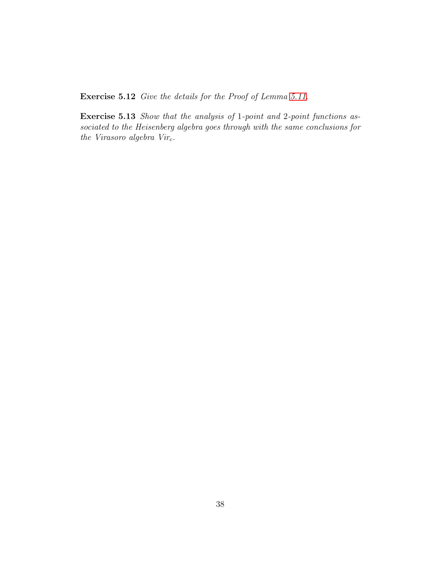Exercise 5.12 Give the details for the Proof of Lemma [5.11.](#page-36-0)

Exercise 5.13 Show that the analysis of 1-point and 2-point functions associated to the Heisenberg algebra goes through with the same conclusions for the Virasoro algebra  $Vir_c$ .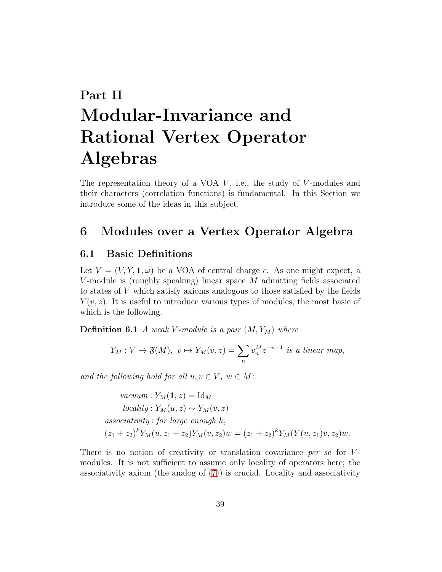# Part II Modular-Invariance and Rational Vertex Operator Algebras

The representation theory of a VOA  $V$ , i.e., the study of  $V$ -modules and their characters (correlation functions) is fundamental. In this Section we introduce some of the ideas in this subject.

# <span id="page-38-1"></span><span id="page-38-0"></span>6 Modules over a Vertex Operator Algebra

### 6.1 Basic Definitions

Let  $V = (V, Y, 1, \omega)$  be a VOA of central charge c. As one might expect, a V-module is (roughly speaking) linear space  $M$  admitting fields associated to states of V which satisfy axioms analogous to those satisfied by the fields  $Y(v, z)$ . It is useful to introduce various types of modules, the most basic of which is the following.

**Definition 6.1** A weak V-module is a pair  $(M, Y_M)$  where

$$
Y_M: V \to \mathfrak{F}(M), \ v \mapsto Y_M(v, z) = \sum_n v_n^M z^{-n-1} \text{ is a linear map},
$$

and the following hold for all  $u, v \in V$ ,  $w \in M$ :

vacuum : 
$$
Y_M(\mathbf{1}, z) = \text{Id}_M
$$
  
\nlocality :  $Y_M(u, z) \sim Y_M(v, z)$   
\nassociativity : for large enough k,  
\n $(z_1 + z_2)^k Y_M(u, z_1 + z_2) Y_M(v, z_2) w = (z_1 + z_2)^k Y_M(Y(u, z_1)v, z_2) w.$ 

There is no notion of creativity or translation covariance per se for  $V$ modules. It is not sufficient to assume only locality of operators here; the associativity axiom (the analog of [\(7\)](#page-9-1)) is crucial. Locality and associativity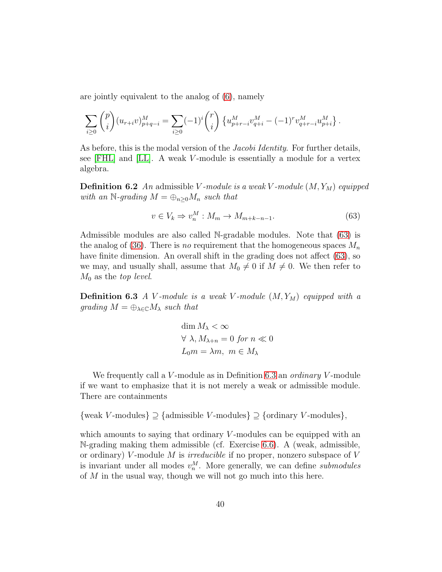are jointly equivalent to the analog of [\(6\)](#page-8-0), namely

$$
\sum_{i\geq 0} \binom{p}{i} (u_{r+i}v)_{p+q-i}^M = \sum_{i\geq 0} (-1)^i \binom{r}{i} \left\{ u_{p+r-i}^M v_{q+i}^M - (-1)^r v_{q+r-i}^M u_{p+i}^M \right\}.
$$

As before, this is the modal version of the *Jacobi Identity*. For further details, see [\[FHL\]](#page-113-0) and [\[LL\]](#page-115-0). A weak V -module is essentially a module for a vertex algebra.

**Definition 6.2** An admissible V-module is a weak V-module  $(M, Y_M)$  equipped with an N-grading  $M = \bigoplus_{n\geq 0} M_n$  such that

<span id="page-39-0"></span>
$$
v \in V_k \Rightarrow v_n^M : M_m \to M_{m+k-n-1}.
$$
\n
$$
(63)
$$

Admissible modules are also called N-gradable modules. Note that [\(63\)](#page-39-0) is the analog of [\(36\)](#page-24-0). There is no requirement that the homogeneous spaces  $M_n$ have finite dimension. An overall shift in the grading does not affect [\(63\)](#page-39-0), so we may, and usually shall, assume that  $M_0 \neq 0$  if  $M \neq 0$ . We then refer to  $M_0$  as the *top level*.

<span id="page-39-1"></span>**Definition 6.3** A V-module is a weak V-module  $(M, Y_M)$  equipped with a grading  $M = \bigoplus_{\lambda \in \mathbb{C}} M_{\lambda}$  such that

$$
\dim M_{\lambda} < \infty
$$
\n
$$
\forall \lambda, M_{\lambda+n} = 0 \text{ for } n \ll 0
$$
\n
$$
L_0 m = \lambda m, \ m \in M_{\lambda}
$$

We frequently call a V-module as in Definition [6.3](#page-39-1) an *ordinary* V-module if we want to emphasize that it is not merely a weak or admissible module. There are containments

 $\{\text{weak } V\text{-modules}\}\supseteq \{\text{admissible } V\text{-modules}\}\supseteq \{\text{ordinary } V\text{-modules}\},$ 

which amounts to saying that ordinary  $V$ -modules can be equipped with an N-grading making them admissible (cf. Exercise [6.6\)](#page-42-0). A (weak, admissible, or ordinary) V-module M is *irreducible* if no proper, nonzero subspace of V is invariant under all modes  $v_n^M$ . More generally, we can define *submodules* of  $M$  in the usual way, though we will not go much into this here.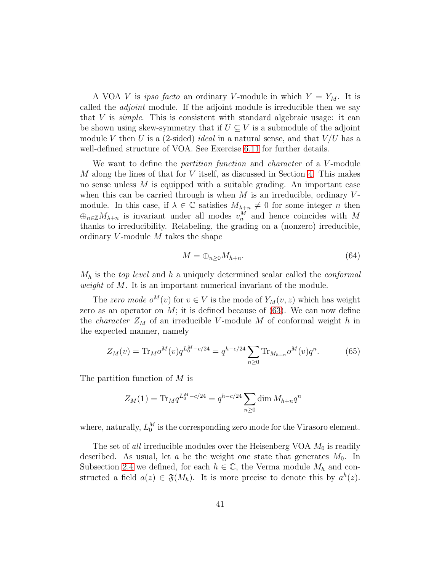A VOA V is *ipso facto* an ordinary V-module in which  $Y = Y_M$ . It is called the *adjoint* module. If the adjoint module is irreducible then we say that  $V$  is *simple*. This is consistent with standard algebraic usage: it can be shown using skew-symmetry that if  $U \subseteq V$  is a submodule of the adjoint module V then U is a (2-sided) *ideal* in a natural sense, and that  $V/U$  has a well-defined structure of VOA. See Exercise [6.11](#page-43-0) for further details.

We want to define the *partition function* and *character* of a V-module  $M$  along the lines of that for  $V$  itself, as discussed in Section [4.](#page-24-1) This makes no sense unless M is equipped with a suitable grading. An important case when this can be carried through is when  $M$  is an irreducible, ordinary  $V$ module. In this case, if  $\lambda \in \mathbb{C}$  satisfies  $M_{\lambda+n} \neq 0$  for some integer n then  $\bigoplus_{n\in\mathbb{Z}}M_{\lambda+n}$  is invariant under all modes  $v_n^M$  and hence coincides with M thanks to irreducibility. Relabeling, the grading on a (nonzero) irreducible, ordinary V-module  $M$  takes the shape

<span id="page-40-0"></span>
$$
M = \bigoplus_{n \ge 0} M_{h+n}.\tag{64}
$$

 $M_h$  is the top level and h a uniquely determined scalar called the conformal weight of M. It is an important numerical invariant of the module.

The zero mode  $o^M(v)$  for  $v \in V$  is the mode of  $Y_M(v, z)$  which has weight zero as an operator on  $M$ ; it is defined because of  $(63)$ . We can now define the *character*  $Z_M$  of an irreducible V-module M of conformal weight h in the expected manner, namely

<span id="page-40-1"></span>
$$
Z_M(v) = \text{Tr}_M o^M(v) q^{L_0^M - c/24} = q^{h - c/24} \sum_{n \ge 0} \text{Tr}_{M_{h+n}} o^M(v) q^n.
$$
 (65)

The partition function of M is

$$
Z_M(\mathbf{1}) = \text{Tr}_M q^{L_0^M - c/24} = q^{h - c/24} \sum_{n \ge 0} \dim M_{h+n} q^n
$$

where, naturally,  $L_0^M$  is the corresponding zero mode for the Virasoro element.

The set of *all* irreducible modules over the Heisenberg VOA  $M_0$  is readily described. As usual, let a be the weight one state that generates  $M_0$ . In Subsection [2.4](#page-10-0) we defined, for each  $h \in \mathbb{C}$ , the Verma module  $M_h$  and constructed a field  $a(z) \in \mathfrak{F}(M_h)$ . It is more precise to denote this by  $a^h(z)$ .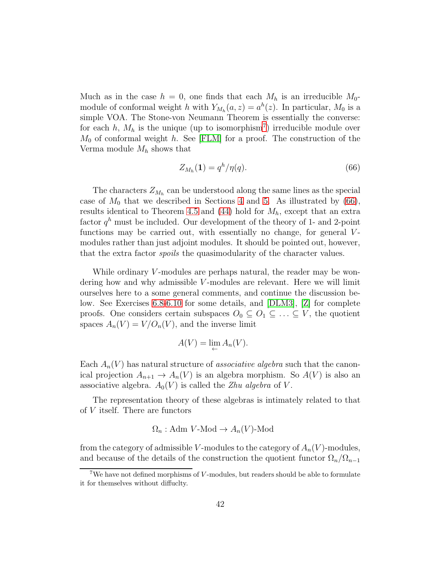Much as in the case  $h = 0$ , one finds that each  $M_h$  is an irreducible  $M_0$ module of conformal weight h with  $Y_{M_h}(a, z) = a^h(z)$ . In particular,  $M_0$  is a simple VOA. The Stone-von Neumann Theorem is essentially the converse: for each  $h, M_h$  is the unique (up to isomorphism<sup>[7](#page-41-0)</sup>) irreducible module over  $M_0$  of conformal weight h. See [\[FLM\]](#page-113-1) for a proof. The construction of the Verma module  $M_h$  shows that

<span id="page-41-1"></span>
$$
Z_{M_h}(1) = q^h / \eta(q). \tag{66}
$$

The characters  $Z_{M_h}$  can be understood along the same lines as the special case of  $M_0$  that we described in Sections [4](#page-24-1) and [5.](#page-28-1) As illustrated by [\(66\)](#page-41-1), results identical to Theorem [4.5](#page-27-0) and [\(44\)](#page-28-0) hold for  $M_h$ , except that an extra factor  $q^h$  must be included. Our development of the theory of 1- and 2-point functions may be carried out, with essentially no change, for general  $V$ modules rather than just adjoint modules. It should be pointed out, however, that the extra factor spoils the quasimodularity of the character values.

While ordinary  $V$ -modules are perhaps natural, the reader may be wondering how and why admissible  $V$ -modules are relevant. Here we will limit ourselves here to a some general comments, and continue the discussion below. See Exercises [6.8-](#page-43-1)[6.10](#page-43-2) for some details, and [\[DLM3\]](#page-112-0), [\[Z\]](#page-117-0) for complete proofs. One considers certain subspaces  $O_0 \subseteq O_1 \subseteq \ldots \subseteq V$ , the quotient spaces  $A_n(V) = V/O_n(V)$ , and the inverse limit

$$
A(V) = \lim_{\leftarrow} A_n(V).
$$

Each  $A_n(V)$  has natural structure of *associative algebra* such that the canonical projection  $A_{n+1} \to A_n(V)$  is an algebra morphism. So  $A(V)$  is also an associative algebra.  $A_0(V)$  is called the *Zhu algebra* of V.

The representation theory of these algebras is intimately related to that of V itself. There are functors

$$
\Omega_n: \text{Adm } V\text{-Mod} \to A_n(V)\text{-Mod}
$$

from the category of admissible V-modules to the category of  $A_n(V)$ -modules, and because of the details of the construction the quotient functor  $\Omega_n/\Omega_{n-1}$ 

<span id="page-41-0"></span><sup>&</sup>lt;sup>7</sup>We have not defined morphisms of *V*-modules, but readers should be able to formulate it for themselves without diffuclty.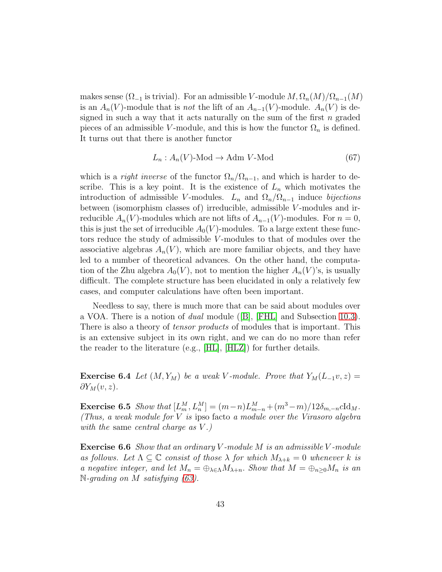makes sense ( $\Omega_{-1}$  is trivial). For an admissible V-module  $M, \Omega_n(M)/\Omega_{n-1}(M)$ is an  $A_n(V)$ -module that is not the lift of an  $A_{n-1}(V)$ -module.  $A_n(V)$  is designed in such a way that it acts naturally on the sum of the first  $n$  graded pieces of an admissible V-module, and this is how the functor  $\Omega_n$  is defined. It turns out that there is another functor

<span id="page-42-2"></span>
$$
L_n: A_n(V) \text{-Mod} \to \text{Adm } V \text{-Mod} \tag{67}
$$

which is a *right inverse* of the functor  $\Omega_n/\Omega_{n-1}$ , and which is harder to describe. This is a key point. It is the existence of  $L_n$  which motivates the introduction of admissible V-modules.  $L_n$  and  $\Omega_n/\Omega_{n-1}$  induce bijections between (isomorphism classes of) irreducible, admissible V -modules and irreducible  $A_n(V)$ -modules which are not lifts of  $A_{n-1}(V)$ -modules. For  $n=0$ , this is just the set of irreducible  $A_0(V)$ -modules. To a large extent these functors reduce the study of admissible V-modules to that of modules over the associative algebras  $A_n(V)$ , which are more familiar objects, and they have led to a number of theoretical advances. On the other hand, the computation of the Zhu algebra  $A_0(V)$ , not to mention the higher  $A_n(V)$ 's, is usually difficult. The complete structure has been elucidated in only a relatively few cases, and computer calculations have often been important.

Needless to say, there is much more that can be said about modules over a VOA. There is a notion of dual module([\[B\]](#page-111-0), [\[FHL\]](#page-113-0) and Subsection [10.3\)](#page-70-0). There is also a theory of *tensor products* of modules that is important. This is an extensive subject in its own right, and we can do no more than refer the reader to the literature (e.g., [\[HL\]](#page-114-0), [\[HLZ\]](#page-114-1)) for further details.

<span id="page-42-1"></span>**Exercise 6.4** Let  $(M, Y_M)$  be a weak V-module. Prove that  $Y_M(L_{-1}v, z) =$  $\partial Y_M(v,z)$ .

Exercise 6.5 Show that  $[L_m^M, L_n^M] = (m-n)L_{m-n}^M + (m^3-m)/12\delta_{m,-n}c\mathrm{Id}_M$ . (Thus, a weak module for  $V$  is ipso facto a module over the Virasoro algebra with the same central charge as  $V.$ )

<span id="page-42-0"></span>**Exercise 6.6** Show that an ordinary V-module M is an admissible V-module as follows. Let  $\Lambda \subseteq \mathbb{C}$  consist of those  $\lambda$  for which  $M_{\lambda+k} = 0$  whenever k is a negative integer, and let  $M_n = \bigoplus_{\lambda \in \Lambda} M_{\lambda+n}$ . Show that  $M = \bigoplus_{n \geq 0} M_n$  is an  $\mathbb{N}\text{-}qrading$  on  $M$  satisfying [\(63\)](#page-39-0).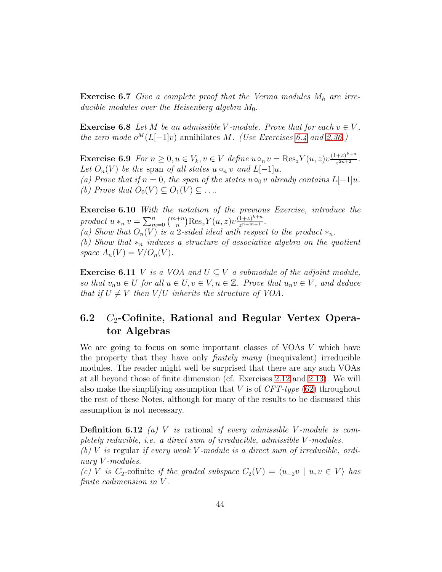**Exercise 6.7** Give a complete proof that the Verma modules  $M_h$  are irreducible modules over the Heisenberg algebra  $M_0$ .

<span id="page-43-1"></span>**Exercise 6.8** Let M be an admissible V-module. Prove that for each  $v \in V$ , the zero mode  $o^M(L[-1]v)$  annihilates M. (Use Exercises [6.4](#page-42-1) and [2.36.](#page-17-0))

<span id="page-43-5"></span>**Exercise 6.9** For  $n \geq 0, u \in V_k, v \in V$  define  $u \circ_n v = \text{Res}_z Y(u, z) v \frac{(1+z)^{k+n}}{z^{2n+2}}$  $rac{+z)^{n+n}}{z^{2n+2}}$ . Let  $O_n(V)$  be the span of all states  $u \circ_n v$  and  $L[-1]u$ . (a) Prove that if  $n = 0$ , the span of the states  $u \circ_0 v$  already contains  $L[-1]u$ .

(b) Prove that  $O_0(V) \subseteq O_1(V) \subseteq \ldots$ 

<span id="page-43-2"></span>Exercise 6.10 With the notation of the previous Exercise, introduce the product  $u *_{n} v = \sum_{m=0}^{n} {m+n \choose n} Res_{z} Y(u, z) v \frac{(1+z)^{k+n}}{z^{n+m+1}}.$ 

(a) Show that  $O_n(V)$  is a 2-sided ideal with respect to the product  $*_n$ . (b) Show that  $*_n$  induces a structure of associative algebra on the quotient space  $A_n(V) = V/O_n(V)$ .

<span id="page-43-0"></span>**Exercise 6.11** V is a VOA and  $U \subseteq V$  a submodule of the adjoint module, so that  $v_nu \in U$  for all  $u \in U, v \in V, n \in \mathbb{Z}$ . Prove that  $u_nv \in V$ , and deduce that if  $U \neq V$  then  $V/U$  inherits the structure of VOA.

### <span id="page-43-4"></span>6.2  $C_2$ -Cofinite, Rational and Regular Vertex Operator Algebras

We are going to focus on some important classes of VOAs V which have the property that they have only finitely many (inequivalent) irreducible modules. The reader might well be surprised that there are any such VOAs at all beyond those of finite dimension (cf. Exercises [2.12](#page-10-1) and [2.13\)](#page-10-2). We will also make the simplifying assumption that  $V$  is of  $CFT-type$  [\(62\)](#page-36-1) throughout the rest of these Notes, although for many of the results to be discussed this assumption is not necessary.

<span id="page-43-3"></span>**Definition 6.12** (a) V is rational if every admissible V-module is completely reducible, i.e. a direct sum of irreducible, admissible V -modules.

(b) V is regular if every weak V-module is a direct sum of irreducible, ordinary *V*-modules.

(c) V is C<sub>2</sub>-cofinite if the graded subspace  $C_2(V) = \langle u_{-2}v \mid u, v \in V \rangle$  has finite codimension in V.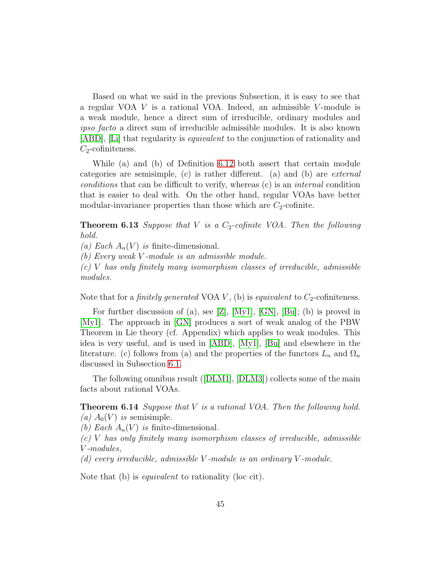Based on what we said in the previous Subsection, it is easy to see that a regular VOA  $V$  is a rational VOA. Indeed, an admissible  $V$ -module is a weak module, hence a direct sum of irreducible, ordinary modules and ipso facto a direct sum of irreducible admissible modules. It is also known [\[ABD\]](#page-111-1), [\[Li\]](#page-115-1) that regularity is equivalent to the conjunction of rationality and  $C_2$ -cofiniteness.

While (a) and (b) of Definition [6.12](#page-43-3) both assert that certain module categories are semisimple, (c) is rather different. (a) and (b) are external conditions that can be difficult to verify, whereas (c) is an internal condition that is easier to deal with. On the other hand, regular VOAs have better modular-invariance properties than those which are  $C_2$ -cofinite.

<span id="page-44-1"></span>**Theorem 6.13** Suppose that V is a  $C_2$ -cofinite VOA. Then the following hold.

(a) Each  $A_n(V)$  is finite-dimensional.

(b) Every weak V -module is an admissible module.

 $(c)$  V has only finitely many isomorphism classes of irreducible, admissible modules.

Note that for a *finitely generated* VOA  $V$ , (b) is *equivalent* to  $C_2$ -cofiniteness.

For further discussion of (a), see [\[Z\]](#page-117-0), [\[My1\]](#page-115-2), [\[GN\]](#page-114-2), [\[Bu\]](#page-111-2); (b) is proved in [\[My1\]](#page-115-2). The approach in [\[GN\]](#page-114-2) produces a sort of weak analog of the PBW Theorem in Lie theory (cf. Appendix) which applies to weak modules. This idea is very useful, and is used in [\[ABD\]](#page-111-1), [\[My1\]](#page-115-2), [\[Bu\]](#page-111-2) and elsewhere in the literature. (c) follows from (a) and the properties of the functors  $L_n$  and  $\Omega_n$ discussed in Subsection [6.1.](#page-38-0)

<span id="page-44-0"></span>The following omnibus result([\[DLM1\]](#page-112-1), [\[DLM3\]](#page-112-0)) collects some of the main facts about rational VOAs.

### **Theorem 6.14** Suppose that  $V$  is a rational VOA. Then the following hold. (a)  $A_0(V)$  is semisimple.

(b) Each  $A_n(V)$  is finite-dimensional.

 $(c)$  V has only finitely many isomorphism classes of irreducible, admissible V -modules,

 $(d)$  every irreducible, admissible V-module is an ordinary V-module.

Note that (b) is equivalent to rationality (loc cit).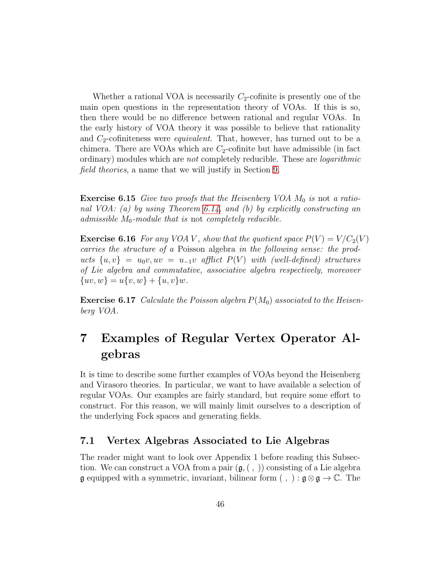Whether a rational VOA is necessarily  $C_2$ -cofinite is presently one of the main open questions in the representation theory of VOAs. If this is so, then there would be no difference between rational and regular VOAs. In the early history of VOA theory it was possible to believe that rationality and  $C_2$ -cofiniteness were *equivalent*. That, however, has turned out to be a chimera. There are VOAs which are  $C_2$ -cofinite but have admissible (in fact ordinary) modules which are *not* completely reducible. These are *logarithmic* field theories, a name that we will justify in Section [9.](#page-58-0)

**Exercise 6.15** Give two proofs that the Heisenberg VOA  $M_0$  is not a ratio-nal VOA: (a) by using Theorem [6.14,](#page-44-0) and (b) by explicitly constructing an admissible  $M_0$ -module that is not completely reducible.

**Exercise 6.16** For any VOA V, show that the quotient space  $P(V) = V/C_2(V)$ carries the structure of a Poisson algebra in the following sense: the products  $\{u, v\} = u_0v, uv = u_{-1}v$  afflict  $P(V)$  with (well-defined) structures of Lie algebra and commutative, associative algebra respectively, moreover  $\{uv, w\} = u\{v, w\} + \{u, v\}w.$ 

**Exercise 6.17** Calculate the Poisson algebra  $P(M_0)$  associated to the Heisenberg VOA.

# <span id="page-45-1"></span>7 Examples of Regular Vertex Operator Algebras

It is time to describe some further examples of VOAs beyond the Heisenberg and Virasoro theories. In particular, we want to have available a selection of regular VOAs. Our examples are fairly standard, but require some effort to construct. For this reason, we will mainly limit ourselves to a description of the underlying Fock spaces and generating fields.

### <span id="page-45-0"></span>7.1 Vertex Algebras Associated to Lie Algebras

The reader might want to look over Appendix 1 before reading this Subsection. We can construct a VOA from a pair  $(\mathfrak{g},\langle , \rangle)$  consisting of a Lie algebra  $\mathfrak g$  equipped with a symmetric, invariant, bilinear form  $( , ) : \mathfrak g \otimes \mathfrak g \to \mathbb C$ . The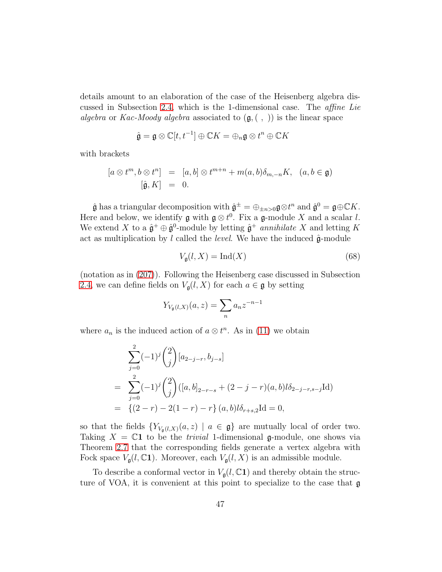details amount to an elaboration of the case of the Heisenberg algebra discussed in Subsection [2.4,](#page-10-0) which is the 1-dimensional case. The affine Lie algebra or Kac-Moody algebra associated to  $(\mathfrak{g}, ( , ))$  is the linear space

$$
\hat{\mathfrak{g}} = \mathfrak{g} \otimes \mathbb{C}[t, t^{-1}] \oplus \mathbb{C}K = \oplus_n \mathfrak{g} \otimes t^n \oplus \mathbb{C}K
$$

with brackets

$$
[a \otimes t^m, b \otimes t^n] = [a, b] \otimes t^{m+n} + m(a, b)\delta_{m,-n}K, \quad (a, b \in \mathfrak{g})
$$
  

$$
[\hat{\mathfrak{g}}, K] = 0.
$$

 $\hat{\mathfrak{g}}$  has a triangular decomposition with  $\hat{\mathfrak{g}}^{\pm} = \oplus_{\pm n > 0} \mathfrak{g} \otimes t^n$  and  $\hat{\mathfrak{g}}^0 = \mathfrak{g} \oplus \mathbb{C}K$ . Here and below, we identify  $\mathfrak{g}$  with  $\mathfrak{g} \otimes t^0$ . Fix a  $\mathfrak{g}$ -module X and a scalar l. We extend X to a  $\hat{\mathfrak{g}}^+ \oplus \hat{\mathfrak{g}}^0$ -module by letting  $\hat{\mathfrak{g}}^+$  annihilate X and letting K act as multiplication by l called the level. We have the induced  $\hat{\mathfrak{g}}$ -module

<span id="page-46-0"></span>
$$
V_{\mathfrak{g}}(l, X) = \text{Ind}(X) \tag{68}
$$

(notation as in [\(207\)](#page-109-0)). Following the Heisenberg case discussed in Subsection [2.4,](#page-10-0) we can define fields on  $V_{\mathfrak{g}}(l, X)$  for each  $a \in \mathfrak{g}$  by setting

$$
Y_{V_{\mathfrak{g}}(l,X)}(a,z) = \sum_{n} a_n z^{-n-1}
$$

where  $a_n$  is the induced action of  $a \otimes t^n$ . As in [\(11\)](#page-11-0) we obtain

$$
\sum_{j=0}^{2} (-1)^{j} {2 \choose j} [a_{2-j-r}, b_{j-s}]
$$
\n
$$
= \sum_{j=0}^{2} (-1)^{j} {2 \choose j} ([a, b]_{2-r-s} + (2-j-r)(a, b) b_{2-j-r,s-j} \text{Id})
$$
\n
$$
= \{(2-r) - 2(1-r) - r\} (a, b) b_{r+s,2} \text{Id} = 0,
$$

so that the fields  ${Y_{V_{\mathfrak{a}}(l,X)}(a, z) \mid a \in \mathfrak{g}}$  are mutually local of order two. Taking  $X = \mathbb{C}1$  to be the *trivial* 1-dimensional g-module, one shows via Theorem [2.7](#page-9-0) that the corresponding fields generate a vertex algebra with Fock space  $V_{\mathfrak{g}}(l,\mathbb{C}1)$ . Moreover, each  $V_{\mathfrak{g}}(l,X)$  is an admissible module.

To describe a conformal vector in  $V_{\mathfrak{q}}(l,\mathbb{C}1)$  and thereby obtain the structure of VOA, it is convenient at this point to specialize to the case that g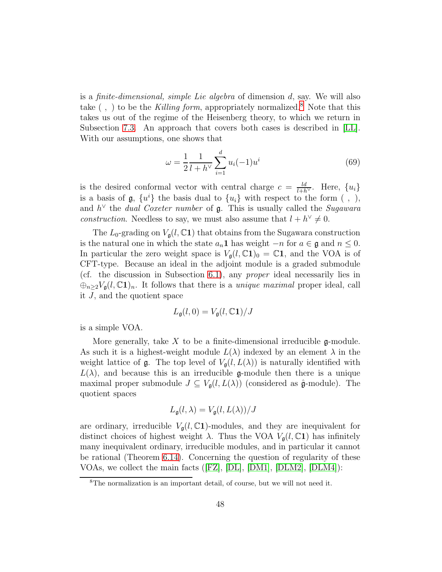is a finite-dimensional, simple Lie algebra of dimension d, say. We will also take  $( , )$  to be the Killing form, appropriately normalized.<sup>[8](#page-47-0)</sup> Note that this takes us out of the regime of the Heisenberg theory, to which we return in Subsection [7.3.](#page-49-0) An approach that covers both cases is described in [\[LL\]](#page-115-0). With our assumptions, one shows that

<span id="page-47-1"></span>
$$
\omega = \frac{1}{2} \frac{1}{l + h^{\vee}} \sum_{i=1}^{d} u_i(-1) u^i \tag{69}
$$

is the desired conformal vector with central charge  $c = \frac{ld}{l+h^{\vee}}$ . Here,  $\{u_i\}$ is a basis of  $g$ ,  $\{u^i\}$  the basis dual to  $\{u_i\}$  with respect to the form (, ), and  $h^{\vee}$  the *dual Coxeter number* of  $\mathfrak{g}$ . This is usually called the *Sugawara construction*. Needless to say, we must also assume that  $l + h^{\vee} \neq 0$ .

The  $L_0$ -grading on  $V_{\mathfrak{g}}(l,\mathbb{C}1)$  that obtains from the Sugawara construction is the natural one in which the state  $a_n\mathbf{1}$  has weight  $-n$  for  $a \in \mathfrak{g}$  and  $n \leq 0$ . In particular the zero weight space is  $V_{\mathfrak{a}}(l,\mathbb{C}1)_0 = \mathbb{C}1$ , and the VOA is of CFT-type. Because an ideal in the adjoint module is a graded submodule (cf. the discussion in Subsection [6.1\)](#page-38-0), any proper ideal necessarily lies in  $\bigoplus_{n\geq 2}V_{\mathfrak{g}}(l,\mathbb{C}^{\mathbf{1}})_{n}$ . It follows that there is a *unique maximal* proper ideal, call it  $J$ , and the quotient space

$$
L_{\mathfrak{g}}(l,0) = V_{\mathfrak{g}}(l,\mathbb{C} \mathbf{1})/J
$$

is a simple VOA.

More generally, take  $X$  to be a finite-dimensional irreducible g-module. As such it is a highest-weight module  $L(\lambda)$  indexed by an element  $\lambda$  in the weight lattice of **g**. The top level of  $V_{\mathfrak{a}}(l, L(\lambda))$  is naturally identified with  $L(\lambda)$ , and because this is an irreducible g-module then there is a unique maximal proper submodule  $J \subseteq V_{\mathfrak{g}}(l, L(\lambda))$  (considered as  $\hat{\mathfrak{g}}$ -module). The quotient spaces

<span id="page-47-2"></span>
$$
L_{\mathfrak{g}}(l,\lambda) = V_{\mathfrak{g}}(l,L(\lambda))/J
$$

are ordinary, irreducible  $V_{\mathfrak{g}}(l,\mathbb{C}1)$ -modules, and they are inequivalent for distinct choices of highest weight  $\lambda$ . Thus the VOA  $V_{\mathfrak{g}}(l,\mathbb{C}1)$  has infinitely many inequivalent ordinary, irreducible modules, and in particular it cannot be rational (Theorem [6.14\)](#page-44-0). Concerning the question of regularity of these VOAs, we collect the main facts([\[FZ\]](#page-113-2), [\[DL\]](#page-112-2), [\[DM1\]](#page-112-3), [\[DLM2\]](#page-112-4), [\[DLM4\]](#page-112-5)):

<span id="page-47-0"></span><sup>8</sup>The normalization is an important detail, of course, but we will not need it.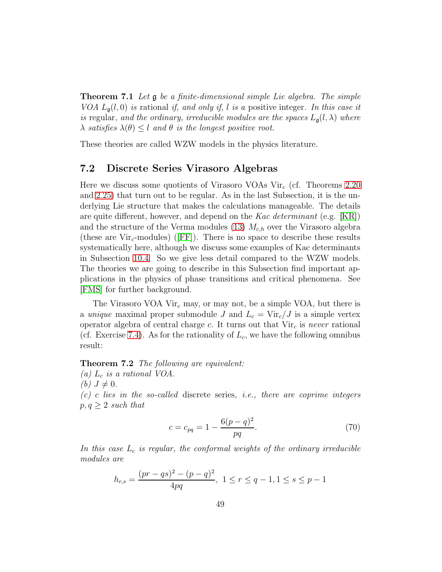Theorem 7.1 Let g be a finite-dimensional simple Lie algebra. The simple VOA  $L_q(l, 0)$  is rational if, and only if, l is a positive integer. In this case it is regular, and the ordinary, irreducible modules are the spaces  $L_{\mathfrak{a}}(l,\lambda)$  where  $\lambda$  satisfies  $\lambda(\theta) \leq l$  and  $\theta$  is the longest positive root.

These theories are called WZW models in the physics literature.

### 7.2 Discrete Series Virasoro Algebras

Here we discuss some quotients of Virasoro VOAs  $Vir_c$  (cf. Theorems [2.20](#page-12-0)) and [2.25\)](#page-14-0) that turn out to be regular. As in the last Subsection, it is the underlying Lie structure that makes the calculations manageable. The details are quite different, however, and depend on the Kac determinant (e.g.  $[KR]$ ) and the structure of the Verma modules [\(13\)](#page-12-1)  $M_{c,h}$  over the Virasoro algebra (theseare  $Vir<sub>c</sub>$ -modules) ([\[FF\]](#page-113-3)). There is no space to describe these results systematically here, although we discuss some examples of Kac determinants in Subsection [10.4.](#page-72-0) So we give less detail compared to the WZW models. The theories we are going to describe in this Subsection find important applications in the physics of phase transitions and critical phenomena. See [\[FMS\]](#page-113-4) for further background.

The Virasoro VOA Vir<sub>c</sub> may, or may not, be a simple VOA, but there is a unique maximal proper submodule J and  $L_c = \text{Vir}_c/J$  is a simple vertex operator algebra of central charge c. It turns out that  $Vir<sub>c</sub>$  is never rational (cf. Exercise [7.4\)](#page-49-1). As for the rationality of  $L_c$ , we have the following omnibus result:

#### <span id="page-48-0"></span>Theorem 7.2 The following are equivalent:

(a)  $L_c$  is a rational VOA.

(b)  $J \neq 0$ .

 $(c)$  c lies in the so-called discrete series, i.e., there are coprime integers  $p, q \geq 2$  such that

$$
c = c_{pq} = 1 - \frac{6(p-q)^2}{pq}.
$$
\n(70)

In this case  $L_c$  is regular, the conformal weights of the ordinary irreducible modules are

$$
h_{r,s} = \frac{(pr - qs)^2 - (p - q)^2}{4pq}, \ 1 \le r \le q - 1, 1 \le s \le p - 1
$$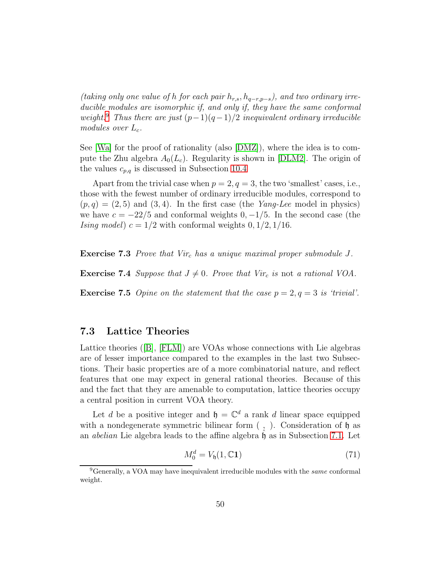(taking only one value of h for each pair  $h_{r,s}$ ,  $h_{q-r,p-s}$ ), and two ordinary irreducible modules are isomorphic if, and only if, they have the same conformal weight.<sup>[9](#page-49-2)</sup> Thus there are just  $(p-1)(q-1)/2$  inequivalent ordinary irreducible modules over  $L_c$ .

See [\[Wa\]](#page-117-1) for the proof of rationality (also [\[DMZ\]](#page-113-5)), where the idea is to compute the Zhu algebra  $A_0(L_c)$ . Regularity is shown in [\[DLM2\]](#page-112-4). The origin of the values  $c_{p,q}$  is discussed in Subsection [10.4](#page-72-0)

Apart from the trivial case when  $p = 2, q = 3$ , the two 'smallest' cases, i.e., those with the fewest number of ordinary irreducible modules, correspond to  $(p, q) = (2, 5)$  and  $(3, 4)$ . In the first case (the *Yang-Lee* model in physics) we have  $c = -22/5$  and conformal weights  $0, -1/5$ . In the second case (the *Ising model*)  $c = 1/2$  with conformal weights  $0, 1/2, 1/16$ .

<span id="page-49-1"></span>**Exercise 7.3** Prove that Vir<sub>c</sub> has a unique maximal proper submodule  $J$ .

**Exercise 7.4** Suppose that  $J \neq 0$ . Prove that Vir<sub>c</sub> is not a rational VOA.

**Exercise 7.5** Opine on the statement that the case  $p = 2, q = 3$  is 'trivial'.

### <span id="page-49-0"></span>7.3 Lattice Theories

Lattice theories([\[B\]](#page-111-0), [\[FLM\]](#page-113-1)) are VOAs whose connections with Lie algebras are of lesser importance compared to the examples in the last two Subsections. Their basic properties are of a more combinatorial nature, and reflect features that one may expect in general rational theories. Because of this and the fact that they are amenable to computation, lattice theories occupy a central position in current VOA theory.

Let d be a positive integer and  $\mathfrak{h} = \mathbb{C}^d$  a rank d linear space equipped with a nondegenerate symmetric bilinear form  $($ ,  $)$ . Consideration of  $\mathfrak h$  as an *abelian* Lie algebra leads to the affine algebra  $\mathfrak h$  as in Subsection [7.1.](#page-45-0) Let

<span id="page-49-3"></span>
$$
M_0^d = V_b(1, \mathbb{C}1) \tag{71}
$$

<span id="page-49-2"></span><sup>&</sup>lt;sup>9</sup>Generally, a VOA may have inequivalent irreducible modules with the *same* conformal weight.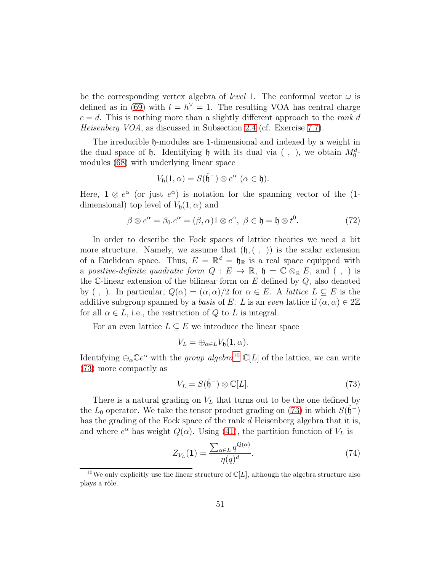be the corresponding vertex algebra of *level* 1. The conformal vector  $\omega$  is defined as in [\(69\)](#page-47-1) with  $l = h^{\vee} = 1$ . The resulting VOA has central charge  $c = d$ . This is nothing more than a slightly different approach to the *rank d* Heisenberg VOA, as discussed in Subsection [2.4](#page-10-0) (cf. Exercise [7.7\)](#page-52-0).

The irreducible  $\mathfrak h$ -modules are 1-dimensional and indexed by a weight in the dual space of  $\mathfrak h$ . Identifying  $\mathfrak h$  with its dual via (, ), we obtain  $M_0^d$ . modules [\(68\)](#page-46-0) with underlying linear space

$$
V_{\mathfrak{h}}(1,\alpha) = S(\hat{\mathfrak{h}}^-) \otimes e^{\alpha} \ (\alpha \in \mathfrak{h}).
$$

Here,  $\mathbf{1} \otimes e^{\alpha}$  (or just  $e^{\alpha}$ ) is notation for the spanning vector of the (1dimensional) top level of  $V_{\mathfrak{h}}(1,\alpha)$  and

$$
\beta \otimes e^{\alpha} = \beta_0 e^{\alpha} = (\beta, \alpha) 1 \otimes e^{\alpha}, \ \beta \in \mathfrak{h} = \mathfrak{h} \otimes t^0. \tag{72}
$$

In order to describe the Fock spaces of lattice theories we need a bit more structure. Namely, we assume that  $(\mathfrak{h},\mathfrak{h},\mathfrak{h})$  is the scalar extension of a Euclidean space. Thus,  $E = \mathbb{R}^d = \mathfrak{h}_{\mathbb{R}}$  is a real space equipped with a positive-definite quadratic form  $Q : E \to \mathbb{R}$ ,  $\mathfrak{h} = \mathbb{C} \otimes_{\mathbb{R}} E$ , and  $( , )$  is the  $\mathbb C$ -linear extension of the bilinear form on  $E$  defined by  $Q$ , also denoted by (, ). In particular,  $Q(\alpha) = (\alpha, \alpha)/2$  for  $\alpha \in E$ . A *lattice*  $L \subseteq E$  is the additive subgroup spanned by a basis of E. L is an even lattice if  $(\alpha, \alpha) \in 2\mathbb{Z}$ for all  $\alpha \in L$ , i.e., the restriction of Q to L is integral.

For an even lattice  $L \subseteq E$  we introduce the linear space

$$
V_L = \bigoplus_{\alpha \in L} V_{\mathfrak{h}}(1, \alpha).
$$

Identifying  $\bigoplus_{\alpha} \mathbb{C}e^{\alpha}$  with the *group algebra*<sup>[10](#page-50-0)</sup>  $\mathbb{C}[L]$  of the lattice, we can write [\(73\)](#page-50-1) more compactly as

<span id="page-50-1"></span>
$$
V_L = S(\hat{\mathfrak{h}}^-) \otimes \mathbb{C}[L].\tag{73}
$$

There is a natural grading on  $V_L$  that turns out to be the one defined by the  $L_0$  operator. We take the tensor product grading on [\(73\)](#page-50-1) in which  $S(\hat{\mathfrak{h}}^-)$ has the grading of the Fock space of the rank d Heisenberg algebra that it is, and where  $e^{\alpha}$  has weight  $Q(\alpha)$ . Using [\(41\)](#page-26-1), the partition function of  $V_L$  is

<span id="page-50-2"></span>
$$
Z_{V_L}(1) = \frac{\sum_{\alpha \in L} q^{Q(\alpha)}}{\eta(q)^d}.
$$
\n(74)

<span id="page-50-0"></span><sup>&</sup>lt;sup>10</sup>We only explicitly use the linear structure of  $\mathbb{C}[L]$ , although the algebra structure also plays a rôle.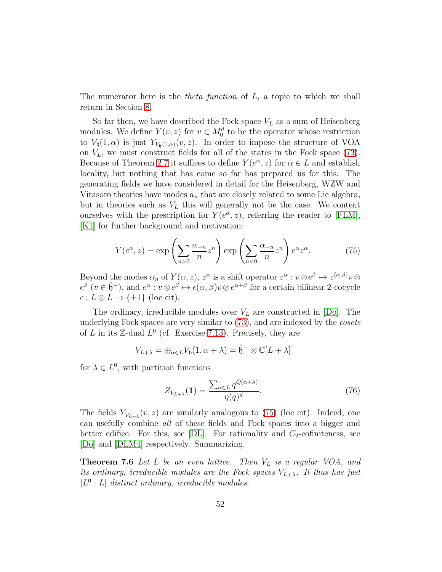The numerator here is the *theta function* of  $L$ , a topic to which we shall return in Section [8.](#page-53-0)

So far then, we have described the Fock space  $V_L$  as a sum of Heisenberg modules. We define  $Y(v, z)$  for  $v \in M_0^d$  to be the operator whose restriction to  $V_0(1,\alpha)$  is just  $Y_{V_0(1,\alpha)}(v,z)$ . In order to impose the structure of VOA on  $V_L$ , we must construct fields for all of the states in the Fock space [\(73\)](#page-50-1). Because of Theorem [2.7](#page-9-0) it suffices to define  $Y(e^{\alpha}, z)$  for  $\alpha \in L$  and establish locality, but nothing that has come so far has prepared us for this. The generating fields we have considered in detail for the Heisenberg, WZW and Virasoro theories have modes  $a_n$  that are closely related to some Lie algebra, but in theories such as  $V<sub>L</sub>$  this will generally not be the case. We content ourselves with the prescription for  $Y(e^{\alpha}, z)$ , referring the reader to [\[FLM\]](#page-113-1), [\[K1\]](#page-114-3) for further background and motivation:

<span id="page-51-0"></span>
$$
Y(e^{\alpha}, z) = \exp\left(\sum_{n>0} \frac{\alpha_{-n}}{n} z^n\right) \exp\left(\sum_{n<0} \frac{\alpha_{-n}}{n} z^n\right) e^{\alpha} z^{\alpha}.
$$
 (75)

Beyond the modes  $\alpha_n$  of  $Y(\alpha, z)$ ,  $z^{\alpha}$  is a shift operator  $z^{\alpha}: v \otimes e^{\beta} \mapsto z^{(\alpha, \beta)}v \otimes$  $e^{\beta}$   $(v \in \hat{\mathfrak{h}}^-)$ , and  $e^{\alpha} : v \otimes e^{\beta} \mapsto \epsilon(\alpha, \beta)v \otimes e^{\alpha+\beta}$  for a certain bilinear 2-cocycle  $\epsilon : L \otimes L \to \{\pm 1\}$  (loc cit).

The ordinary, irreducible modules over  $V_L$  are constructed in [\[Do\]](#page-112-6). The underlying Fock spaces are very similar to [\(73\)](#page-50-1), and are indexed by the cosets of L in its  $\mathbb{Z}$ -dual  $L^0$  (cf. Exercise [7.13\)](#page-52-1). Precisely, they are

$$
V_{L+\lambda} = \bigoplus_{\alpha \in L} V_{\mathfrak{h}}(1, \alpha + \lambda) = \hat{\mathfrak{h}}^- \otimes \mathbb{C}[L+\lambda]
$$

for  $\lambda \in L^0$ , with partition functions

<span id="page-51-2"></span>
$$
Z_{V_{L+\lambda}}(\mathbf{1}) = \frac{\sum_{\alpha \in L} q^{Q(\alpha+\lambda)}}{\eta(q)^d}.
$$
\n(76)

The fields  $Y_{V_{L+\lambda}}(v, z)$  are similarly analogous to [\(75\)](#page-51-0) (loc cit). Indeed, one can usefully combine all of these fields and Fock spaces into a bigger and better edifice. For this, see  $[DL]$ . For rationality and  $C_2$ -cofiniteness, see [\[Do\]](#page-112-6) and [\[DLM4\]](#page-112-5) respectively. Summarizing,

<span id="page-51-1"></span>**Theorem 7.6** Let L be an even lattice. Then  $V_L$  is a regular VOA, and its ordinary, irreducible modules are the Fock spaces  $V_{L+\lambda}$ . It thus has just  $|L^0: L|$  distinct ordinary, irreducible modules.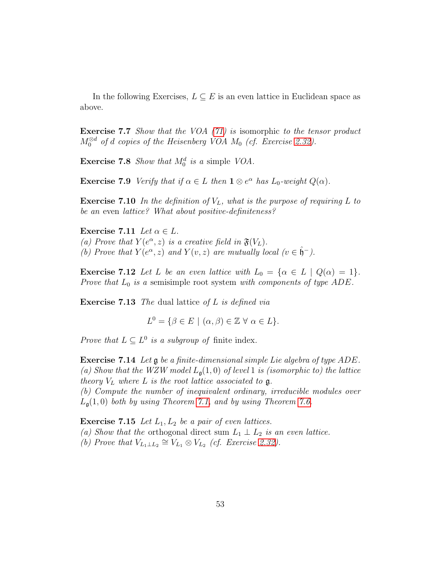<span id="page-52-0"></span>In the following Exercises,  $L \subseteq E$  is an even lattice in Euclidean space as above.

Exercise 7.7 Show that the VOA [\(71\)](#page-49-3) is isomorphic to the tensor product  $M_0^{\otimes d}$  of d copies of the Heisenberg VOA  $M_0$  (cf. Exercise [2.32\)](#page-15-1).

**Exercise 7.8** Show that  $M_0^d$  is a simple VOA.

**Exercise 7.9** Verify that if  $\alpha \in L$  then  $\mathbf{1} \otimes e^{\alpha}$  has  $L_0$ -weight  $Q(\alpha)$ .

**Exercise 7.10** In the definition of  $V<sub>L</sub>$ , what is the purpose of requiring L to be an even lattice? What about positive-definiteness?

Exercise 7.11 Let  $\alpha \in L$ . (a) Prove that  $Y(e^{\alpha}, z)$  is a creative field in  $\mathfrak{F}(V_L)$ . (b) Prove that  $Y(e^{\alpha}, z)$  and  $Y(v, z)$  are mutually local  $(v \in \hat{\mathfrak{h}}^-)$ .

**Exercise 7.12** Let L be an even lattice with  $L_0 = {\alpha \in L \mid Q(\alpha) = 1}.$ Prove that  $L_0$  is a semisimple root system with components of type ADE.

<span id="page-52-1"></span>**Exercise 7.13** The dual lattice of L is defined via

$$
L^0 = \{ \beta \in E \mid (\alpha, \beta) \in \mathbb{Z} \ \forall \ \alpha \in L \}.
$$

*Prove that*  $L \subseteq L^0$  *is a subgroup of finite index.* 

Exercise 7.14 Let g be a finite-dimensional simple Lie algebra of type ADE. (a) Show that the WZW model  $L_{\mathfrak{g}}(1,0)$  of level 1 is (isomorphic to) the lattice theory  $V_L$  where  $L$  is the root lattice associated to  $\mathfrak{g}$ . (b) Compute the number of inequivalent ordinary, irreducible modules over  $L_{\mathfrak{a}}(1,0)$  both by using Theorem [7.1,](#page-47-2) and by using Theorem [7.6.](#page-51-1)

**Exercise 7.15** Let  $L_1, L_2$  be a pair of even lattices. (a) Show that the orthogonal direct sum  $L_1 \perp L_2$  is an even lattice. (b) Prove that  $V_{L_1 \perp L_2} \cong V_{L_1} \otimes V_{L_2}$  (cf. Exercise [2.32\)](#page-15-1).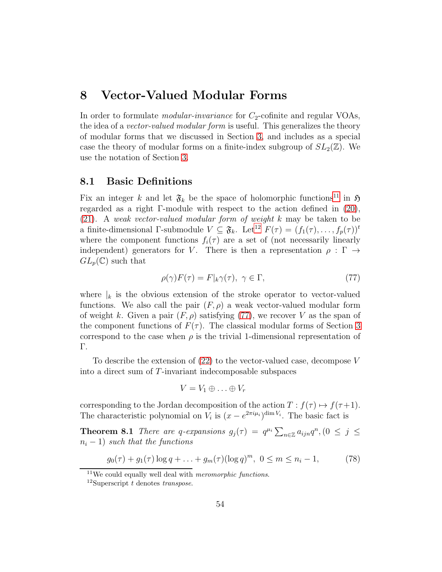## <span id="page-53-0"></span>8 Vector-Valued Modular Forms

In order to formulate *modular-invariance* for  $C_2$ -cofinite and regular VOAs, the idea of a *vector-valued modular form* is useful. This generalizes the theory of modular forms that we discussed in Section [3,](#page-17-1) and includes as a special case the theory of modular forms on a finite-index subgroup of  $SL_2(\mathbb{Z})$ . We use the notation of Section [3.](#page-17-1)

### <span id="page-53-6"></span>8.1 Basic Definitions

Fix an integer k and let  $\mathfrak{F}_k$  be the space of holomorphic functions<sup>[11](#page-53-1)</sup> in  $\mathfrak{H}$ regarded as a right Γ-module with respect to the action defined in [\(20\)](#page-17-2), [\(21\)](#page-18-0). A weak vector-valued modular form of weight k may be taken to be a finite-dimensional Γ-submodule  $V \subseteq \mathfrak{F}_k$ . Let<sup>[12](#page-53-2)</sup>  $F(\tau) = (f_1(\tau), \ldots, f_p(\tau))^t$ where the component functions  $f_i(\tau)$  are a set of (not necessarily linearly independent) generators for V. There is then a representation  $\rho : \Gamma \rightarrow$  $GL_p(\mathbb{C})$  such that

<span id="page-53-3"></span>
$$
\rho(\gamma)F(\tau) = F|_{k}\gamma(\tau), \ \gamma \in \Gamma,
$$
\n(77)

where  $|k|$  is the obvious extension of the stroke operator to vector-valued functions. We also call the pair  $(F, \rho)$  a weak vector-valued modular form of weight k. Given a pair  $(F, \rho)$  satisfying [\(77\)](#page-53-3), we recover V as the span of the component functions of  $F(\tau)$ . The classical modular forms of Section [3](#page-17-1) correspond to the case when  $\rho$  is the trivial 1-dimensional representation of Γ.

To describe the extension of [\(22\)](#page-18-1) to the vector-valued case, decompose V into a direct sum of T-invariant indecomposable subspaces

<span id="page-53-5"></span>
$$
V=V_1\oplus\ldots\oplus V_r
$$

corresponding to the Jordan decomposition of the action  $T : f(\tau) \mapsto f(\tau+1)$ . The characteristic polynomial on  $V_i$  is  $(x - e^{2\pi i \mu_i})^{\dim V_i}$ . The basic fact is

**Theorem 8.1** There are q-expansions  $g_j(\tau) = q^{\mu_i} \sum_{n \in \mathbb{Z}} a_{ijn} q^n$ ,  $(0 \leq j \leq$  $n_i - 1$ ) such that the functions

<span id="page-53-4"></span>
$$
g_0(\tau) + g_1(\tau) \log q + \ldots + g_m(\tau) (\log q)^m, \ 0 \le m \le n_i - 1,
$$
 (78)

 $11$ We could equally well deal with *meromorphic functions*.

<span id="page-53-2"></span><span id="page-53-1"></span><sup>&</sup>lt;sup>12</sup>Superscript t denotes transpose.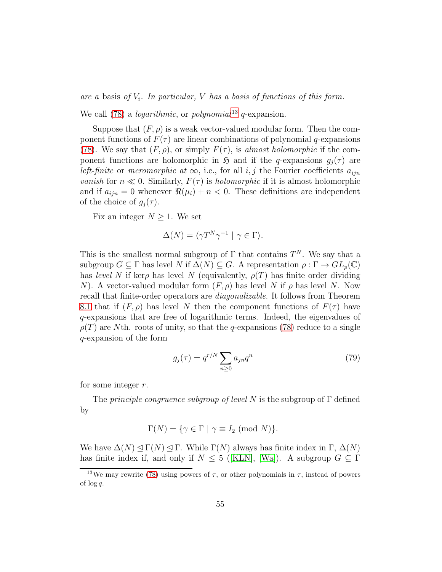are a basis of  $V_i$ . In particular, V has a basis of functions of this form.

We call [\(78\)](#page-53-4) a *logarithmic*, or *polynomial*<sup>[13](#page-54-0)</sup> q-expansion.

Suppose that  $(F, \rho)$  is a weak vector-valued modular form. Then the component functions of  $F(\tau)$  are linear combinations of polynomial q-expansions [\(78\)](#page-53-4). We say that  $(F, \rho)$ , or simply  $F(\tau)$ , is almost holomorphic if the component functions are holomorphic in  $\mathfrak{H}$  and if the q-expansions  $g_i(\tau)$  are left-finite or meromorphic at  $\infty$ , i.e., for all i, j the Fourier coefficients  $a_{ijn}$ *vanish* for  $n \ll 0$ . Similarly,  $F(\tau)$  is *holomorphic* if it is almost holomorphic and if  $a_{ijn} = 0$  whenever  $\Re(\mu_i) + n < 0$ . These definitions are independent of the choice of  $g_i(\tau)$ .

Fix an integer  $N \geq 1$ . We set

$$
\Delta(N) = \langle \gamma T^N \gamma^{-1} \mid \gamma \in \Gamma \rangle.
$$

This is the smallest normal subgroup of  $\Gamma$  that contains  $T^N$ . We say that a subgroup  $G \subseteq \Gamma$  has level N if  $\Delta(N) \subseteq G$ . A representation  $\rho : \Gamma \to GL_p(\mathbb{C})$ has level N if ker $\rho$  has level N (equivalently,  $\rho(T)$  has finite order dividing N). A vector-valued modular form  $(F, \rho)$  has level N if  $\rho$  has level N. Now recall that finite-order operators are diagonalizable. It follows from Theorem [8.1](#page-53-5) that if  $(F, \rho)$  has level N then the component functions of  $F(\tau)$  have q-expansions that are free of logarithmic terms. Indeed, the eigenvalues of  $\rho(T)$  are Nth. roots of unity, so that the q-expansions [\(78\)](#page-53-4) reduce to a single q-expansion of the form

<span id="page-54-1"></span>
$$
g_j(\tau) = q^{r/N} \sum_{n \ge 0} a_{jn} q^n \tag{79}
$$

for some integer r.

The *principle congruence subgroup of level N* is the subgroup of  $\Gamma$  defined by

$$
\Gamma(N) = \{ \gamma \in \Gamma \mid \gamma \equiv I_2 \; (\text{mod } N) \}.
$$

We have  $\Delta(N) \leq \Gamma(N) \leq \Gamma$ . While  $\Gamma(N)$  always has finite index in  $\Gamma$ ,  $\Delta(N)$ hasfinite index if, and only if  $N \leq 5$  ([\[KLN\]](#page-114-4), [\[Wa\]](#page-117-1)). A subgroup  $G \subseteq \Gamma$ 

<span id="page-54-0"></span><sup>&</sup>lt;sup>13</sup>We may rewrite [\(78\)](#page-53-4) using powers of  $\tau$ , or other polynomials in  $\tau$ , instead of powers of  $\log q$ .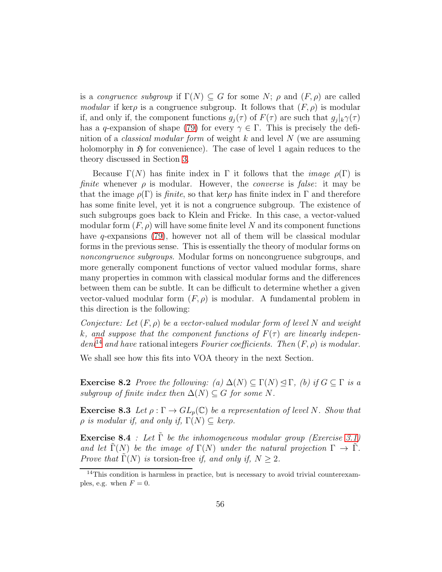is a *congruence subgroup* if  $\Gamma(N) \subseteq G$  for some N;  $\rho$  and  $(F, \rho)$  are called modular if ker $\rho$  is a congruence subgroup. It follows that  $(F, \rho)$  is modular if, and only if, the component functions  $g_j(\tau)$  of  $F(\tau)$  are such that  $g_j|_k\gamma(\tau)$ has a q-expansion of shape [\(79\)](#page-54-1) for every  $\gamma \in \Gamma$ . This is precisely the definition of a *classical modular form* of weight  $k$  and level  $N$  (we are assuming holomorphy in  $\mathfrak H$  for convenience). The case of level 1 again reduces to the theory discussed in Section [3.](#page-17-1)

Because  $\Gamma(N)$  has finite index in  $\Gamma$  it follows that the *image*  $\rho(\Gamma)$  is finite whenever  $\rho$  is modular. However, the *converse* is false: it may be that the image  $\rho(\Gamma)$  is *finite*, so that ker $\rho$  has finite index in  $\Gamma$  and therefore has some finite level, yet it is not a congruence subgroup. The existence of such subgroups goes back to Klein and Fricke. In this case, a vector-valued modular form  $(F, \rho)$  will have some finite level N and its component functions have  $q$ -expansions [\(79\)](#page-54-1), however not all of them will be classical modular forms in the previous sense. This is essentially the theory of modular forms on noncongruence subgroups. Modular forms on noncongruence subgroups, and more generally component functions of vector valued modular forms, share many properties in common with classical modular forms and the differences between them can be subtle. It can be difficult to determine whether a given vector-valued modular form  $(F, \rho)$  is modular. A fundamental problem in this direction is the following:

Conjecture: Let  $(F, \rho)$  be a vector-valued modular form of level N and weight k, and suppose that the component functions of  $F(\tau)$  are linearly indepen- $dent^{14}$  $dent^{14}$  $dent^{14}$  and have rational integers Fourier coefficients. Then  $(F, \rho)$  is modular.

We shall see how this fits into VOA theory in the next Section.

**Exercise 8.2** Prove the following: (a)  $\Delta(N) \subseteq \Gamma(N) \leq \Gamma$ , (b) if  $G \subseteq \Gamma$  is a subgroup of finite index then  $\Delta(N) \subseteq G$  for some N.

**Exercise 8.3** Let  $\rho : \Gamma \to GL_p(\mathbb{C})$  be a representation of level N. Show that  $\rho$  is modular if, and only if,  $\Gamma(N) \subseteq \text{ker}\rho$ .

**Exercise 8.4** : Let  $\tilde{\Gamma}$  be the inhomogeneous modular group (Exercise [3.1\)](#page-18-2) and let  $\Gamma(N)$  be the image of  $\Gamma(N)$  under the natural projection  $\Gamma \to \tilde{\Gamma}$ . Prove that  $\Gamma(N)$  is torsion-free if, and only if,  $N \geq 2$ .

<span id="page-55-0"></span> $14$ This condition is harmless in practice, but is necessary to avoid trivial counterexamples, e.g. when  $F = 0$ .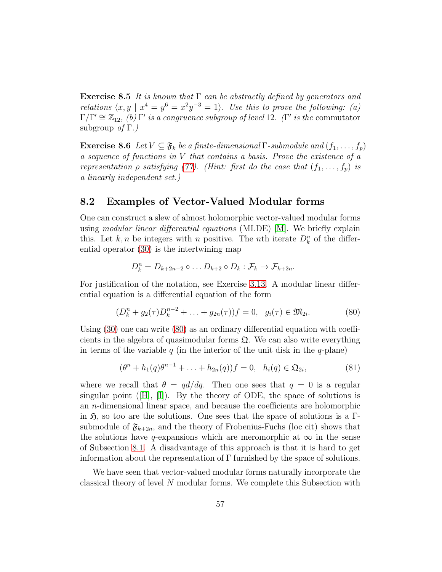<span id="page-56-2"></span>**Exercise 8.5** It is known that  $\Gamma$  can be abstractly defined by generators and relations  $\langle x, y | x^4 = y^6 = x^2y^{-3} = 1 \rangle$ . Use this to prove the following: (a)  $\Gamma/\Gamma' \cong \mathbb{Z}_{12}$ , (b)  $\Gamma'$  is a congruence subgroup of level 12. ( $\Gamma'$  is the commutator subgroup of  $\Gamma$ .)

**Exercise 8.6** Let  $V \subseteq \mathfrak{F}_k$  be a finite-dimensional  $\Gamma$ -submodule and  $(f_1, \ldots, f_p)$ a sequence of functions in V that contains a basis. Prove the existence of a representation  $\rho$  satisfying [\(77\)](#page-53-3). (Hint: first do the case that  $(f_1, \ldots, f_p)$  is a linearly independent set.)

### <span id="page-56-3"></span>8.2 Examples of Vector-Valued Modular forms

One can construct a slew of almost holomorphic vector-valued modular forms using modular linear differential equations (MLDE) [\[M\]](#page-115-4). We briefly explain this. Let  $k, n$  be integers with n positive. The nth iterate  $D_k^n$  of the differential operator [\(30\)](#page-21-0) is the intertwining map

$$
D_k^n = D_{k+2n-2} \circ \dots D_{k+2} \circ D_k : \mathcal{F}_k \to \mathcal{F}_{k+2n}.
$$

For justification of the notation, see Exercise [3.13.](#page-21-1) A modular linear differential equation is a differential equation of the form

<span id="page-56-0"></span>
$$
(D_k^n + g_2(\tau)D_k^{n-2} + \ldots + g_{2n}(\tau))f = 0, \ \ g_i(\tau) \in \mathfrak{M}_{2i}.
$$
 (80)

Using [\(30\)](#page-21-0) one can write [\(80\)](#page-56-0) as an ordinary differential equation with coefficients in the algebra of quasimodular forms  $\mathfrak{Q}$ . We can also write everything in terms of the variable q (in the interior of the unit disk in the q-plane)

<span id="page-56-1"></span>
$$
(\theta^{n} + h_{1}(q)\theta^{n-1} + \ldots + h_{2n}(q))f = 0, \ \ h_{i}(q) \in \mathfrak{Q}_{2i}, \tag{81}
$$

where we recall that  $\theta = \frac{qd}{dq}$ . Then one sees that  $q = 0$  is a regular singularpoint  $([H], [I])$  $([H], [I])$  $([H], [I])$  $([H], [I])$  $([H], [I])$ . By the theory of ODE, the space of solutions is an n-dimensional linear space, and because the coefficients are holomorphic in  $\mathfrak{H}$ , so too are the solutions. One sees that the space of solutions is a Γsubmodule of  $\mathfrak{F}_{k+2n}$ , and the theory of Frobenius-Fuchs (loc cit) shows that the solutions have q-expansions which are meromorphic at  $\infty$  in the sense of Subsection [8.1.](#page-53-6) A disadvantage of this approach is that it is hard to get information about the representation of  $\Gamma$  furnished by the space of solutions.

We have seen that vector-valued modular forms naturally incorporate the classical theory of level N modular forms. We complete this Subsection with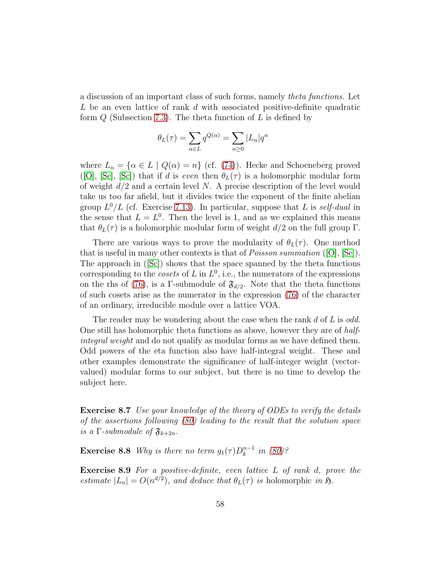a discussion of an important class of such forms, namely theta functions. Let L be an even lattice of rank d with associated positive-definite quadratic form  $Q$  (Subsection [7.3\)](#page-49-0). The theta function of  $L$  is defined by

$$
\theta_L(\tau) = \sum_{\alpha \in L} q^{Q(\alpha)} = \sum_{n \ge 0} |L_n| q^n
$$

where  $L_n = \{ \alpha \in L \mid Q(\alpha) = n \}$  (cf. [\(74\)](#page-50-2)). Hecke and Schoeneberg proved ([\[O\]](#page-116-0), [\[Se\]](#page-116-1), [\[Sc\]](#page-116-2)) that if d is even then  $\theta_L(\tau)$  is a holomorphic modular form of weight  $d/2$  and a certain level N. A precise description of the level would take us too far afield, but it divides twice the exponent of the finite abelian group  $L^0/L$  (cf. Exercise [7.13\)](#page-52-1). In particular, suppose that L is self-dual in the sense that  $L = L^0$ . Then the level is 1, and as we explained this means that  $\theta_L(\tau)$  is a holomorphic modular form of weight  $d/2$  on the full group  $\Gamma$ .

There are various ways to prove the modularity of  $\theta_L(\tau)$ . One method that is useful in many other contexts is that of *Poisson summation* ([\[O\]](#page-116-0), [\[Se\]](#page-116-1)). Theapproach in  $([Sc])$  $([Sc])$  $([Sc])$  shows that the space spanned by the theta functions corresponding to the *cosets* of  $L$  in  $L^0$ , i.e., the numerators of the expressions on the rhs of [\(76\)](#page-51-2), is a Γ-submodule of  $\mathfrak{F}_{d/2}$ . Note that the theta functions of such cosets arise as the numerator in the expression [\(76\)](#page-51-2) of the character of an ordinary, irreducible module over a lattice VOA.

The reader may be wondering about the case when the rank d of  $L$  is odd. One still has holomorphic theta functions as above, however they are of halfintegral weight and do not qualify as modular forms as we have defined them. Odd powers of the eta function also have half-integral weight. These and other examples demonstrate the significance of half-integer weight (vectorvalued) modular forms to our subject, but there is no time to develop the subject here.

<span id="page-57-0"></span>Exercise 8.7 Use your knowledge of the theory of ODEs to verify the details of the assertions following [\(80\)](#page-56-0) leading to the result that the solution space is a  $\Gamma$ -submodule of  $\mathfrak{F}_{k+2n}$ .

**Exercise 8.8** Why is there no term  $g_1(\tau)D_k^{n-1}$  in [\(80\)](#page-56-0)?

Exercise 8.9 For a positive-definite, even lattice L of rank d, prove the estimate  $|L_n| = O(n^{d/2})$ , and deduce that  $\theta_L(\tau)$  is holomorphic in  $\mathfrak{H}$ .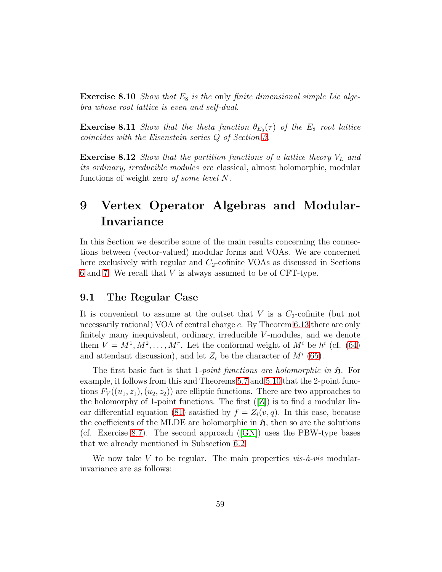**Exercise 8.10** Show that  $E_8$  is the only finite dimensional simple Lie algebra whose root lattice is even and self-dual.

<span id="page-58-4"></span>**Exercise 8.11** Show that the theta function  $\theta_{E_8}(\tau)$  of the  $E_8$  root lattice coincides with the Eisenstein series Q of Section [3.](#page-17-1)

<span id="page-58-2"></span>**Exercise 8.12** Show that the partition functions of a lattice theory  $V_L$  and its ordinary, irreducible modules are classical, almost holomorphic, modular functions of weight zero of some level N.

# <span id="page-58-0"></span>9 Vertex Operator Algebras and Modular-Invariance

In this Section we describe some of the main results concerning the connections between (vector-valued) modular forms and VOAs. We are concerned here exclusively with regular and  $C_2$ -cofinite VOAs as discussed in Sections [6](#page-38-1) and [7.](#page-45-1) We recall that V is always assumed to be of CFT-type.

### <span id="page-58-3"></span>9.1 The Regular Case

It is convenient to assume at the outset that  $V$  is a  $C_2$ -cofinite (but not necessarily rational) VOA of central charge c. By Theorem [6.13](#page-44-1) there are only finitely many inequivalent, ordinary, irreducible  $V$ -modules, and we denote them  $V = M^1, M^2, \ldots, M^r$ . Let the conformal weight of  $M^i$  be  $h^i$  (cf. [\(64\)](#page-40-0) and attendant discussion), and let  $Z_i$  be the character of  $M^i$  [\(65\)](#page-40-1).

The first basic fact is that 1-*point functions are holomorphic in*  $\mathfrak{H}$ . For example, it follows from this and Theorems [5.7](#page-34-1) and [5.10](#page-35-1) that the 2-point functions  $F_V((u_1, z_1), (u_2, z_2))$  are elliptic functions. There are two approaches to theholomorphy of 1-point functions. The first  $([Z])$  $([Z])$  $([Z])$  is to find a modular lin-ear differential equation [\(81\)](#page-56-1) satisfied by  $f = Z_i(v, q)$ . In this case, because the coefficients of the MLDE are holomorphic in  $\mathfrak{H}$ , then so are the solutions (cf. Exercise [8.7\)](#page-57-0).The second approach ( $|GN|$ ) uses the PBW-type bases that we already mentioned in Subsection [6.2.](#page-43-4)

<span id="page-58-1"></span>We now take V to be regular. The main properties  $vis-\hat{a}-vis$  modularinvariance are as follows: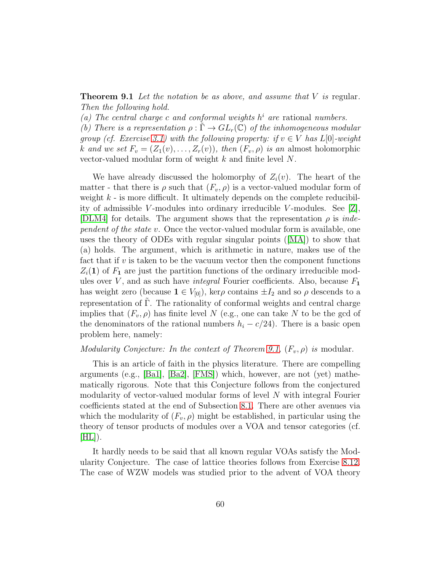**Theorem 9.1** Let the notation be as above, and assume that  $V$  is regular. Then the following hold.

(a) The central charge c and conformal weights  $h^i$  are rational numbers.

(b) There is a representation  $\rho : \Gamma \to GL_r(\mathbb{C})$  of the inhomogeneous modular group (cf. Exercise [3.1\)](#page-18-2) with the following property: if  $v \in V$  has  $L[0]$ -weight k and we set  $F_v = (Z_1(v), \ldots, Z_r(v))$ , then  $(F_v, \rho)$  is an almost holomorphic vector-valued modular form of weight  $k$  and finite level  $N$ .

We have already discussed the holomorphy of  $Z_i(v)$ . The heart of the matter - that there is  $\rho$  such that  $(F_v, \rho)$  is a vector-valued modular form of weight  $k$  - is more difficult. It ultimately depends on the complete reducibility of admissible V-modules into ordinary irreducible V-modules. See  $|Z|$ , [\[DLM4\]](#page-112-5) for details. The argument shows that the representation  $\rho$  is *inde*pendent of the state v. Once the vector-valued modular form is available, one uses the theory of ODEs with regular singular points([\[MA\]](#page-115-5)) to show that (a) holds. The argument, which is arithmetic in nature, makes use of the fact that if  $v$  is taken to be the vacuum vector then the component functions  $Z_i(1)$  of  $F_1$  are just the partition functions of the ordinary irreducible modules over  $V$ , and as such have *integral* Fourier coefficients. Also, because  $F_1$ has weight zero (because  $\mathbf{1} \in V_{[0]}$ ), ker $\rho$  contains  $\pm I_2$  and so  $\rho$  descends to a representation of  $\Gamma$ . The rationality of conformal weights and central charge implies that  $(F_v, \rho)$  has finite level N (e.g., one can take N to be the gcd of the denominators of the rational numbers  $h_i - c/24$ ). There is a basic open problem here, namely:

### Modularity Conjecture: In the context of Theorem [9.1,](#page-58-1)  $(F_v, \rho)$  is modular.

This is an article of faith in the physics literature. There are compelling arguments (e.g., [\[Ba1\]](#page-111-3), [\[Ba2\]](#page-111-4), [\[FMS\]](#page-113-4)) which, however, are not (yet) mathematically rigorous. Note that this Conjecture follows from the conjectured modularity of vector-valued modular forms of level N with integral Fourier coefficients stated at the end of Subsection [8.1.](#page-53-6) There are other avenues via which the modularity of  $(F_v, \rho)$  might be established, in particular using the theory of tensor products of modules over a VOA and tensor categories (cf.  $[HL]$ ).

It hardly needs to be said that all known regular VOAs satisfy the Modularity Conjecture. The case of lattice theories follows from Exercise [8.12.](#page-58-2) The case of WZW models was studied prior to the advent of VOA theory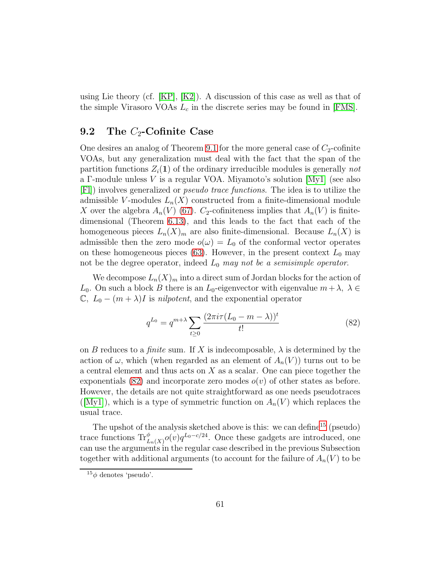using Lie theory (cf.  $[KP], [K2]$  $[KP], [K2]$ ). A discussion of this case as well as that of the simple Virasoro VOAs  $L_c$  in the discrete series may be found in [\[FMS\]](#page-113-4).

### 9.2 The  $C_2$ -Cofinite Case

One desires an analog of Theorem [9.1](#page-58-1) for the more general case of  $C_2$ -cofinite VOAs, but any generalization must deal with the fact that the span of the partition functions  $Z_i(1)$  of the ordinary irreducible modules is generally not a Γ-module unless V is a regular VOA. Miyamoto's solution [\[My1\]](#page-115-2) (see also [\[Fl\]](#page-113-6)) involves generalized or pseudo trace functions. The idea is to utilize the admissible V-modules  $L_n(X)$  constructed from a finite-dimensional module X over the algebra  $A_n(V)$  [\(67\)](#page-42-2).  $C_2$ -cofiniteness implies that  $A_n(V)$  is finitedimensional (Theorem [6.13\)](#page-44-1), and this leads to the fact that each of the homogeneous pieces  $L_n(X)_m$  are also finite-dimensional. Because  $L_n(X)$  is admissible then the zero mode  $o(\omega) = L_0$  of the conformal vector operates on these homogeneous pieces [\(63\)](#page-39-0). However, in the present context  $L_0$  may not be the degree operator, indeed  $L_0$  may not be a semisimple operator.

We decompose  $L_n(X)_m$  into a direct sum of Jordan blocks for the action of  $L_0$ . On such a block B there is an  $L_0$ -eigenvector with eigenvalue  $m + \lambda$ ,  $\lambda \in$  $\mathbb{C}, L_0 - (m + \lambda)I$  is nilpotent, and the exponential operator

<span id="page-60-0"></span>
$$
q^{L_0} = q^{m+\lambda} \sum_{t \ge 0} \frac{(2\pi i \tau (L_0 - m - \lambda))^t}{t!}
$$
 (82)

on B reduces to a finite sum. If X is indecomposable,  $\lambda$  is determined by the action of  $\omega$ , which (when regarded as an element of  $A_n(V)$ ) turns out to be a central element and thus acts on  $X$  as a scalar. One can piece together the exponentials [\(82\)](#page-60-0) and incorporate zero modes  $o(v)$  of other states as before. However, the details are not quite straightforward as one needs pseudotraces  $([My1])$  $([My1])$  $([My1])$ , which is a type of symmetric function on  $A_n(V)$  which replaces the usual trace.

The upshot of the analysis sketched above is this: we can define<sup>[15](#page-60-1)</sup> (pseudo) trace functions  $\text{Tr}_{L_n(X)}^{\phi} o(v) q^{L_0 - c/24}$ . Once these gadgets are introduced, one can use the arguments in the regular case described in the previous Subsection together with additional arguments (to account for the failure of  $A_n(V)$  to be

<span id="page-60-1"></span> $15\phi$  denotes 'pseudo'.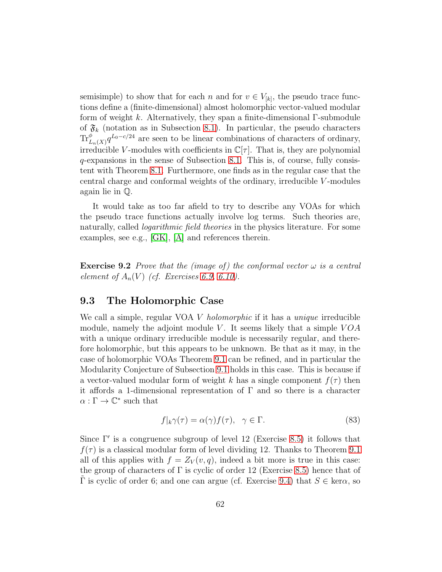semisimple) to show that for each n and for  $v \in V_{[k]}$ , the pseudo trace functions define a (finite-dimensional) almost holomorphic vector-valued modular form of weight k. Alternatively, they span a finite-dimensional Γ-submodule of  $\mathfrak{F}_k$  (notation as in Subsection [8.1\)](#page-53-6). In particular, the pseudo characters  $\text{Tr}_{L_n(X)}^{\phi} q^{L_0-c/24}$  are seen to be linear combinations of characters of ordinary, irreducible V-modules with coefficients in  $\mathbb{C}[\tau]$ . That is, they are polynomial q-expansions in the sense of Subsection [8.1.](#page-53-6) This is, of course, fully consistent with Theorem [8.1.](#page-53-5) Furthermore, one finds as in the regular case that the central charge and conformal weights of the ordinary, irreducible V -modules again lie in Q.

It would take as too far afield to try to describe any VOAs for which the pseudo trace functions actually involve log terms. Such theories are, naturally, called *logarithmic field theories* in the physics literature. For some examples, see e.g., [\[GK\]](#page-114-8), [\[A\]](#page-111-5) and references therein.

**Exercise 9.2** Prove that the (image of) the conformal vector  $\omega$  is a central element of  $A_n(V)$  (cf. Exercises [6.9,](#page-43-5) [6.10\)](#page-43-2).

### <span id="page-61-1"></span>9.3 The Holomorphic Case

We call a simple, regular VOA V holomorphic if it has a *unique* irreducible module, namely the adjoint module V. It seems likely that a simple  $VOA$ with a unique ordinary irreducible module is necessarily regular, and therefore holomorphic, but this appears to be unknown. Be that as it may, in the case of holomorphic VOAs Theorem [9.1](#page-58-1) can be refined, and in particular the Modularity Conjecture of Subsection [9.1](#page-58-3) holds in this case. This is because if a vector-valued modular form of weight k has a single component  $f(\tau)$  then it affords a 1-dimensional representation of  $\Gamma$  and so there is a character  $\alpha : \Gamma \to \mathbb{C}^*$  such that

<span id="page-61-0"></span>
$$
f|_{k}\gamma(\tau) = \alpha(\gamma)f(\tau), \quad \gamma \in \Gamma.
$$
 (83)

Since Γ′ is a congruence subgroup of level 12 (Exercise [8.5\)](#page-56-2) it follows that  $f(\tau)$  is a classical modular form of level dividing 12. Thanks to Theorem [9.1](#page-58-1) all of this applies with  $f = Z_V(v, q)$ , indeed a bit more is true in this case: the group of characters of  $\Gamma$  is cyclic of order 12 (Exercise [8.5\)](#page-56-2) hence that of  $\Gamma$  is cyclic of order 6; and one can argue (cf. Exercise [9.4\)](#page-62-0) that  $S \in \text{ker}\alpha$ , so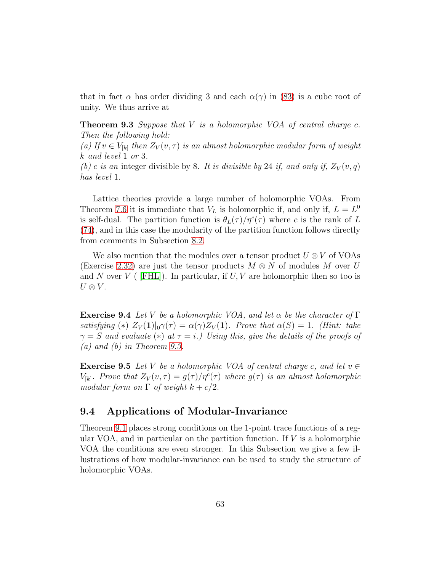<span id="page-62-1"></span>that in fact  $\alpha$  has order dividing 3 and each  $\alpha(\gamma)$  in [\(83\)](#page-61-0) is a cube root of unity. We thus arrive at

**Theorem 9.3** Suppose that  $V$  is a holomorphic VOA of central charge c. Then the following hold:

(a) If  $v \in V_{[k]}$  then  $Z_V(v, \tau)$  is an almost holomorphic modular form of weight k and level 1 or 3.

(b) c is an integer divisible by 8. It is divisible by 24 if, and only if,  $Z_V(v,q)$ has level 1.

Lattice theories provide a large number of holomorphic VOAs. From Theorem [7.6](#page-51-1) it is immediate that  $V_L$  is holomorphic if, and only if,  $L = L^0$ is self-dual. The partition function is  $\theta_L(\tau)/\eta^c(\tau)$  where c is the rank of L [\(74\)](#page-50-2), and in this case the modularity of the partition function follows directly from comments in Subsection [8.2.](#page-56-3)

We also mention that the modules over a tensor product  $U \otimes V$  of VOAs (Exercise [2.32\)](#page-15-1) are just the tensor products  $M \otimes N$  of modules M over U and N over  $V$  ([FHL]). In particular, if  $U, V$  are holomorphic then so too is  $U \otimes V$ .

<span id="page-62-0"></span>**Exercise 9.4** Let V be a holomorphic VOA, and let  $\alpha$  be the character of  $\Gamma$ satisfying (\*)  $Z_V(1)|_0 \gamma(\tau) = \alpha(\gamma) Z_V(1)$ . Prove that  $\alpha(S) = 1$ . (Hint: take  $\gamma = S$  and evaluate (\*) at  $\tau = i$ .) Using this, give the details of the proofs of  $(a)$  and  $(b)$  in Theorem [9.3.](#page-62-1)

<span id="page-62-2"></span>**Exercise 9.5** Let V be a holomorphic VOA of central charge c, and let  $v \in$  $V_{[k]}$ . Prove that  $Z_V(v,\tau) = g(\tau)/\eta^c(\tau)$  where  $g(\tau)$  is an almost holomorphic modular form on  $\Gamma$  of weight  $k + c/2$ .

### 9.4 Applications of Modular-Invariance

Theorem [9.1](#page-58-1) places strong conditions on the 1-point trace functions of a regular VOA, and in particular on the partition function. If  $V$  is a holomorphic VOA the conditions are even stronger. In this Subsection we give a few illustrations of how modular-invariance can be used to study the structure of holomorphic VOAs.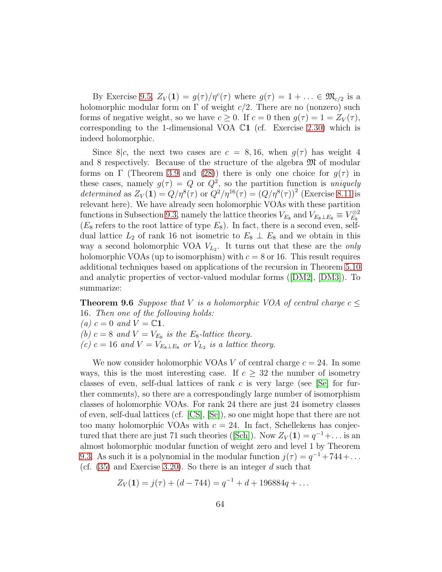By Exercise [9.5,](#page-62-2)  $Z_V(1) = g(\tau)/\eta^c(\tau)$  where  $g(\tau) = 1 + \ldots \in \mathfrak{M}_{c/2}$  is a holomorphic modular form on  $\Gamma$  of weight  $c/2$ . There are no (nonzero) such forms of negative weight, so we have  $c \geq 0$ . If  $c = 0$  then  $g(\tau) = 1 = Z_V(\tau)$ , corresponding to the 1-dimensional VOA  $\mathbb{C}1$  (cf. Exercise [2.30\)](#page-15-2) which is indeed holomorphic.

Since  $8/c$ , the next two cases are  $c = 8, 16$ , when  $g(\tau)$  has weight 4 and 8 respectively. Because of the structure of the algebra M of modular forms on  $\Gamma$  (Theorem [3.9](#page-20-0) and [\(28\)](#page-21-2)) there is only one choice for  $g(\tau)$  in these cases, namely  $g(\tau) = Q$  or  $Q^2$ , so the partition function is *uniquely* determined as  $Z_V(1) = Q/\eta^8(\tau)$  or  $Q^2/\eta^{16}(\tau) = (Q/\eta^8(\tau))^2$  (Exercise [8.11](#page-58-4) is relevant here). We have already seen holomorphic VOAs with these partition functions in Subsection [9.3,](#page-61-1) namely the lattice theories  $V_{E_8}$  and  $V_{E_8 \perp E_8} \equiv V_{E_8}^{\otimes 2}$  $(E_8 \text{ refers to the root lattice of type } E_8)$ . In fact, there is a second even, selfdual lattice  $L_2$  of rank 16 not isometric to  $E_8 \perp E_8$  and we obtain in this way a second holomorphic VOA  $V_{L_2}$ . It turns out that these are the *only* holomorphic VOAs (up to isomorphism) with  $c = 8$  or 16. This result requires additional techniques based on applications of the recursion in Theorem [5.10](#page-35-1) and analytic properties of vector-valued modular forms([\[DM2\]](#page-112-7), [\[DM3\]](#page-112-8)). To summarize:

**Theorem 9.6** Suppose that V is a holomorphic VOA of central charge  $c \leq$ 16. Then one of the following holds: (a)  $c = 0$  and  $V = \mathbb{C}1$ . (b)  $c = 8$  and  $V = V_{E_8}$  is the  $E_8$ -lattice theory. (c)  $c = 16$  and  $V = V_{E_8 \perp E_8}$  or  $V_{L_2}$  is a lattice theory.

We now consider holomorphic VOAs V of central charge  $c = 24$ . In some ways, this is the most interesting case. If  $c \geq 32$  the number of isometry classes of even, self-dual lattices of rank  $c$  is very large (see [\[Se\]](#page-116-1) for further comments), so there are a correspondingly large number of isomorphism classes of holomorphic VOAs. For rank 24 there are just 24 isometry classes of even, self-dual lattices (cf. [\[CS\]](#page-112-9), [\[Se\]](#page-116-1)), so one might hope that there are not too many holomorphic VOAs with  $c = 24$ . In fact, Schellekens has conjec-turedthat there are just 71 such theories ([\[Sch\]](#page-116-3)). Now  $Z_V(1) = q^{-1} + ...$  is an almost holomorphic modular function of weight zero and level 1 by Theorem [9.3.](#page-62-1) As such it is a polynomial in the modular function  $j(\tau) = q^{-1} + 744 + \dots$ (cf.  $(35)$  and Exercise [3.20\)](#page-23-1). So there is an integer d such that

$$
Z_V(1) = j(\tau) + (d - 744) = q^{-1} + d + 196884q + \dots
$$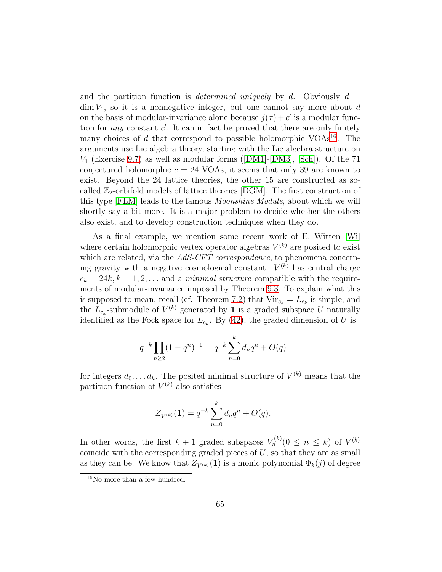and the partition function is *determined uniquely* by d. Obviously  $d =$  $\dim V_1$ , so it is a nonnegative integer, but one cannot say more about d on the basis of modular-invariance alone because  $j(\tau) + c'$  is a modular function for *any* constant  $c'$ . It can in fact be proved that there are only finitely many choices of  $d$  that correspond to possible holomorphic VOAs<sup>[16](#page-64-0)</sup>. The arguments use Lie algebra theory, starting with the Lie algebra structure on  $V_1$  (Exercise [9.7\)](#page-65-0)as well as modular forms ([\[DM1\]](#page-112-3)-[\[DM3\]](#page-112-8), [\[Sch\]](#page-116-3)). Of the 71 conjectured holomorphic  $c = 24$  VOAs, it seems that only 39 are known to exist. Beyond the 24 lattice theories, the other 15 are constructed as socalled  $\mathbb{Z}_2$ -orbifold models of lattice theories [\[DGM\]](#page-112-10). The first construction of this type [\[FLM\]](#page-113-1) leads to the famous Moonshine Module, about which we will shortly say a bit more. It is a major problem to decide whether the others also exist, and to develop construction techniques when they do.

As a final example, we mention some recent work of E. Witten [\[Wi\]](#page-117-2) where certain holomorphic vertex operator algebras  $V^{(k)}$  are posited to exist which are related, via the AdS-CFT correspondence, to phenomena concerning gravity with a negative cosmological constant.  $V^{(k)}$  has central charge  $c_k = 24k, k = 1, 2, \ldots$  and a *minimal structure* compatible with the requirements of modular-invariance imposed by Theorem [9.3.](#page-62-1) To explain what this is supposed to mean, recall (cf. Theorem [7.2\)](#page-48-0) that  $Vir_{c_k} = L_{c_k}$  is simple, and the  $L_{c_k}$ -submodule of  $V^{(k)}$  generated by 1 is a graded subspace U naturally identified as the Fock space for  $L_{c_k}$ . By [\(42\)](#page-26-2), the graded dimension of U is

$$
q^{-k} \prod_{n\geq 2} (1 - q^n)^{-1} = q^{-k} \sum_{n=0}^k d_n q^n + O(q)
$$

for integers  $d_0, \ldots d_k$ . The posited minimal structure of  $V^{(k)}$  means that the partition function of  $V^{(k)}$  also satisfies

$$
Z_{V^{(k)}}(\mathbf{1}) = q^{-k} \sum_{n=0}^{k} d_n q^n + O(q).
$$

In other words, the first  $k+1$  graded subspaces  $V_n^{(k)}$  ( $0 \le n \le k$ ) of  $V^{(k)}$ coincide with the corresponding graded pieces of  $U$ , so that they are as small as they can be. We know that  $Z_{V^{(k)}}(1)$  is a monic polynomial  $\Phi_k(j)$  of degree

<span id="page-64-0"></span><sup>16</sup>No more than a few hundred.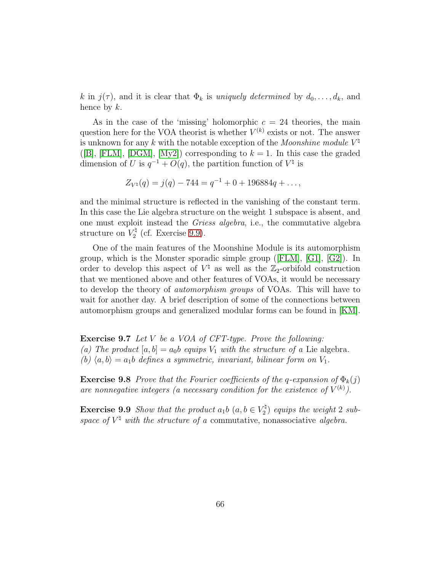k in  $j(\tau)$ , and it is clear that  $\Phi_k$  is uniquely determined by  $d_0, \ldots, d_k$ , and hence by  $k$ .

As in the case of the 'missing' holomorphic  $c = 24$  theories, the main question here for the VOA theorist is whether  $V^{(k)}$  exists or not. The answer is unknown for any k with the notable exception of the *Moonshine module*  $V^{\natural}$ ([\[B\]](#page-111-0), [\[FLM\]](#page-113-1), [\[DGM\]](#page-112-10), [\[My2\]](#page-115-7)) corresponding to  $k = 1$ . In this case the graded dimension of U is  $q^{-1} + O(q)$ , the partition function of  $V^{\dagger}$  is

$$
Z_{V^{\natural}}(q) = j(q) - 744 = q^{-1} + 0 + 196884q + \dots,
$$

and the minimal structure is reflected in the vanishing of the constant term. In this case the Lie algebra structure on the weight 1 subspace is absent, and one must exploit instead the Griess algebra, i.e., the commutative algebra structure on  $V_2^{\natural}$  $\frac{7}{2}$  (cf. Exercise [9.9\)](#page-65-1).

One of the main features of the Moonshine Module is its automorphism group, which is the Monster sporadic simple group([\[FLM\]](#page-113-1), [\[G1\]](#page-113-7), [\[G2\]](#page-114-9)). In order to develop this aspect of  $V^{\natural}$  as well as the  $\mathbb{Z}_2$ -orbifold construction that we mentioned above and other features of VOAs, it would be necessary to develop the theory of automorphism groups of VOAs. This will have to wait for another day. A brief description of some of the connections between automorphism groups and generalized modular forms can be found in [\[KM\]](#page-114-10).

<span id="page-65-0"></span>Exercise 9.7 Let V be a VOA of CFT-type. Prove the following: (a) The product  $[a, b] = a_0b$  equips  $V_1$  with the structure of a Lie algebra. (b)  $\langle a, b \rangle = a_1b$  defines a symmetric, invariant, bilinear form on  $V_1$ .

**Exercise 9.8** Prove that the Fourier coefficients of the q-expansion of  $\Phi_k(j)$ are nonnegative integers (a necessary condition for the existence of  $V^{(k)}$ ).

<span id="page-65-1"></span>**Exercise 9.9** Show that the product  $a_1b$   $(a, b \in V_2^{\dagger})$  $\binom{2}{2}$  equips the weight 2 subspace of  $V^{\natural}$  with the structure of a commutative, nonassociative algebra.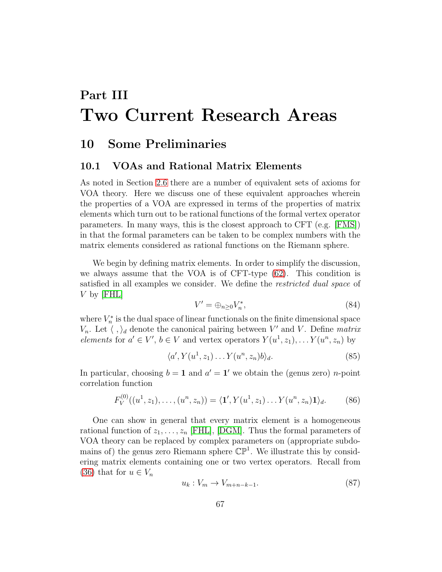# Part III Two Current Research Areas

## 10 Some Preliminaries

### 10.1 VOAs and Rational Matrix Elements

As noted in Section [2.6](#page-13-0) there are a number of equivalent sets of axioms for VOA theory. Here we discuss one of these equivalent approaches wherein the properties of a VOA are expressed in terms of the properties of matrix elements which turn out to be rational functions of the formal vertex operator parameters. In many ways, this is the closest approach to CFT (e.g. [\[FMS\]](#page-113-4)) in that the formal parameters can be taken to be complex numbers with the matrix elements considered as rational functions on the Riemann sphere.

We begin by defining matrix elements. In order to simplify the discussion, we always assume that the VOA is of CFT-type [\(62\)](#page-36-1). This condition is satisfied in all examples we consider. We define the *restricted dual space* of  $V$  by [\[FHL\]](#page-113-0)

$$
V' = \bigoplus_{n \ge 0} V_n^*,\tag{84}
$$

where  $V_n^*$  is the dual space of linear functionals on the finite dimensional space  $V_n$ . Let  $\langle , \rangle_d$  denote the canonical pairing between V' and V. Define matrix elements for  $a' \in V'$ ,  $b \in V$  and vertex operators  $Y(u^1, z_1), \ldots, Y(u^n, z_n)$  by

$$
\langle a', Y(u^1, z_1) \dots Y(u^n, z_n) b \rangle_d. \tag{85}
$$

In particular, choosing  $b = 1$  and  $a' = 1'$  we obtain the (genus zero) *n*-point correlation function

<span id="page-66-1"></span>
$$
F_V^{(0)}((u^1, z_1), \dots, (u^n, z_n)) = \langle \mathbf{1}', Y(u^1, z_1) \dots Y(u^n, z_n) \mathbf{1} \rangle_d. \tag{86}
$$

One can show in general that every matrix element is a homogeneous rational function of  $z_1, \ldots, z_n$  [\[FHL\]](#page-113-0), [\[DGM\]](#page-112-10). Thus the formal parameters of VOA theory can be replaced by complex parameters on (appropriate subdomains of) the genus zero Riemann sphere  $\mathbb{CP}^1$ . We illustrate this by considering matrix elements containing one or two vertex operators. Recall from [\(36\)](#page-24-0) that for  $u \in V_n$ 

<span id="page-66-0"></span>
$$
u_k: V_m \to V_{m+n-k-1}.\tag{87}
$$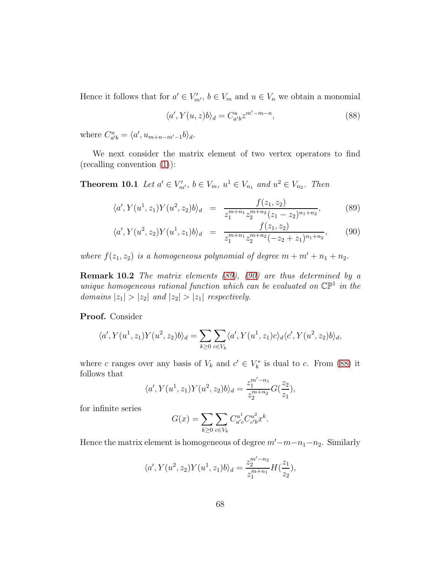Hence it follows that for  $a' \in V'_{m'}$ ,  $b \in V_m$  and  $u \in V_n$  we obtain a monomial

<span id="page-67-1"></span>
$$
\langle a', Y(u, z)b \rangle_d = C_{a'b}^u z^{m'-m-n},\tag{88}
$$

where  $C_{a'b}^u = \langle a', u_{m+n-m'-1}b \rangle_d$ .

<span id="page-67-2"></span>We next consider the matrix element of two vertex operators to find (recalling convention [\(1\)](#page-5-0)):

**Theorem 10.1** Let  $a' \in V'_{m'}$ ,  $b \in V_m$ ,  $u^1 \in V_{n_1}$  and  $u^2 \in V_{n_2}$ . Then

<span id="page-67-0"></span>
$$
\langle a', Y(u^1, z_1) Y(u^2, z_2) b \rangle_d = \frac{f(z_1, z_2)}{z_1^{m+n_1} z_2^{m+n_2} (z_1 - z_2)^{n_1 + n_2}},
$$
(89)

$$
\langle a', Y(u^2, z_2) Y(u^1, z_1) b \rangle_d = \frac{f(z_1, z_2)}{z_1^{m+n_1} z_2^{m+n_2} (-z_2 + z_1)^{n_1+n_2}},\qquad(90)
$$

where  $f(z_1, z_2)$  is a homogeneous polynomial of degree  $m + m' + n_1 + n_2$ .

**Remark 10.2** The matrix elements  $(89)$ ,  $(90)$  are thus determined by a unique homogeneous rational function which can be evaluated on  $\mathbb{CP}^1$  in the domains  $|z_1| > |z_2|$  and  $|z_2| > |z_1|$  respectively.

Proof. Consider

$$
\langle a', Y(u^1, z_1) Y(u^2, z_2) b \rangle_d = \sum_{k \ge 0} \sum_{c \in V_k} \langle a', Y(u^1, z_1) c \rangle_d \langle c', Y(u^2, z_2) b \rangle_d,
$$

where c ranges over any basis of  $V_k$  and  $c' \in V_k^*$  is dual to c. From [\(88\)](#page-67-1) it follows that

$$
\langle a', Y(u^1, z_1) Y(u^2, z_2) b \rangle_d = \frac{z_1^{m'-n_1}}{z_2^{m+n_2}} G(\frac{z_2}{z_1}),
$$

for infinite series

$$
G(x) = \sum_{k \ge 0} \sum_{c \in V_k} C_{a'c}^{u^1} C_{c'b}^{u^2} x^k.
$$

Hence the matrix element is homogeneous of degree  $m'-m-n_1-n_2$ . Similarly

$$
\langle a', Y(u^2, z_2) Y(u^1, z_1) b \rangle_d = \frac{z_2^{m'-n_2}}{z_1^{m+n_1}} H(\frac{z_1}{z_2}),
$$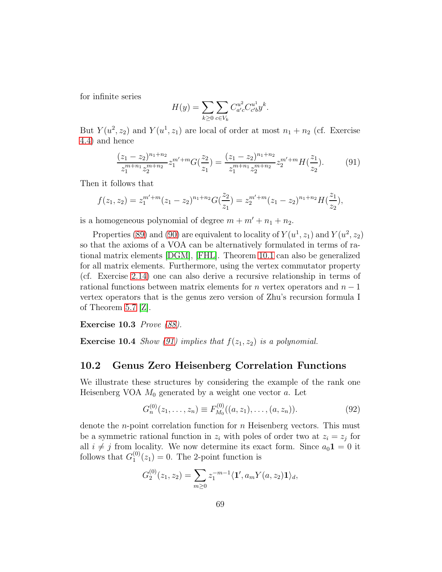for infinite series

$$
H(y) = \sum_{k \ge 0} \sum_{c \in V_k} C_{a'c}^{u^2} C_{c'b}^{u^1} y^k.
$$

But  $Y(u^2, z_2)$  and  $Y(u^1, z_1)$  are local of order at most  $n_1 + n_2$  (cf. Exercise [4.4\)](#page-25-1) and hence

<span id="page-68-0"></span>
$$
\frac{(z_1 - z_2)^{n_1 + n_2}}{z_1^{m + n_1} z_2^{m + n_2}} z_1^{m' + m} G(\frac{z_2}{z_1}) = \frac{(z_1 - z_2)^{n_1 + n_2}}{z_1^{m + n_1} z_2^{m + n_2}} z_2^{m' + m} H(\frac{z_1}{z_2}).\tag{91}
$$

Then it follows that

$$
f(z_1, z_2) = z_1^{m'+m}(z_1 - z_2)^{n_1+n_2} G(\frac{z_2}{z_1}) = z_2^{m'+m}(z_1 - z_2)^{n_1+n_2} H(\frac{z_1}{z_2}),
$$

is a homogeneous polynomial of degree  $m + m' + n_1 + n_2$ .

Properties [\(89\)](#page-67-0) and [\(90\)](#page-67-0) are equivalent to locality of  $Y(u^1, z_1)$  and  $Y(u^2, z_2)$ so that the axioms of a VOA can be alternatively formulated in terms of rational matrix elements [\[DGM\]](#page-112-10), [\[FHL\]](#page-113-0). Theorem [10.1](#page-67-2) can also be generalized for all matrix elements. Furthermore, using the vertex commutator property (cf. Exercise [2.14\)](#page-10-3) one can also derive a recursive relationship in terms of rational functions between matrix elements for *n* vertex operators and  $n - 1$ vertex operators that is the genus zero version of Zhu's recursion formula I of Theorem  $5.7$   $|Z|$ .

Exercise 10.3 Prove [\(88\)](#page-67-1).

**Exercise 10.4** Show [\(91\)](#page-68-0) implies that  $f(z_1, z_2)$  is a polynomial.

### 10.2 Genus Zero Heisenberg Correlation Functions

We illustrate these structures by considering the example of the rank one Heisenberg VOA  $M_0$  generated by a weight one vector  $a$ . Let

$$
G_n^{(0)}(z_1,\ldots,z_n) \equiv F_{M_0}^{(0)}((a,z_1),\ldots,(a,z_n)).
$$
\n(92)

denote the *n*-point correlation function for *n* Heisenberg vectors. This must be a symmetric rational function in  $z_i$  with poles of order two at  $z_i = z_j$  for all  $i \neq j$  from locality. We now determine its exact form. Since  $a_0 \mathbf{1} = 0$  it follows that  $G_1^{(0)}$  $_1^{(0)}(z_1)=0$ . The 2-point function is

$$
G_2^{(0)}(z_1, z_2) = \sum_{m \ge 0} z_1^{-m-1} \langle \mathbf{1}', a_m Y(a, z_2) \mathbf{1} \rangle_d,
$$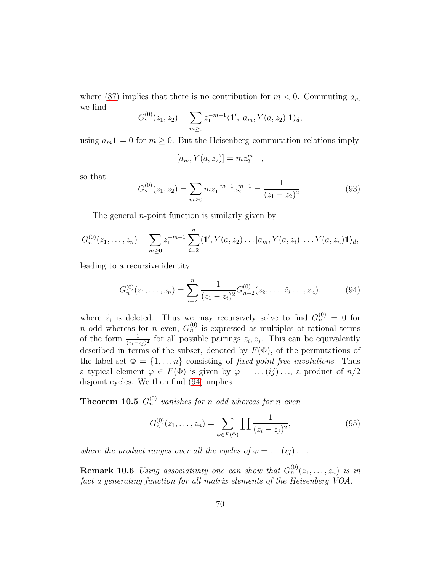where [\(87\)](#page-66-0) implies that there is no contribution for  $m < 0$ . Commuting  $a_m$ we find

$$
G_2^{(0)}(z_1, z_2) = \sum_{m \ge 0} z_1^{-m-1} \langle \mathbf{1}', [a_m, Y(a, z_2)] \mathbf{1} \rangle_d,
$$

using  $a_m 1 = 0$  for  $m \ge 0$ . But the Heisenberg commutation relations imply

$$
[a_m, Y(a, z_2)] = mz_2^{m-1},
$$

so that

$$
G_2^{(0)}(z_1, z_2) = \sum_{m \ge 0} m z_1^{-m-1} z_2^{m-1} = \frac{1}{(z_1 - z_2)^2}.
$$
 (93)

The general  $n$ -point function is similarly given by

$$
G_n^{(0)}(z_1,\ldots,z_n)=\sum_{m\geq 0}z_1^{-m-1}\sum_{i=2}^n\langle \mathbf{1}',Y(a,z_2)\ldots[a_m,Y(a,z_i)]\ldots Y(a,z_n)\mathbf{1}\rangle_d,
$$

leading to a recursive identity

<span id="page-69-0"></span>
$$
G_n^{(0)}(z_1,\ldots,z_n) = \sum_{i=2}^n \frac{1}{(z_1 - z_i)^2} G_{n-2}^{(0)}(z_2,\ldots,\hat{z}_i,\ldots,z_n),\tag{94}
$$

where  $\hat{z}_i$  is deleted. Thus we may recursively solve to find  $G_n^{(0)} = 0$  for n odd whereas for n even,  $G_n^{(0)}$  is expressed as multiples of rational terms of the form  $\frac{1}{(z_i-z_j)^2}$  for all possible pairings  $z_i, z_j$ . This can be equivalently described in terms of the subset, denoted by  $F(\Phi)$ , of the permutations of the label set  $\Phi = \{1, \ldots n\}$  consisting of fixed-point-free involutions. Thus a typical element  $\varphi \in F(\Phi)$  is given by  $\varphi = \ldots (ij) \ldots$ , a product of  $n/2$ disjoint cycles. We then find [\(94\)](#page-69-0) implies

**Theorem 10.5**  $G_n^{(0)}$  vanishes for n odd whereas for n even

$$
G_n^{(0)}(z_1,\ldots,z_n) = \sum_{\varphi \in F(\Phi)} \prod \frac{1}{(z_i - z_j)^2},\tag{95}
$$

where the product ranges over all the cycles of  $\varphi = \dots (ij) \dots$ 

**Remark 10.6** Using associativity one can show that  $G_n^{(0)}(z_1,\ldots,z_n)$  is in fact a generating function for all matrix elements of the Heisenberg VOA.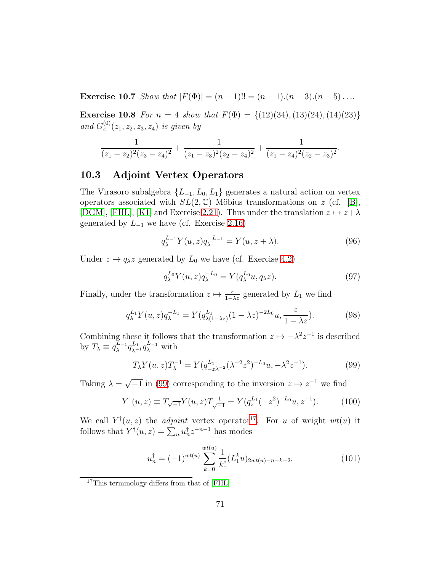Exercise 10.7 Show that  $|F(\Phi)| = (n-1)!! = (n-1) \cdot (n-3) \cdot (n-5) \dots$ 

**Exercise 10.8** For  $n = 4$  show that  $F(\Phi) = \{(12)(34), (13)(24), (14)(23)\}$ and  $G_4^{(0)}$  $\binom{00}{4}(z_1, z_2, z_3, z_4)$  is given by

$$
\frac{1}{(z_1-z_2)^2(z_3-z_4)^2}+\frac{1}{(z_1-z_3)^2(z_2-z_4)^2}+\frac{1}{(z_1-z_4)^2(z_2-z_3)^2}.
$$

### <span id="page-70-0"></span>10.3 Adjoint Vertex Operators

The Virasoro subalgebra  $\{L_{-1}, L_0, L_1\}$  generates a natural action on vertex operators associated with  $SL(2,\mathbb{C})$  Möbius transformations on z (cf. [\[B\]](#page-111-0), [\[DGM\]](#page-112-10), [\[FHL\]](#page-113-0), [\[K1\]](#page-114-3) and Exercise [2.21\)](#page-13-1). Thus under the translation  $z \mapsto z + \lambda$ generated by  $L_{-1}$  we have (cf. Exercise [2.16\)](#page-10-4)

$$
q_{\lambda}^{L_{-1}}Y(u,z)q_{\lambda}^{-L_{-1}} = Y(u,z+\lambda). \tag{96}
$$

Under  $z \mapsto q_{\lambda}z$  generated by  $L_0$  we have (cf. Exercise [4.2\)](#page-25-2)

$$
q_\lambda^{L_0} Y(u,z) q_\lambda^{-L_0} = Y(q_\lambda^{L_0} u, q_\lambda z). \tag{97}
$$

Finally, under the transformation  $z \mapsto \frac{z}{1-\lambda z}$  generated by  $L_1$  we find

$$
q_{\lambda}^{L_1} Y(u, z) q_{\lambda}^{-L_1} = Y(q_{\lambda(1-\lambda z)}^{L_1} (1 - \lambda z)^{-2L_0} u, \frac{z}{1 - \lambda z}). \tag{98}
$$

Combining these it follows that the transformation  $z \mapsto -\lambda^2 z^{-1}$  is described by  $T_{\lambda} \equiv q_{\lambda}^{L_{-1}}$  $\frac{L_{-1}}{\lambda} q_{\lambda^{-1}}^{L_1} q_\lambda^{L_{-1}}$  with

<span id="page-70-1"></span>
$$
T_{\lambda} Y(u, z) T_{\lambda}^{-1} = Y(q_{-z\lambda^{-2}}^{L_1} (\lambda^{-2} z^2)^{-L_0} u, -\lambda^2 z^{-1}).
$$
\n(99)

Taking  $\lambda = \sqrt{-1}$  in [\(99\)](#page-70-1) corresponding to the inversion  $z \mapsto z^{-1}$  we find

$$
Y^{\dagger}(u,z) \equiv T_{\sqrt{-1}} Y(u,z) T_{\sqrt{-1}}^{-1} = Y(q_z^{L_1}(-z^2)^{-L_0} u, z^{-1}). \tag{100}
$$

We call  $Y^{\dagger}(u, z)$  the *adjoint* vertex operator<sup>[17](#page-70-2)</sup>. For u of weight  $wt(u)$  it follows that  $Y^{\dagger}(u, z) = \sum_{n} u_n^{\dagger} z^{-n-1}$  has modes

<span id="page-70-3"></span>
$$
u_n^{\dagger} = (-1)^{wt(u)} \sum_{k=0}^{wt(u)} \frac{1}{k!} (L_1^k u)_{2wt(u)-n-k-2}.
$$
 (101)

<span id="page-70-2"></span><sup>&</sup>lt;sup>17</sup>This terminology differs from that of [\[FHL\]](#page-113-0)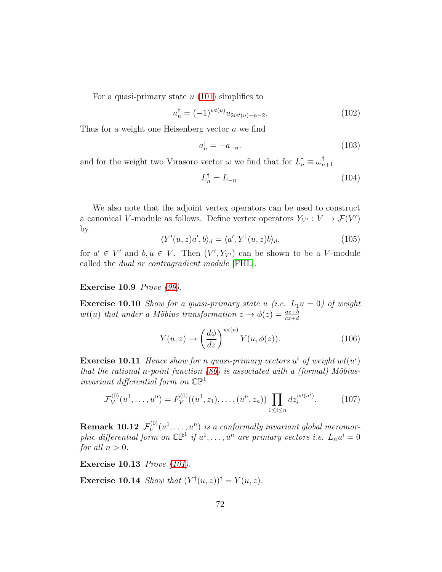For a quasi-primary state  $u(101)$  $u(101)$  simplifies to

$$
u_n^{\dagger} = (-1)^{wt(u)} u_{2wt(u)-n-2}.
$$
\n(102)

Thus for a weight one Heisenberg vector a we find

$$
a_n^\dagger = -a_{-n}.\tag{103}
$$

and for the weight two Virasoro vector  $\omega$  we find that for  $L_n^{\dagger} \equiv \omega_{n+1}^{\dagger}$ 

$$
L_n^{\dagger} = L_{-n}.\tag{104}
$$

We also note that the adjoint vertex operators can be used to construct a canonical V-module as follows. Define vertex operators  $Y_{V'} : V \to \mathcal{F}(V')$ by

$$
\langle Y'(u,z)a',b\rangle_d = \langle a', Y^{\dagger}(u,z)b\rangle_d, \qquad (105)
$$

for  $a' \in V'$  and  $b, u \in V$ . Then  $(V', Y_{V'})$  can be shown to be a V-module called the dual or contragradient module [\[FHL\]](#page-113-0).

### Exercise 10.9 Prove [\(99\)](#page-70-1).

**Exercise 10.10** Show for a quasi-primary state u (i.e.  $L_1u = 0$ ) of weight  $wt(u)$  that under a Möbius transformation  $z \to \phi(z) = \frac{az+b}{cz+d}$ 

$$
Y(u,z) \to \left(\frac{d\phi}{dz}\right)^{wt(u)} Y(u,\phi(z)).
$$
\n(106)

**Exercise 10.11** Hence show for n quasi-primary vectors  $u^i$  of weight  $wt(u^i)$ that the rational n-point function  $(86)$  is associated with a (formal) Möbiusinvariant differential form on  $\mathbb{CP}^1$ 

$$
\mathcal{F}_V^{(0)}(u^1, \dots, u^n) = F_V^{(0)}((u^1, z_1), \dots, (u^n, z_n)) \prod_{1 \le i \le n} dz_i^{wt(u^i)}.
$$
 (107)

 $\textbf{Remark 10.12} \; \mathcal{F}_V^{(0)}$  $V^{(0)}(u^1,\ldots,u^n)$  is a conformally invariant global meromorphic differential form on  $\mathbb{CP}^1$  if  $u^1, \ldots, u^n$  are primary vectors i.e.  $L_n u^i = 0$ for all  $n > 0$ .

Exercise 10.13 Prove [\(101\)](#page-70-3).

**Exercise 10.14** Show that  $(Y^{\dagger}(u, z))^{\dagger} = Y(u, z)$ .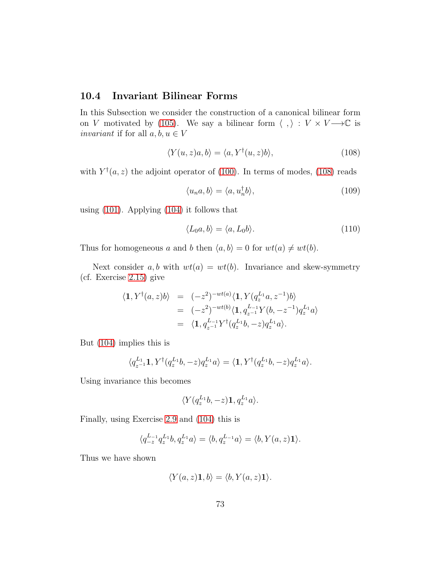#### 10.4 Invariant Bilinear Forms

In this Subsection we consider the construction of a canonical bilinear form on V motivated by [\(105\)](#page-71-0). We say a bilinear form  $\langle , \rangle : V \times V \longrightarrow \mathbb{C}$  is *invariant* if for all  $a, b, u \in V$ 

<span id="page-72-0"></span>
$$
\langle Y(u,z)a,b\rangle = \langle a, Y^{\dagger}(u,z)b\rangle, \qquad (108)
$$

with  $Y^{\dagger}(a, z)$  the adjoint operator of [\(100\)](#page-70-0). In terms of modes, [\(108\)](#page-72-0) reads

$$
\langle u_n a, b \rangle = \langle a, u_n^{\dagger} b \rangle, \tag{109}
$$

using [\(101\)](#page-70-1). Applying [\(104\)](#page-71-1) it follows that

<span id="page-72-1"></span>
$$
\langle L_0 a, b \rangle = \langle a, L_0 b \rangle. \tag{110}
$$

Thus for homogeneous a and b then  $\langle a, b \rangle = 0$  for  $wt(a) \neq wt(b)$ .

Next consider a, b with  $wt(a) = wt(b)$ . Invariance and skew-symmetry (cf. Exercise [2.15\)](#page-10-0) give

$$
\langle \mathbf{1}, Y^{\dagger}(a, z)b \rangle = (-z^2)^{-wt(a)} \langle \mathbf{1}, Y(q_z^{L_1}a, z^{-1})b \rangle \n= (-z^2)^{-wt(b)} \langle \mathbf{1}, q_{z^{-1}}^{L_{-1}} Y(b, -z^{-1}) q_z^{L_1} a \rangle \n= \langle \mathbf{1}, q_{z^{-1}}^{L_{-1}} Y^{\dagger}(q_z^{L_1}b, -z) q_z^{L_1} a \rangle.
$$

But [\(104\)](#page-71-1) implies this is

$$
\langle q_{z^{-1}}^{L_1} \mathbf{1}, Y^{\dagger} (q_z^{L_1} b, -z) q_z^{L_1} a \rangle = \langle \mathbf{1}, Y^{\dagger} (q_z^{L_1} b, -z) q_z^{L_1} a \rangle.
$$

Using invariance this becomes

$$
\langle Y(q_z^{L_1}b, -z)\mathbf{1}, q_z^{L_1}a\rangle.
$$

Finally, using Exercise [2.9](#page-9-0) and [\(104\)](#page-71-1) this is

$$
\langle q_{-z}^{L_{-1}} q_z^{L_1} b, q_z^{L_1} a \rangle = \langle b, q_z^{L_{-1}} a \rangle = \langle b, Y(a, z) \mathbf{1} \rangle.
$$

Thus we have shown

$$
\langle Y(a,z)\mathbf{1},b\rangle=\langle b,Y(a,z)\mathbf{1}\rangle.
$$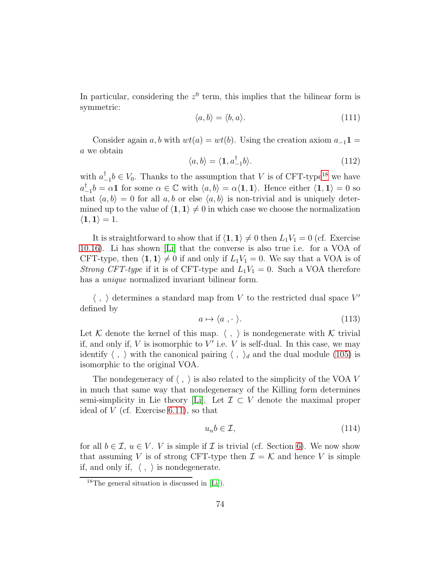In particular, considering the  $z<sup>0</sup>$  term, this implies that the bilinear form is symmetric:

<span id="page-73-1"></span>
$$
\langle a, b \rangle = \langle b, a \rangle. \tag{111}
$$

Consider again a, b with  $wt(a) = wt(b)$ . Using the creation axiom  $a_{-1}1 =$ a we obtain

$$
\langle a, b \rangle = \langle 1, a_{-1}^{\dagger} b \rangle. \tag{112}
$$

with  $a_{-1}^{\dagger}b \in V_0$ . Thanks to the assumption that V is of CFT-type<sup>[18](#page-73-0)</sup> we have  $a_{-1}^{\dagger}b = \alpha \mathbf{1}$  for some  $\alpha \in \mathbb{C}$  with  $\langle a, b \rangle = \alpha \langle \mathbf{1}, \mathbf{1} \rangle$ . Hence either  $\langle \mathbf{1}, \mathbf{1} \rangle = 0$  so that  $\langle a, b \rangle = 0$  for all  $a, b$  or else  $\langle a, b \rangle$  is non-trivial and is uniquely determined up to the value of  $\langle 1, 1 \rangle \neq 0$  in which case we choose the normalization  $\langle 1, 1 \rangle = 1.$ 

It is straightforward to show that if  $\langle 1, 1 \rangle \neq 0$  then  $L_1V_1 = 0$  (cf. Exercise [10.16\)](#page-75-0). Li has shown [\[Li\]](#page-115-0) that the converse is also true i.e. for a VOA of CFT-type, then  $\langle 1, 1 \rangle \neq 0$  if and only if  $L_1V_1 = 0$ . We say that a VOA is of *Strong CFT-type* if it is of CFT-type and  $L_1V_1 = 0$ . Such a VOA therefore has a *unique* normalized invariant bilinear form.

 $\langle , \rangle$  determines a standard map from V to the restricted dual space  $V'$ defined by

$$
a \mapsto \langle a \rangle. \tag{113}
$$

Let K denote the kernel of this map.  $\langle , \rangle$  is nondegenerate with K trivial if, and only if,  $V$  is isomorphic to  $V'$  i.e.  $V$  is self-dual. In this case, we may identify  $\langle , \rangle$  with the canonical pairing  $\langle , \rangle_d$  and the dual module [\(105\)](#page-71-0) is isomorphic to the original VOA.

The nondegeneracy of  $\langle , \rangle$  is also related to the simplicity of the VOA V in much that same way that nondegeneracy of the Killing form determines semi-simplicity in Lie theory [\[Li\]](#page-115-0). Let  $\mathcal{I} \subset V$  denote the maximal proper ideal of  $V$  (cf. Exercise [6.11\)](#page-43-0), so that

$$
u_n b \in \mathcal{I},\tag{114}
$$

for all  $b \in \mathcal{I}$ ,  $u \in V$ . V is simple if  $\mathcal I$  is trivial (cf. Section [6\)](#page-38-0). We now show that assuming V is of strong CFT-type then  $\mathcal{I} = \mathcal{K}$  and hence V is simple if, and only if,  $\langle , \rangle$  is nondegenerate.

<span id="page-73-0"></span><sup>18</sup>The general situation is discussed in [\[Li\]](#page-115-0)).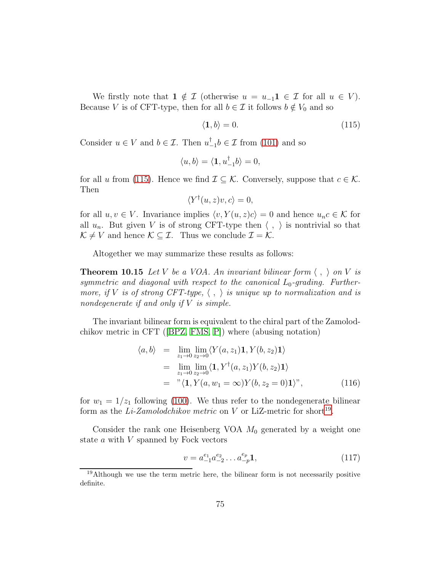We firstly note that  $1 \notin \mathcal{I}$  (otherwise  $u = u_{-1} \mathbf{1} \in \mathcal{I}$  for all  $u \in V$ ). Because V is of CFT-type, then for all  $b \in \mathcal{I}$  it follows  $b \notin V_0$  and so

<span id="page-74-0"></span>
$$
\langle \mathbf{1}, b \rangle = 0. \tag{115}
$$

Consider  $u \in V$  and  $b \in \mathcal{I}$ . Then  $u_{-1}^{\dagger}b \in \mathcal{I}$  from [\(101\)](#page-70-1) and so

$$
\langle u, b \rangle = \langle \mathbf{1}, u_{-1}^{\dagger} b \rangle = 0,
$$

for all u from [\(115\)](#page-74-0). Hence we find  $\mathcal{I} \subseteq \mathcal{K}$ . Conversely, suppose that  $c \in \mathcal{K}$ . Then

$$
\langle Y^{\dagger}(u,z)v,c\rangle=0,
$$

for all  $u, v \in V$ . Invariance implies  $\langle v, Y(u, z)c \rangle = 0$  and hence  $u_n c \in \mathcal{K}$  for all  $u_n$ . But given V is of strong CFT-type then  $\langle , \rangle$  is nontrivial so that  $\mathcal{K} \neq V$  and hence  $\mathcal{K} \subseteq \mathcal{I}$ . Thus we conclude  $\mathcal{I} = \mathcal{K}$ .

<span id="page-74-3"></span>Altogether we may summarize these results as follows:

**Theorem 10.15** Let V be a VOA. An invariant bilinear form  $\langle , \rangle$  on V is symmetric and diagonal with respect to the canonical  $L_0$ -grading. Furthermore, if V is of strong CFT-type,  $\langle , \rangle$  is unique up to normalization and is nondegenerate if and only if  $V$  is simple.

The invariant bilinear form is equivalent to the chiral part of the Zamolodchikov metric in CFT([\[BPZ,](#page-111-0) [FMS,](#page-113-0) [P\]](#page-116-0)) where (abusing notation)

$$
\langle a, b \rangle = \lim_{z_1 \to 0} \lim_{z_2 \to 0} \langle Y(a, z_1) \mathbf{1}, Y(b, z_2) \mathbf{1} \rangle
$$
  
\n
$$
= \lim_{z_1 \to 0} \lim_{z_2 \to 0} \langle \mathbf{1}, Y^{\dagger}(a, z_1) Y(b, z_2) \mathbf{1} \rangle
$$
  
\n
$$
= \sqrt[n]{\mathbf{1}, Y(a, w_1 = \infty) Y(b, z_2 = 0) \mathbf{1}} \rangle^n,
$$
 (116)

for  $w_1 = 1/z_1$  following [\(100\)](#page-70-0). We thus refer to the nondegenerate bilinear form as the Li-Zamolodchikov metric on V or LiZ-metric for short<sup>[19](#page-74-1)</sup>.

Consider the rank one Heisenberg VOA  $M_0$  generated by a weight one state a with V spanned by Fock vectors

<span id="page-74-2"></span>
$$
v = a_{-1}^{e_1} a_{-2}^{e_2} \dots a_{-p}^{e_p} \mathbf{1},\tag{117}
$$

<span id="page-74-1"></span> $19$ Although we use the term metric here, the bilinear form is not necessarily positive definite.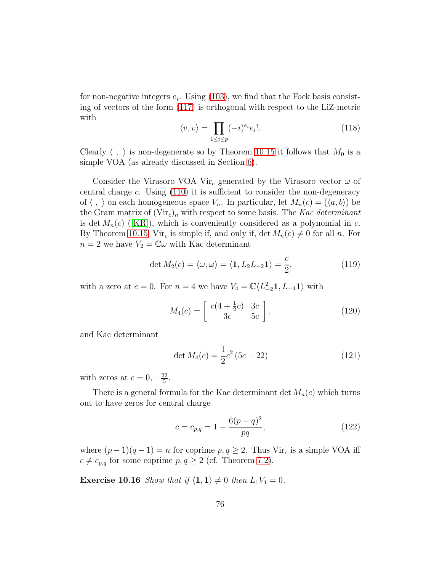for non-negative integers  $e_i$ . Using [\(103\)](#page-71-2), we find that the Fock basis consisting of vectors of the form [\(117\)](#page-74-2) is orthogonal with respect to the LiZ-metric with

<span id="page-75-1"></span>
$$
\langle v, v \rangle = \prod_{1 \le i \le p} (-i)^{e_i} e_i!.
$$
 (118)

Clearly  $\langle , \rangle$  is non-degenerate so by Theorem [10.15](#page-74-3) it follows that  $M_0$  is a simple VOA (as already discussed in Section [6\)](#page-38-0).

Consider the Virasoro VOA Vir<sub>c</sub> generated by the Virasoro vector  $\omega$  of central charge c. Using [\(110\)](#page-72-1) it is sufficient to consider the non-degeneracy of  $\langle , \rangle$  on each homogeneous space  $V_n$ . In particular, let  $M_n(c) = (\langle a, b \rangle)$  be the Gram matrix of  $(\text{Vir}_c)_n$  with respect to some basis. The Kac determinant isdet  $M_n(c)$  ([\[KR\]](#page-115-1)), which is conveniently considered as a polynomial in c. By Theorem [10.15,](#page-74-3) Vir<sub>c</sub> is simple if, and only if, det  $M_n(c) \neq 0$  for all n. For  $n = 2$  we have  $V_2 = \mathbb{C}\omega$  with Kac determinant

$$
\det M_2(c) = \langle \omega, \omega \rangle = \langle \mathbf{1}, L_2 L_{-2} \mathbf{1} \rangle = \frac{c}{2}, \tag{119}
$$

with a zero at  $c = 0$ . For  $n = 4$  we have  $V_4 = \mathbb{C}\langle L_{-2}^2 \mathbf{1}, L_{-4} \mathbf{1} \rangle$  with

<span id="page-75-4"></span>
$$
M_4(c) = \left[ \begin{array}{cc} c(4 + \frac{1}{2}c) & 3c \\ 3c & 5c \end{array} \right],\tag{120}
$$

and Kac determinant

<span id="page-75-3"></span>
$$
\det M_4(c) = \frac{1}{2}c^2 (5c + 22)
$$
\n(121)

with zeros at  $c = 0, -\frac{22}{5}$  $\frac{22}{5}$ .

There is a general formula for the Kac determinant det  $M_n(c)$  which turns out to have zeros for central charge

<span id="page-75-2"></span>
$$
c = c_{p,q} = 1 - \frac{6(p-q)^2}{pq},
$$
\n(122)

<span id="page-75-0"></span>where  $(p-1)(q-1) = n$  for coprime  $p, q \geq 2$ . Thus Vir<sub>c</sub> is a simple VOA iff  $c \neq c_{p,q}$  for some coprime  $p, q \geq 2$  (cf. Theorem [7.2\)](#page-48-0).

**Exercise 10.16** Show that if  $\langle 1, 1 \rangle \neq 0$  then  $L_1V_1 = 0$ .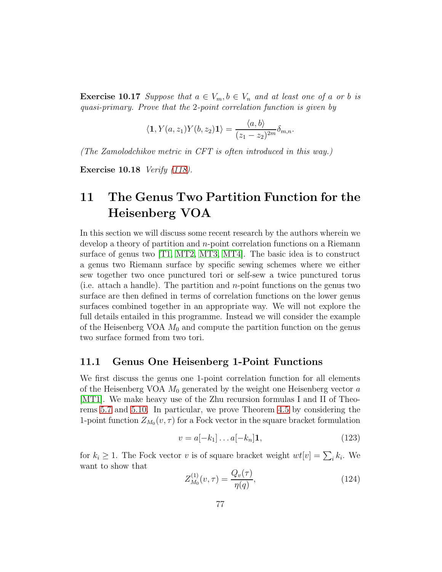**Exercise 10.17** Suppose that  $a \in V_m$ ,  $b \in V_n$  and at least one of a or b is quasi-primary. Prove that the 2-point correlation function is given by

$$
\langle \mathbf{1}, Y(a, z_1) Y(b, z_2) \mathbf{1} \rangle = \frac{\langle a, b \rangle}{(z_1 - z_2)^{2m}} \delta_{m,n}.
$$

(The Zamolodchikov metric in CFT is often introduced in this way.)

Exercise 10.18 Verify [\(118\)](#page-75-1).

# 11 The Genus Two Partition Function for the Heisenberg VOA

In this section we will discuss some recent research by the authors wherein we develop a theory of partition and n-point correlation functions on a Riemann surface of genus two [\[T1,](#page-116-1) [MT2,](#page-116-2) [MT3,](#page-116-3) [MT4\]](#page-116-4). The basic idea is to construct a genus two Riemann surface by specific sewing schemes where we either sew together two once punctured tori or self-sew a twice punctured torus (i.e. attach a handle). The partition and n-point functions on the genus two surface are then defined in terms of correlation functions on the lower genus surfaces combined together in an appropriate way. We will not explore the full details entailed in this programme. Instead we will consider the example of the Heisenberg VOA  $M_0$  and compute the partition function on the genus two surface formed from two tori.

#### 11.1 Genus One Heisenberg 1-Point Functions

We first discuss the genus one 1-point correlation function for all elements of the Heisenberg VOA  $M_0$  generated by the weight one Heisenberg vector  $a$ [\[MT1\]](#page-116-5). We make heavy use of the Zhu recursion formulas I and II of Theorems [5.7](#page-34-0) and [5.10.](#page-35-0) In particular, we prove Theorem [4.5](#page-27-0) by considering the 1-point function  $Z_{M_0}(v, \tau)$  for a Fock vector in the square bracket formulation

<span id="page-76-1"></span>
$$
v = a[-k_1] \dots a[-k_n] \mathbf{1},\tag{123}
$$

for  $k_i \geq 1$ . The Fock vector v is of square bracket weight  $wt[v] = \sum_i k_i$ . We want to show that

<span id="page-76-0"></span>
$$
Z_{M_0}^{(1)}(v,\tau) = \frac{Q_v(\tau)}{\eta(q)},\tag{124}
$$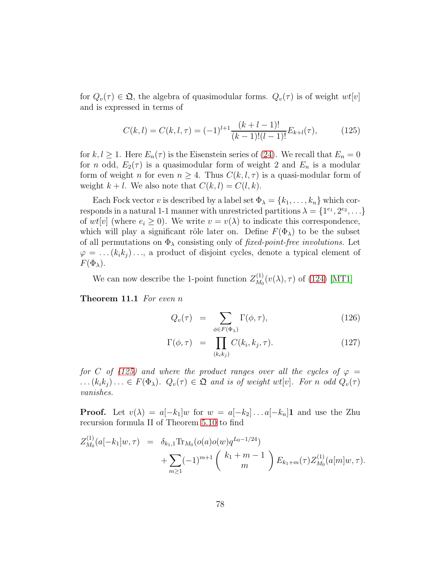for  $Q_v(\tau) \in \mathfrak{Q}$ , the algebra of quasimodular forms.  $Q_v(\tau)$  is of weight  $wt[v]$ and is expressed in terms of

<span id="page-77-0"></span>
$$
C(k,l) = C(k,l,\tau) = (-1)^{l+1} \frac{(k+l-1)!}{(k-1)!(l-1)!} E_{k+l}(\tau), \qquad (125)
$$

for  $k, l \geq 1$ . Here  $E_n(\tau)$  is the Eisenstein series of [\(24\)](#page-19-0). We recall that  $E_n = 0$ for *n* odd,  $E_2(\tau)$  is a quasimodular form of weight 2 and  $E_n$  is a modular form of weight n for even  $n \geq 4$ . Thus  $C(k, l, \tau)$  is a quasi-modular form of weight  $k + l$ . We also note that  $C(k, l) = C(l, k)$ .

Each Fock vector v is described by a label set  $\Phi_{\lambda} = \{k_1, \ldots, k_n\}$  which corresponds in a natural 1-1 manner with unrestricted partitions  $\lambda = \{1^{e_1}, 2^{e_2}, \ldots\}$ of  $wt[v]$  (where  $e_i \geq 0$ ). We write  $v = v(\lambda)$  to indicate this correspondence, which will play a significant rôle later on. Define  $F(\Phi_\lambda)$  to be the subset of all permutations on  $\Phi_{\lambda}$  consisting only of *fixed-point-free involutions*. Let  $\varphi = \ldots (k_i k_j) \ldots$ , a product of disjoint cycles, denote a typical element of  $F(\Phi_{\lambda}).$ 

<span id="page-77-1"></span>We can now describe the 1-point function  $Z_{M_0}^{(1)}$  $M_0^{(1)}(v(\lambda), \tau)$  of [\(124\)](#page-76-0) [\[MT1\]](#page-116-5)

Theorem 11.1 For even n

<span id="page-77-2"></span>
$$
Q_v(\tau) = \sum_{\phi \in F(\Phi_\lambda)} \Gamma(\phi, \tau), \tag{126}
$$

$$
\Gamma(\phi,\tau) = \prod_{(k_i k_j)} C(k_i, k_j, \tau). \tag{127}
$$

for C of [\(125\)](#page-77-0) and where the product ranges over all the cycles of  $\varphi =$  $\ldots (k_ik_j )\ldots \in F(\Phi_{\lambda})$ .  $Q_v(\tau) \in \mathfrak{Q}$  and is of weight wt[v]. For n odd  $Q_v(\tau)$ vanishes.

**Proof.** Let  $v(\lambda) = a[-k_1]w$  for  $w = a[-k_2] \dots a[-k_n]1$  and use the Zhu recursion formula II of Theorem [5.10](#page-35-0) to find

$$
Z_{M_0}^{(1)}(a[-k_1]w,\tau) = \delta_{k_1,1} \text{Tr}_{M_0}(o(a)o(w)q^{L_0-1/24}) + \sum_{m\geq 1} (-1)^{m+1} {k_1+m-1 \choose m} E_{k_1+m}(\tau) Z_{M_0}^{(1)}(a[m]w,\tau).
$$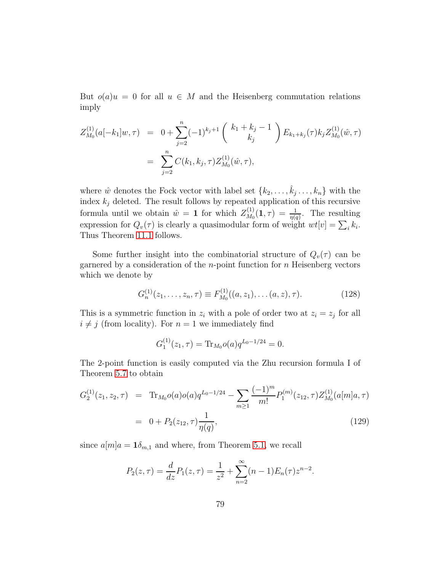But  $o(a)u = 0$  for all  $u \in M$  and the Heisenberg commutation relations imply

$$
Z_{M_0}^{(1)}(a[-k_1]w,\tau) = 0 + \sum_{j=2}^n (-1)^{k_j+1} {k_1 + k_j - 1 \choose k_j} E_{k_1 + k_j}(\tau) k_j Z_{M_0}^{(1)}(\hat{w}, \tau)
$$
  
= 
$$
\sum_{j=2}^n C(k_1, k_j, \tau) Z_{M_0}^{(1)}(\hat{w}, \tau),
$$

where  $\hat{w}$  denotes the Fock vector with label set  $\{k_2, \ldots, \hat{k}_j \ldots, k_n\}$  with the index  $k_j$  deleted. The result follows by repeated application of this recursive formula until we obtain  $\hat{w} = 1$  for which  $Z_{M_0}^{(1)}$  $\chi_{M_0}^{(1)}(1,\tau) = \frac{1}{\eta(q)}$ . The resulting expression for  $Q_v(\tau)$  is clearly a quasimodular form of weight  $wt[v] = \sum_i k_i$ . Thus Theorem [11.1](#page-77-1) follows.

Some further insight into the combinatorial structure of  $Q_v(\tau)$  can be garnered by a consideration of the *n*-point function for *n* Heisenberg vectors which we denote by

$$
G_n^{(1)}(z_1,\ldots,z_n,\tau) \equiv F_{M_0}^{(1)}((a,z_1),\ldots(a,z),\tau). \tag{128}
$$

This is a symmetric function in  $z_i$  with a pole of order two at  $z_i = z_j$  for all  $i \neq j$  (from locality). For  $n = 1$  we immediately find

$$
G_1^{(1)}(z_1, \tau) = \text{Tr}_{M_0} o(a) q^{L_0 - 1/24} = 0.
$$

The 2-point function is easily computed via the Zhu recursion formula I of Theorem [5.7](#page-34-0) to obtain

<span id="page-78-0"></span>
$$
G_2^{(1)}(z_1, z_2, \tau) = \text{Tr}_{M_0}o(a)o(a)q^{L_0 - 1/24} - \sum_{m \ge 1} \frac{(-1)^m}{m!} P_1^{(m)}(z_{12}, \tau) Z_{M_0}^{(1)}(a[m]a, \tau)
$$
  
= 0 + P\_2(z\_{12}, \tau) \frac{1}{\eta(q)}, (129)

since  $a[m]a = \mathbf{1}\delta_{m,1}$  and where, from Theorem [5.1,](#page-30-0) we recall

$$
P_2(z,\tau) = \frac{d}{dz}P_1(z,\tau) = \frac{1}{z^2} + \sum_{n=2}^{\infty} (n-1)E_n(\tau)z^{n-2}.
$$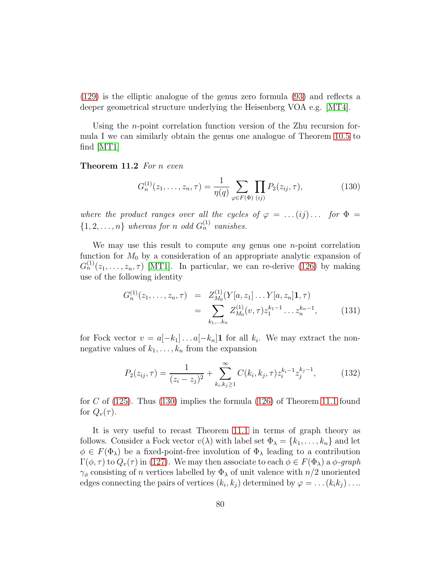[\(129\)](#page-78-0) is the elliptic analogue of the genus zero formula [\(93\)](#page-69-0) and reflects a deeper geometrical structure underlying the Heisenberg VOA e.g. [\[MT4\]](#page-116-4).

Using the *n*-point correlation function version of the Zhu recursion formula I we can similarly obtain the genus one analogue of Theorem [10.5](#page-69-1) to find [\[MT1\]](#page-116-5)

Theorem 11.2 For n even

<span id="page-79-0"></span>
$$
G_n^{(1)}(z_1,\ldots,z_n,\tau) = \frac{1}{\eta(q)} \sum_{\varphi \in F(\Phi)} \prod_{(ij)} P_2(z_{ij},\tau), \qquad (130)
$$

where the product ranges over all the cycles of  $\varphi = \ldots (ij) \ldots$  for  $\Phi =$  $\{1, 2, \ldots, n\}$  whereas for n odd  $G_n^{(1)}$  vanishes.

We may use this result to compute *any* genus one *n*-point correlation function for  $M_0$  by a consideration of an appropriate analytic expansion of  $G_n^{(1)}(z_1,\ldots,z_n,\tau)$  [\[MT1\]](#page-116-5). In particular, we can re-derive [\(126\)](#page-77-2) by making use of the following identity

<span id="page-79-1"></span>
$$
G_n^{(1)}(z_1, \ldots, z_n, \tau) = Z_{M_0}^{(1)}(Y[a, z_1] \ldots Y[a, z_n] \mathbf{1}, \tau)
$$
  
= 
$$
\sum_{k_1, \ldots, k_n} Z_{M_0}^{(1)}(v, \tau) z_1^{k_1 - 1} \ldots z_n^{k_n - 1},
$$
 (131)

for Fock vector  $v = a[-k_1] \dots a[-k_n] \mathbf{1}$  for all  $k_i$ . We may extract the nonnegative values of  $k_1, \ldots, k_n$  from the expansion

$$
P_2(z_{ij}, \tau) = \frac{1}{(z_i - z_j)^2} + \sum_{k_i, k_j \ge 1}^{\infty} C(k_i, k_j, \tau) z_i^{k_i - 1} z_j^{k_j - 1}, \tag{132}
$$

for C of  $(125)$ . Thus  $(130)$  implies the formula  $(126)$  of Theorem [11.1](#page-77-1) found for  $Q_v(\tau)$ .

It is very useful to recast Theorem [11.1](#page-77-1) in terms of graph theory as follows. Consider a Fock vector  $v(\lambda)$  with label set  $\Phi_{\lambda} = \{k_1, \ldots, k_n\}$  and let  $\phi \in F(\Phi_{\lambda})$  be a fixed-point-free involution of  $\Phi_{\lambda}$  leading to a contribution  $\Gamma(\phi, \tau)$  to  $Q_v(\tau)$  in [\(127\)](#page-77-2). We may then associate to each  $\phi \in F(\Phi_\lambda)$  a  $\phi$ -graph  $\gamma_{\phi}$  consisting of *n* vertices labelled by  $\Phi_{\lambda}$  of unit valence with  $n/2$  unoriented edges connecting the pairs of vertices  $(k_i, k_j)$  determined by  $\varphi = \dots (k_i k_j) \dots$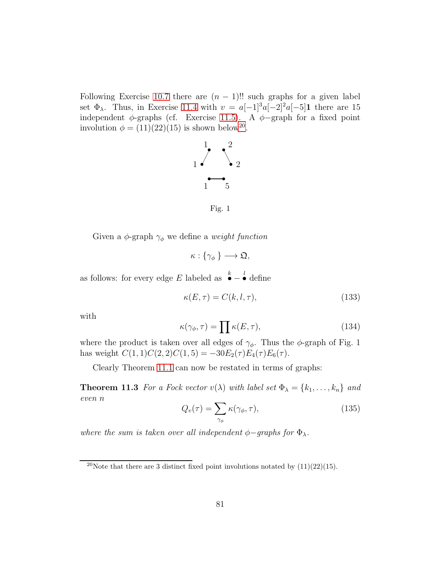Following Exercise [10.7](#page-69-2) there are  $(n-1)!!$  such graphs for a given label set  $\Phi_{\lambda}$ . Thus, in Exercise [11.4](#page-80-0) with  $v = a[-1]^3a[-2]^2a[-5]$  there are 15 independent  $\phi$ -graphs (cf. Exercise [11.5\)](#page-81-0). A  $\phi$ -graph for a fixed point involution  $\phi = (11)(22)(15)$  is shown below<sup>[20](#page-80-1)</sup>.



Fig. 1

Given a  $\phi$ -graph  $\gamma_{\phi}$  we define a *weight function* 

$$
\kappa:\{\gamma_\phi\}\longrightarrow\mathfrak{Q},
$$

as follows: for every edge E labeled as  $\overset{k}{\bullet}$  –  $\stackrel{l}{\bullet}$  define

$$
\kappa(E,\tau) = C(k,l,\tau),\tag{133}
$$

with

<span id="page-80-3"></span>
$$
\kappa(\gamma_{\phi}, \tau) = \prod \kappa(E, \tau), \tag{134}
$$

where the product is taken over all edges of  $\gamma_{\phi}$ . Thus the  $\phi$ -graph of Fig. 1 has weight  $C(1, 1)C(2, 2)C(1, 5) = -30E_2(\tau)E_4(\tau)E_6(\tau)$ .

<span id="page-80-2"></span>Clearly Theorem [11.1](#page-77-1) can now be restated in terms of graphs:

**Theorem 11.3** For a Fock vector  $v(\lambda)$  with label set  $\Phi_{\lambda} = \{k_1, \ldots, k_n\}$  and even n

$$
Q_v(\tau) = \sum_{\gamma_\phi} \kappa(\gamma_\phi, \tau), \tag{135}
$$

where the sum is taken over all independent  $\phi$ -graphs for  $\Phi_{\lambda}$ .

<span id="page-80-1"></span><span id="page-80-0"></span><sup>&</sup>lt;sup>20</sup>Note that there are 3 distinct fixed point involutions notated by  $(11)(22)(15)$ .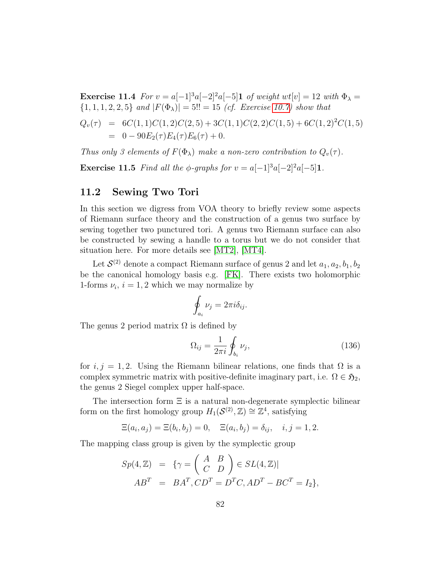Exercise 11.4 For  $v = a[-1]^3a[-2]^2a[-5]$ 1 of weight wt $[v] = 12$  with  $\Phi_{\lambda} =$  $\{1, 1, 1, 2, 2, 5\}$  and  $|F(\Phi_{\lambda})| = 5!! = 15$  (cf. Exercise [10.7\)](#page-69-2) show that

$$
Q_v(\tau) = 6C(1,1)C(1,2)C(2,5) + 3C(1,1)C(2,2)C(1,5) + 6C(1,2)^2C(1,5)
$$
  
= 0 - 90E<sub>2</sub>( $\tau$ )E<sub>4</sub>( $\tau$ )E<sub>6</sub>( $\tau$ ) + 0.

<span id="page-81-0"></span>Thus only 3 elements of  $F(\Phi_{\lambda})$  make a non-zero contribution to  $Q_v(\tau)$ .

Exercise 11.5 Find all the  $\phi$ -graphs for  $v = a[-1]^3a[-2]^2a[-5]1$ .

#### <span id="page-81-1"></span>11.2 Sewing Two Tori

In this section we digress from VOA theory to briefly review some aspects of Riemann surface theory and the construction of a genus two surface by sewing together two punctured tori. A genus two Riemann surface can also be constructed by sewing a handle to a torus but we do not consider that situation here. For more details see [\[MT2\]](#page-116-2), [\[MT4\]](#page-116-4).

Let  $\mathcal{S}^{(2)}$  denote a compact Riemann surface of genus 2 and let  $a_1, a_2, b_1, b_2$ be the canonical homology basis e.g. [\[FK\]](#page-113-1). There exists two holomorphic 1-forms  $\nu_i$ ,  $i = 1, 2$  which we may normalize by

$$
\oint_{a_i} \nu_j = 2\pi i \delta_{ij}.
$$

The genus 2 period matrix  $\Omega$  is defined by

$$
\Omega_{ij} = \frac{1}{2\pi i} \oint_{b_i} \nu_j,\tag{136}
$$

for  $i, j = 1, 2$ . Using the Riemann bilinear relations, one finds that  $\Omega$  is a complex symmetric matrix with positive-definite imaginary part, i.e.  $\Omega \in \mathfrak{H}_2$ , the genus 2 Siegel complex upper half-space.

The intersection form  $\Xi$  is a natural non-degenerate symplectic bilinear form on the first homology group  $H_1(\mathcal{S}^{(2)}, \mathbb{Z}) \cong \mathbb{Z}^4$ , satisfying

$$
\Xi(a_i, a_j) = \Xi(b_i, b_j) = 0, \quad \Xi(a_i, b_j) = \delta_{ij}, \quad i, j = 1, 2.
$$

The mapping class group is given by the symplectic group

$$
Sp(4, \mathbb{Z}) = \{ \gamma = \begin{pmatrix} A & B \\ C & D \end{pmatrix} \in SL(4, \mathbb{Z}) |
$$
\n
$$
AB^T = BA^T, CD^T = D^TC, AD^T - BC^T = I_2 \},
$$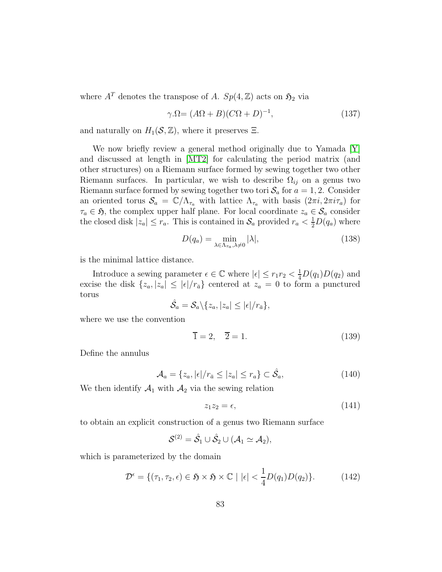where  $A<sup>T</sup>$  denotes the transpose of A.  $Sp(4, \mathbb{Z})$  acts on  $\mathfrak{H}_2$  via

<span id="page-82-0"></span>
$$
\gamma \Omega = (A\Omega + B)(C\Omega + D)^{-1},\tag{137}
$$

and naturally on  $H_1(\mathcal{S}, \mathbb{Z})$ , where it preserves  $\Xi$ .

We now briefly review a general method originally due to Yamada [\[Y\]](#page-117-0) and discussed at length in [\[MT2\]](#page-116-2) for calculating the period matrix (and other structures) on a Riemann surface formed by sewing together two other Riemann surfaces. In particular, we wish to describe  $\Omega_{ij}$  on a genus two Riemann surface formed by sewing together two tori  $S_a$  for  $a = 1, 2$ . Consider an oriented torus  $S_a = \mathbb{C}/\Lambda_{\tau_a}$  with lattice  $\Lambda_{\tau_a}$  with basis  $(2\pi i, 2\pi i \tau_a)$  for  $\tau_a \in \mathfrak{H}$ , the complex upper half plane. For local coordinate  $z_a \in \mathcal{S}_a$  consider the closed disk  $|z_a| \le r_a$ . This is contained in  $S_a$  provided  $r_a < \frac{1}{2}D(q_a)$  where

$$
D(q_a) = \min_{\lambda \in \Lambda_{\tau_a}, \lambda \neq 0} |\lambda|,\tag{138}
$$

is the minimal lattice distance.

Introduce a sewing parameter  $\epsilon \in \mathbb{C}$  where  $|\epsilon| \leq r_1 r_2 < \frac{1}{4}D(q_1)D(q_2)$  and excise the disk  $\{z_a, |z_a| \leq |\epsilon|/r_{\bar{a}}\}$  centered at  $z_a = 0$  to form a punctured torus

$$
\hat{\mathcal{S}}_a = \mathcal{S}_a \backslash \{z_a, |z_a| \leq |\epsilon|/r_{\bar{a}}\},\
$$

where we use the convention

$$
\overline{1} = 2, \quad \overline{2} = 1. \tag{139}
$$

Define the annulus

<span id="page-82-1"></span>
$$
\mathcal{A}_a = \{z_a, |\epsilon|/r_{\bar{a}} \le |z_a| \le r_a \} \subset \hat{\mathcal{S}}_a,\tag{140}
$$

We then identify  $A_1$  with  $A_2$  via the sewing relation

$$
z_1 z_2 = \epsilon, \tag{141}
$$

to obtain an explicit construction of a genus two Riemann surface

$$
\mathcal{S}^{(2)} = \hat{\mathcal{S}}_1 \cup \hat{\mathcal{S}}_2 \cup (\mathcal{A}_1 \simeq \mathcal{A}_2),
$$

which is parameterized by the domain

$$
\mathcal{D}^{\epsilon} = \{ (\tau_1, \tau_2, \epsilon) \in \mathfrak{H} \times \mathfrak{H} \times \mathbb{C} \mid |\epsilon| < \frac{1}{4} D(q_1) D(q_2) \}. \tag{142}
$$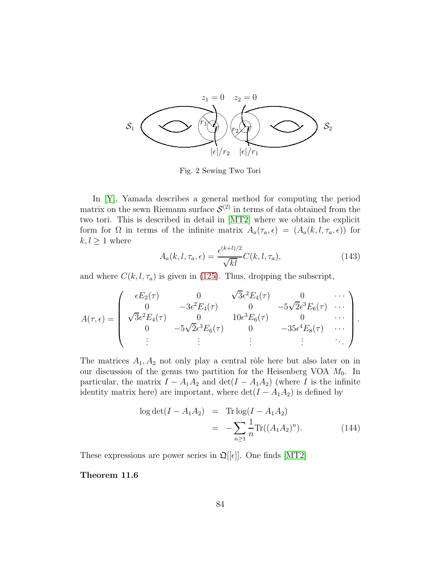

Fig. 2 Sewing Two Tori

In [\[Y\]](#page-117-0), Yamada describes a general method for computing the period matrix on the sewn Riemann surface  $S^{(2)}$  in terms of data obtained from the two tori. This is described in detail in [\[MT2\]](#page-116-2) where we obtain the explicit form for  $\Omega$  in terms of the infinite matrix  $A_a(\tau_a, \epsilon) = (A_a(k, l, \tau_a, \epsilon))$  for  $k, l \geq 1$  where

<span id="page-83-0"></span>
$$
A_a(k,l,\tau_a,\epsilon) = \frac{\epsilon^{(k+l)/2}}{\sqrt{kl}} C(k,l,\tau_a),\tag{143}
$$

and where  $C(k, l, \tau_a)$  is given in [\(125\)](#page-77-0). Thus, dropping the subscript,

$$
A(\tau,\epsilon) = \begin{pmatrix} \epsilon E_2(\tau) & 0 & \sqrt{3}\epsilon^2 E_4(\tau) & 0 & \cdots \\ 0 & -3\epsilon^2 E_4(\tau) & 0 & -5\sqrt{2}\epsilon^3 E_6(\tau) & \cdots \\ \sqrt{3}\epsilon^2 E_4(\tau) & 0 & 10\epsilon^3 E_6(\tau) & 0 & \cdots \\ 0 & -5\sqrt{2}\epsilon^3 E_6(\tau) & 0 & -35\epsilon^4 E_8(\tau) & \cdots \\ \vdots & \vdots & \vdots & \vdots & \ddots \end{pmatrix}.
$$

The matrices  $A_1, A_2$  not only play a central rôle here but also later on in our discussion of the genus two partition for the Heisenberg VOA  $M_0$ . In particular, the matrix  $I - A_1 A_2$  and  $\det(I - A_1 A_2)$  (where I is the infinite identity matrix here) are important, where  $\det(I - A_1 A_2)$  is defined by

<span id="page-83-1"></span>
$$
\log \det(I - A_1 A_2) = \text{Tr} \log(I - A_1 A_2)
$$
  
= 
$$
- \sum_{n \ge 1} \frac{1}{n} \text{Tr}((A_1 A_2)^n).
$$
 (144)

<span id="page-83-2"></span>These expressions are power series in  $\mathfrak{Q}[[\epsilon]]$ . One finds [\[MT2\]](#page-116-2)

Theorem 11.6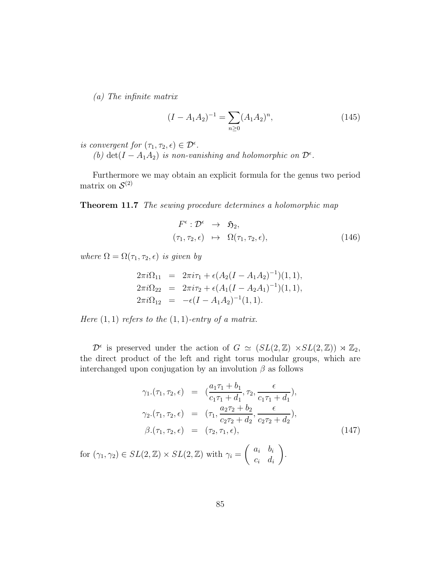(a) The infinite matrix

$$
(I - A_1 A_2)^{-1} = \sum_{n \ge 0} (A_1 A_2)^n,
$$
\n(145)

is convergent for  $(\tau_1, \tau_2, \epsilon) \in \mathcal{D}^{\epsilon}$ .

(b) det( $I - A_1 A_2$ ) is non-vanishing and holomorphic on  $\mathcal{D}^{\epsilon}$ .

<span id="page-84-1"></span>Furthermore we may obtain an explicit formula for the genus two period matrix on  $\mathcal{S}^{(2)}$ 

Theorem 11.7 The sewing procedure determines a holomorphic map

<span id="page-84-0"></span>
$$
F^{\epsilon}: \mathcal{D}^{\epsilon} \rightarrow \mathfrak{H}_2, \n(\tau_1, \tau_2, \epsilon) \rightarrow \Omega(\tau_1, \tau_2, \epsilon),
$$
\n(146)

where  $\Omega = \Omega(\tau_1, \tau_2, \epsilon)$  is given by

$$
2\pi i \Omega_{11} = 2\pi i \tau_1 + \epsilon (A_2(I - A_1 A_2)^{-1})(1, 1),
$$
  
\n
$$
2\pi i \Omega_{22} = 2\pi i \tau_2 + \epsilon (A_1(I - A_2 A_1)^{-1})(1, 1),
$$
  
\n
$$
2\pi i \Omega_{12} = -\epsilon (I - A_1 A_2)^{-1}(1, 1).
$$

Here  $(1, 1)$  refers to the  $(1, 1)$ -entry of a matrix.

 $\mathcal{D}^{\epsilon}$  is preserved under the action of  $G \simeq (SL(2,\mathbb{Z}) \times SL(2,\mathbb{Z})) \rtimes \mathbb{Z}_2$ , the direct product of the left and right torus modular groups, which are interchanged upon conjugation by an involution  $\beta$  as follows

<span id="page-84-2"></span>
$$
\gamma_1.(\tau_1, \tau_2, \epsilon) = \left(\frac{a_1\tau_1 + b_1}{c_1\tau_1 + d_1}, \tau_2, \frac{\epsilon}{c_1\tau_1 + d_1}\right),
$$
  
\n
$$
\gamma_2.(\tau_1, \tau_2, \epsilon) = (\tau_1, \frac{a_2\tau_2 + b_2}{c_2\tau_2 + d_2}, \frac{\epsilon}{c_2\tau_2 + d_2}),
$$
  
\n
$$
\beta.(\tau_1, \tau_2, \epsilon) = (\tau_2, \tau_1, \epsilon),
$$
  
\nfor  $(\gamma_1, \gamma_2) \in SL(2, \mathbb{Z}) \times SL(2, \mathbb{Z})$  with  $\gamma_i = \begin{pmatrix} a_i & b_i \\ c_i & d_i \end{pmatrix}.$  (147)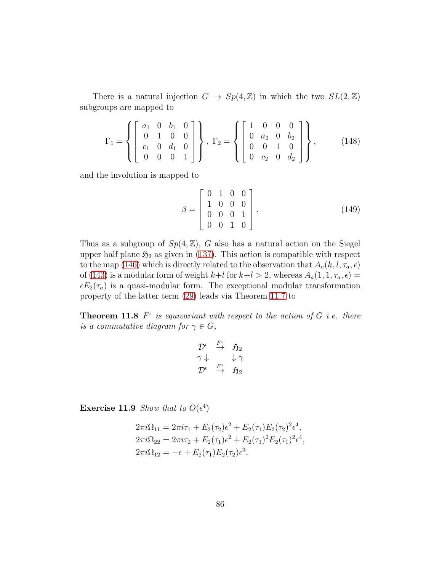There is a natural injection  $G \to Sp(4, \mathbb{Z})$  in which the two  $SL(2, \mathbb{Z})$ subgroups are mapped to

<span id="page-85-0"></span>
$$
\Gamma_1 = \left\{ \begin{bmatrix} a_1 & 0 & b_1 & 0 \\ 0 & 1 & 0 & 0 \\ c_1 & 0 & d_1 & 0 \\ 0 & 0 & 0 & 1 \end{bmatrix} \right\}, \ \Gamma_2 = \left\{ \begin{bmatrix} 1 & 0 & 0 & 0 \\ 0 & a_2 & 0 & b_2 \\ 0 & 0 & 1 & 0 \\ 0 & c_2 & 0 & d_2 \end{bmatrix} \right\}, \tag{148}
$$

and the involution is mapped to

<span id="page-85-1"></span>
$$
\beta = \begin{bmatrix} 0 & 1 & 0 & 0 \\ 1 & 0 & 0 & 0 \\ 0 & 0 & 0 & 1 \\ 0 & 0 & 1 & 0 \end{bmatrix} . \tag{149}
$$

Thus as a subgroup of  $Sp(4, \mathbb{Z})$ , G also has a natural action on the Siegel upper half plane  $\mathfrak{H}_2$  as given in [\(137\)](#page-82-0). This action is compatible with respect to the map [\(146\)](#page-84-0) which is directly related to the observation that  $A_a(k, l, \tau_a, \epsilon)$ of [\(143\)](#page-83-0) is a modular form of weight  $k+l$  for  $k+l > 2$ , whereas  $A_a(1, 1, \tau_a, \epsilon) =$  $\epsilon E_2(\tau_a)$  is a quasi-modular form. The exceptional modular transformation property of the latter term [\(29\)](#page-21-0) leads via Theorem [11.7](#page-84-1) to

**Theorem 11.8**  $F^{\epsilon}$  is equivariant with respect to the action of G i.e. there is a commutative diagram for  $\gamma \in G$ ,

$$
\begin{array}{ccc}\mathcal{D}^{\epsilon} & \stackrel{F^{\epsilon}}{\rightarrow} & \mathfrak{H}_{2} \\ \gamma \downarrow & & \downarrow \gamma \\ \mathcal{D}^{\epsilon} & \stackrel{F^{\epsilon}}{\rightarrow} & \mathfrak{H}_{2} \end{array}
$$

**Exercise 11.9** Show that to  $O(\epsilon^4)$ 

$$
2\pi i \Omega_{11} = 2\pi i \tau_1 + E_2(\tau_2) \epsilon^2 + E_2(\tau_1) E_2(\tau_2)^2 \epsilon^4,
$$
  
\n
$$
2\pi i \Omega_{22} = 2\pi i \tau_2 + E_2(\tau_1) \epsilon^2 + E_2(\tau_1)^2 E_2(\tau_1)^2 \epsilon^4,
$$
  
\n
$$
2\pi i \Omega_{12} = -\epsilon + E_2(\tau_1) E_2(\tau_2) \epsilon^3.
$$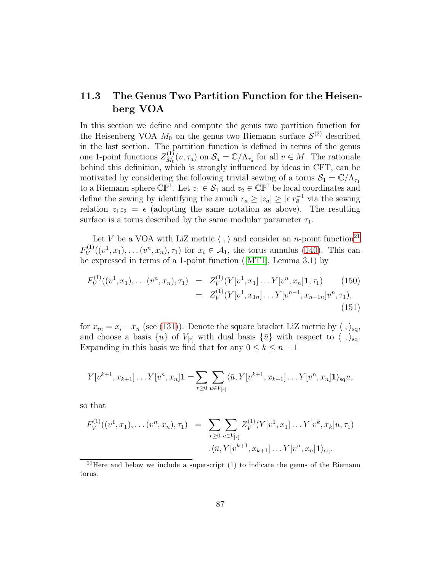### 11.3 The Genus Two Partition Function for the Heisenberg VOA

In this section we define and compute the genus two partition function for the Heisenberg VOA  $M_0$  on the genus two Riemann surface  $S^{(2)}$  described in the last section. The partition function is defined in terms of the genus one 1-point functions  $Z_{M_0}^{(1)}$  $\mathcal{S}_{M_0}(v, \tau_a)$  on  $\mathcal{S}_a = \mathbb{C}/\Lambda_{\tau_a}$  for all  $v \in M$ . The rationale behind this definition, which is strongly influenced by ideas in CFT, can be motivated by considering the following trivial sewing of a torus  $S_1 = \mathbb{C}/\Lambda_{\tau_1}$ to a Riemann sphere  $\mathbb{CP}^1$ . Let  $z_1 \in \mathcal{S}_1$  and  $z_2 \in \mathbb{CP}^1$  be local coordinates and define the sewing by identifying the annuli  $r_a \ge |z_a| \ge |\epsilon| r_{\overline{a}}^{-1}$  via the sewing relation  $z_1z_2 = \epsilon$  (adopting the same notation as above). The resulting surface is a torus described by the same modular parameter  $\tau_1$ .

Let V be a VOA with LiZ metric  $\langle , \rangle$  and consider an n-point function<sup>[21](#page-86-0)</sup>  $F_V^{(1)}$  $V_V^{(1)}((v^1, x_1), \ldots (v^n, x_n), \tau_1)$  for  $x_i \in \mathcal{A}_1$ , the torus annulus [\(140\)](#page-82-1). This can be expressed in terms of a 1-point function([\[MT1\]](#page-116-5), Lemma 3.1) by

<span id="page-86-1"></span>
$$
F_V^{(1)}((v^1, x_1), \dots (v^n, x_n), \tau_1) = Z_V^{(1)}(Y[v^1, x_1] \dots Y[v^n, x_n] \mathbf{1}, \tau_1)
$$
(150)  

$$
= Z_V^{(1)}(Y[v^1, x_{1n}] \dots Y[v^{n-1}, x_{n-1n}]v^n, \tau_1),
$$
(151)

for  $x_{in} = x_i - x_n$  (see [\(131\)](#page-79-1)). Denote the square bracket LiZ metric by  $\langle , \rangle_{\text{sq}},$ and choose a basis  $\{u\}$  of  $V_{[r]}$  with dual basis  $\{\bar{u}\}\$  with respect to  $\langle , \rangle_{sq}$ . Expanding in this basis we find that for any  $0 \leq k \leq n-1$ 

$$
Y[v^{k+1}, x_{k+1}] \dots Y[v^n, x_n] \mathbf{1} = \sum_{r \geq 0} \sum_{u \in V_{[r]}} \langle \bar{u}, Y[v^{k+1}, x_{k+1}] \dots Y[v^n, x_n] \mathbf{1} \rangle_{\text{sq}} u,
$$

so that

$$
F_V^{(1)}((v^1, x_1), \dots (v^n, x_n), \tau_1) = \sum_{r \geq 0} \sum_{u \in V_{[r]}} Z_V^{(1)}(Y[v^1, x_1] \dots Y[v^k, x_k]u, \tau_1)
$$

$$
\langle \bar{u}, Y[v^{k+1}, x_{k+1}] \dots Y[v^n, x_n] \mathbf{1} \rangle_{\text{sq}}.
$$

<span id="page-86-0"></span> $21$ Here and below we include a superscript (1) to indicate the genus of the Riemann torus.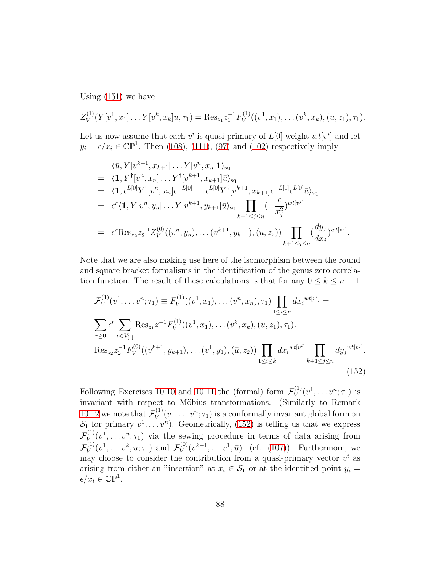Using [\(151\)](#page-86-1) we have

$$
Z_V^{(1)}(Y[v^1, x_1] \dots Y[v^k, x_k]u, \tau_1) = \text{Res}_{z_1} z_1^{-1} F_V^{(1)}((v^1, x_1), \dots (v^k, x_k), (u, z_1), \tau_1).
$$

Let us now assume that each  $v^i$  is quasi-primary of  $L[0]$  weight  $wt[v^i]$  and let  $y_i = \epsilon/x_i \in \mathbb{CP}^1$ . Then [\(108\)](#page-72-0), [\(111\)](#page-73-1), [\(97\)](#page-70-2) and [\(102\)](#page-71-3) respectively imply

$$
\langle \bar{u}, Y[v^{k+1}, x_{k+1}] \dots Y[v^n, x_n] \mathbf{1} \rangle_{\text{sq}}
$$
\n
$$
= \langle \mathbf{1}, Y^{\dagger}[v^n, x_n] \dots Y^{\dagger}[v^{k+1}, x_{k+1}] \bar{u} \rangle_{\text{sq}}
$$
\n
$$
= \langle \mathbf{1}, \epsilon^{L[0]} Y^{\dagger}[v^n, x_n] \epsilon^{-L[0]} \dots \epsilon^{L[0]} Y^{\dagger}[v^{k+1}, x_{k+1}] \epsilon^{-L[0]} \epsilon^{L[0]} \bar{u} \rangle_{\text{sq}}
$$
\n
$$
= \epsilon^{r} \langle \mathbf{1}, Y[v^n, y_n] \dots Y[v^{k+1}, y_{k+1}] \bar{u} \rangle_{\text{sq}}
$$
\n
$$
\prod_{k+1 \le j \le n} \left( -\frac{\epsilon}{x_j^2} \right)^{wt[v^j]}
$$
\n
$$
= \epsilon^{r} \text{Res}_{z_2} z_2^{-1} Z_V^{(0)}((v^n, y_n), \dots (v^{k+1}, y_{k+1}), (\bar{u}, z_2)) \prod_{k+1 \le j \le n} \left( \frac{dy_j}{dx_j} \right)^{wt[v^j]}.
$$

Note that we are also making use here of the isomorphism between the round and square bracket formalisms in the identification of the genus zero correlation function. The result of these calculations is that for any  $0 \leq k \leq n-1$ 

<span id="page-87-0"></span>
$$
\mathcal{F}_{V}^{(1)}(v^{1}, \dots v^{n}; \tau_{1}) \equiv F_{V}^{(1)}((v^{1}, x_{1}), \dots (v^{n}, x_{n}), \tau_{1}) \prod_{1 \leq i \leq n} dx_{i}^{wt[v^{i}]} =
$$
\n
$$
\sum_{r \geq 0} \epsilon^{r} \sum_{u \in V_{[r]}} \text{Res}_{z_{1}} z_{1}^{-1} F_{V}^{(1)}((v^{1}, x_{1}), \dots (v^{k}, x_{k}), (u, z_{1}), \tau_{1}).
$$
\n
$$
\text{Res}_{z_{2}} z_{2}^{-1} F_{V}^{(0)}((v^{k+1}, y_{k+1}), \dots (v^{1}, y_{1}), (\bar{u}, z_{2})) \prod_{1 \leq i \leq k} dx_{i}^{wt[v^{i}]} \prod_{k+1 \leq j \leq n} dy_{j}^{wt[v^{j}]}.
$$
\n(152)

Following Exercises [10.10](#page-71-4) and [10.11](#page-71-5) the (formal) form  $\mathcal{F}_{V}^{(1)}$  $v^{(1)}(v^1, \ldots v^n; \tau_1)$  is invariant with respect to Möbius transformations. (Similarly to Remark [10.12](#page-71-6) we note that  $\mathcal{F}_V^{(1)}$  $V^{(1)}(v^1, \ldots v^n; \tau_1)$  is a conformally invariant global form on  $S_1$  for primary  $v^1, \ldots v^n$ ). Geometrically, [\(152\)](#page-87-0) is telling us that we express  $\mathcal{F}_{V_{\mathcal{A}\lambda}}^{(1)}$  $V^{(1)}_V(v^1,\ldots v^n;\tau_1)$  via the sewing procedure in terms of data arising from  $\mathcal{F}_V^{(1)}$  $V^{(1)}(v^1, \ldots v^k, u; \tau_1)$  and  $\mathcal{F}_V^{(0)}$  $V^{(0)}(v^{k+1}, \dots v^1, \bar{u})$  (cf. [\(107\)](#page-71-7)). Furthermore, we may choose to consider the contribution from a quasi-primary vector  $v^i$  as arising from either an "insertion" at  $x_i \in S_1$  or at the identified point  $y_i =$  $\epsilon/x_i \in \mathbb{CP}^1$ .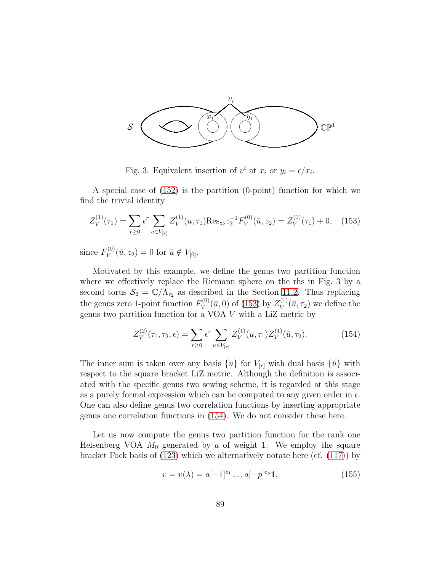

Fig. 3. Equivalent insertion of  $v^i$  at  $x_i$  or  $y_i = \epsilon / x_i$ .

A special case of [\(152\)](#page-87-0) is the partition (0-point) function for which we find the trivial identity

<span id="page-88-0"></span>
$$
Z_V^{(1)}(\tau_1) = \sum_{r \ge 0} \epsilon^r \sum_{u \in V_{[r]}} Z_V^{(1)}(u, \tau_1) \text{Res}_{z_2} z_2^{-1} F_V^{(0)}(\bar{u}, z_2) = Z_V^{(1)}(\tau_1) + 0, \quad (153)
$$

since  $F_V^{(0)}$  $V_V^{(0)}(\bar{u}, z_2) = 0$  for  $\bar{u} \notin V_{[0]}.$ 

Motivated by this example, we define the genus two partition function where we effectively replace the Riemann sphere on the rhs in Fig. 3 by a second torus  $S_2 = \mathbb{C}/\Lambda_{\tau_2}$  as described in the Section [11.2.](#page-81-1) Thus replacing the genus zero 1-point function  $F_V^{(0)}$  $V_V^{(0)}(\bar u, 0)$  of [\(153\)](#page-88-0) by  $Z_V^{(1)}$  $V^{(1)}(\bar{u}, \tau_2)$  we define the genus two partition function for a VOA V with a LiZ metric by

<span id="page-88-1"></span>
$$
Z_V^{(2)}(\tau_1, \tau_2, \epsilon) = \sum_{r \ge 0} \epsilon^r \sum_{u \in V_{[r]}} Z_V^{(1)}(u, \tau_1) Z_V^{(1)}(\bar{u}, \tau_2).
$$
 (154)

The inner sum is taken over any basis  $\{u\}$  for  $V_{[r]}$  with dual basis  $\{\bar{u}\}\$  with respect to the square bracket LiZ metric. Although the definition is associated with the specific genus two sewing scheme, it is regarded at this stage as a purely formal expression which can be computed to any given order in  $\epsilon$ . One can also define genus two correlation functions by inserting appropriate genus one correlation functions in [\(154\)](#page-88-1). We do not consider these here.

Let us now compute the genus two partition function for the rank one Heisenberg VOA  $M_0$  generated by a of weight 1. We employ the square bracket Fock basis of [\(123\)](#page-76-1) which we alternatively notate here (cf. [\(117\)](#page-74-2)) by

<span id="page-88-2"></span>
$$
v = v(\lambda) = a[-1]^{e_1} \dots a[-p]^{e_p} \mathbf{1},\tag{155}
$$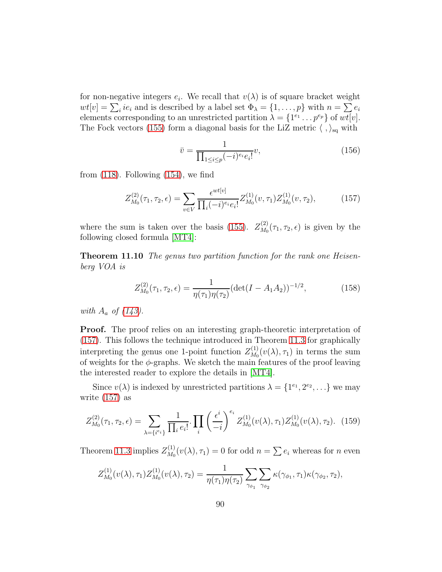for non-negative integers  $e_i$ . We recall that  $v(\lambda)$  is of square bracket weight  $wt[v] = \sum_i ie_i$  and is described by a label set  $\Phi_\lambda = \{1, \ldots, p\}$  with  $n = \sum_i e_i$ elements corresponding to an unrestricted partition  $\lambda = \{1^{e_1} \dots p^{e_p}\}\$  of  $wt[v]$ . The Fock vectors [\(155\)](#page-88-2) form a diagonal basis for the LiZ metric  $\langle , \rangle_{sq}$  with

$$
\bar{v} = \frac{1}{\prod_{1 \le i \le p} (-i)^{e_i} e_i!} v,
$$
\n(156)

from  $(118)$ . Following  $(154)$ , we find

<span id="page-89-0"></span>
$$
Z_{M_0}^{(2)}(\tau_1, \tau_2, \epsilon) = \sum_{v \in V} \frac{\epsilon^{wt[v]}}{\prod_i (-i)^{e_i} e_i!} Z_{M_0}^{(1)}(v, \tau_1) Z_{M_0}^{(1)}(v, \tau_2), \tag{157}
$$

<span id="page-89-2"></span>where the sum is taken over the basis [\(155\)](#page-88-2).  $Z_{M_0}^{(2)}$  $\chi_{M_0}^{(2)}(\tau_1, \tau_2, \epsilon)$  is given by the following closed formula [\[MT4\]](#page-116-4):

Theorem 11.10 The genus two partition function for the rank one Heisenberg VOA is

<span id="page-89-3"></span>
$$
Z_{M_0}^{(2)}(\tau_1, \tau_2, \epsilon) = \frac{1}{\eta(\tau_1)\eta(\tau_2)} (\det(I - A_1 A_2))^{-1/2},
$$
\n(158)

with  $A_a$  of  $(143)$ .

**Proof.** The proof relies on an interesting graph-theoretic interpretation of [\(157\)](#page-89-0). This follows the technique introduced in Theorem [11.3](#page-80-2) for graphically interpreting the genus one 1-point function  $Z_{M_0}^{(1)}$  $\chi_{M_0}^{(1)}(v(\lambda), \tau_1)$  in terms the sum of weights for the  $\phi$ -graphs. We sketch the main features of the proof leaving the interested reader to explore the details in [\[MT4\]](#page-116-4).

Since  $v(\lambda)$  is indexed by unrestricted partitions  $\lambda = \{1^{e_1}, 2^{e_2}, \ldots\}$  we may write [\(157\)](#page-89-0) as

<span id="page-89-1"></span>
$$
Z_{M_0}^{(2)}(\tau_1, \tau_2, \epsilon) = \sum_{\lambda = \{i^e i\}} \frac{1}{\prod_i e_i!} \cdot \prod_i \left(\frac{\epsilon^i}{-i}\right)^{e_i} Z_{M_0}^{(1)}(v(\lambda), \tau_1) Z_{M_0}^{(1)}(v(\lambda), \tau_2). \tag{159}
$$

Theorem [11.3](#page-80-2) implies  $Z_{M_0}^{(1)}$  $M_0^{(1)}(v(\lambda), \tau_1) = 0$  for odd  $n = \sum e_i$  whereas for *n* even

$$
Z_{M_0}^{(1)}(v(\lambda), \tau_1) Z_{M_0}^{(1)}(v(\lambda), \tau_2) = \frac{1}{\eta(\tau_1)\eta(\tau_2)} \sum_{\gamma_{\phi_1}} \sum_{\gamma_{\phi_2}} \kappa(\gamma_{\phi_1}, \tau_1) \kappa(\gamma_{\phi_2}, \tau_2),
$$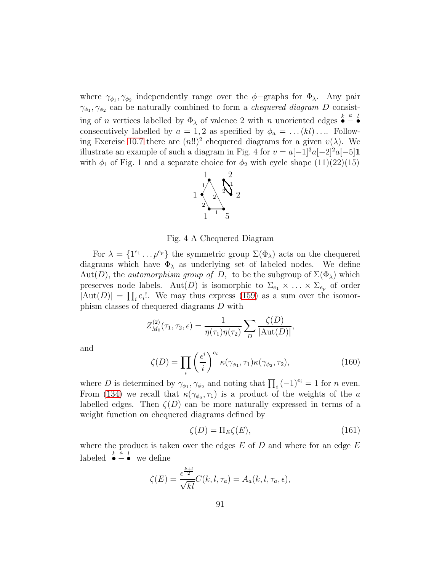where  $\gamma_{\phi_1}, \gamma_{\phi_2}$  independently range over the  $\phi$ -graphs for  $\Phi_\lambda$ . Any pair  $\gamma_{\phi_1}, \gamma_{\phi_2}$  can be naturally combined to form a *chequered diagram* D consisting of *n* vertices labelled by  $\Phi_{\lambda}$  of valence 2 with *n* unoriented edges  $\bullet$ a − l • consecutively labelled by  $a = 1, 2$  as specified by  $\phi_a = \dots (kl) \dots$  Follow-ing Exercise [10.7](#page-69-2) there are  $(n!!)^2$  chequered diagrams for a given  $v(\lambda)$ . We illustrate an example of such a diagram in Fig. 4 for  $v = a[-1]^3a[-2]^2a[-5]1$ with  $\phi_1$  of Fig. 1 and a separate choice for  $\phi_2$  with cycle shape  $(11)(22)(15)$ 



Fig. 4 A Chequered Diagram

For  $\lambda = \{1^{e_1} \dots p^{e_p}\}\$  the symmetric group  $\Sigma(\Phi_\lambda)$  acts on the chequered diagrams which have  $\Phi_{\lambda}$  as underlying set of labeled nodes. We define Aut(D), the *automorphism group of D*, to be the subgroup of  $\Sigma(\Phi_{\lambda})$  which preserves node labels. Aut(D) is isomorphic to  $\Sigma_{e_1} \times \ldots \times \Sigma_{e_n}$  of order  $|\text{Aut}(D)| = \prod_i e_i!$ . We may thus express [\(159\)](#page-89-1) as a sum over the isomorphism classes of chequered diagrams D with

$$
Z_{M_0}^{(2)}(\tau_1, \tau_2, \epsilon) = \frac{1}{\eta(\tau_1)\eta(\tau_2)} \sum_{D} \frac{\zeta(D)}{|\text{Aut}(D)|},
$$

and

$$
\zeta(D) = \prod_{i} \left(\frac{\epsilon^i}{i}\right)^{e_i} \kappa(\gamma_{\phi_1}, \tau_1) \kappa(\gamma_{\phi_2}, \tau_2),\tag{160}
$$

where D is determined by  $\gamma_{\phi_1}, \gamma_{\phi_2}$  and noting that  $\prod_i (-1)^{e_i} = 1$  for n even. From [\(134\)](#page-80-3) we recall that  $\kappa(\gamma_{\phi_a}, \tau_1)$  is a product of the weights of the a labelled edges. Then  $\zeta(D)$  can be more naturally expressed in terms of a weight function on chequered diagrams defined by

<span id="page-90-0"></span>
$$
\zeta(D) = \Pi_E \zeta(E),\tag{161}
$$

where the product is taken over the edges  $E$  of  $D$  and where for an edge  $E$ labeled  $\bullet$ a −  $\bullet$  we define

$$
\zeta(E) = \frac{\epsilon^{\frac{k+l}{2}}}{\sqrt{kl}} C(k, l, \tau_a) = A_a(k, l, \tau_a, \epsilon),
$$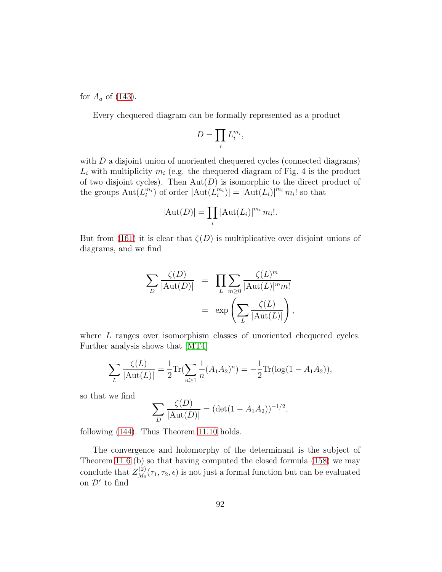for  $A_a$  of [\(143\)](#page-83-0).

Every chequered diagram can be formally represented as a product

$$
D=\prod_i L_i^{m_i},
$$

with  $D$  a disjoint union of unoriented chequered cycles (connected diagrams)  $L_i$  with multiplicity  $m_i$  (e.g. the chequered diagram of Fig. 4 is the product of two disjoint cycles). Then  $Aut(D)$  is isomorphic to the direct product of the groups  $\text{Aut}(L_i^{m_i})$  of order  $|\text{Aut}(L_i^{m_i})| = |\text{Aut}(L_i)|^{m_i} m_i!$  so that

$$
|\mathrm{Aut}(D)| = \prod_i |\mathrm{Aut}(L_i)|^{m_i} m_i!.
$$

But from [\(161\)](#page-90-0) it is clear that  $\zeta(D)$  is multiplicative over disjoint unions of diagrams, and we find

$$
\sum_{D} \frac{\zeta(D)}{|\text{Aut}(D)|} = \prod_{L} \sum_{m \geq 0} \frac{\zeta(L)^m}{|\text{Aut}(L)|^m m!}
$$
  
=  $\exp \left( \sum_{L} \frac{\zeta(L)}{|\text{Aut}(L)|} \right),$ 

where L ranges over isomorphism classes of unoriented chequered cycles. Further analysis shows that [\[MT4\]](#page-116-4)

$$
\sum_{L} \frac{\zeta(L)}{|\text{Aut}(L)|} = \frac{1}{2} \text{Tr} \left( \sum_{n \ge 1} \frac{1}{n} (A_1 A_2)^n \right) = -\frac{1}{2} \text{Tr} (\log(1 - A_1 A_2)),
$$

so that we find

$$
\sum_{D} \frac{\zeta(D)}{|\text{Aut}(D)|} = (\det(1 - A_1 A_2))^{-1/2},
$$

following [\(144\)](#page-83-1). Thus Theorem [11.10](#page-89-2) holds.

The convergence and holomorphy of the determinant is the subject of Theorem [11.6](#page-83-2) (b) so that having computed the closed formula [\(158\)](#page-89-3) we may conclude that  $Z_{M_0}^{(2)}$  $\chi_{M_0}^{(2)}(\tau_1, \tau_2, \epsilon)$  is not just a formal function but can be evaluated on  $\mathcal{D}^{\epsilon}$  to find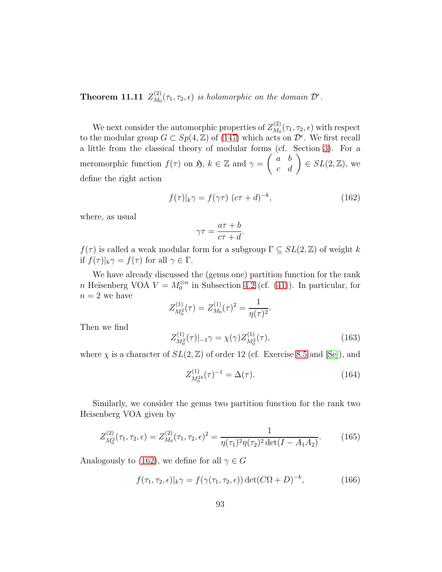Theorem 11.11  $Z_{M_0}^{(2)}$  $\mathcal{L}_{M_0}^{(2)}(\tau_1, \tau_2, \epsilon)$  is holomorphic on the domain  $\mathcal{D}^{\epsilon}$ .

We next consider the automorphic properties of  $Z_{M_0}^{(2)}$  $\chi_{M_0}^{(2)}(\tau_1, \tau_2, \epsilon)$  with respect to the modular group  $G \subset Sp(4, \mathbb{Z})$  of [\(147\)](#page-84-2) which acts on  $\mathcal{D}^{\epsilon}$ . We first recall a little from the classical theory of modular forms (cf. Section [3\)](#page-17-0). For a meromorphic function  $f(\tau)$  on  $\mathfrak{H}, k \in \mathbb{Z}$  and  $\gamma = \begin{pmatrix} a & b \\ c & d \end{pmatrix} \in SL(2, \mathbb{Z})$ , we define the right action

<span id="page-92-0"></span>
$$
f(\tau)|_{k}\gamma = f(\gamma\tau) \ (\bar{c}\tau + \bar{d})^{-k},\tag{162}
$$

where, as usual

$$
\gamma \tau = \frac{a\tau + b}{c\tau + d}.
$$

 $f(\tau)$  is called a weak modular form for a subgroup  $\Gamma \subseteq SL(2,\mathbb{Z})$  of weight k if  $f(\tau)|_k \gamma = f(\tau)$  for all  $\gamma \in \Gamma$ .

We have already discussed the (genus one) partition function for the rank n Heisenberg VOA  $V = M_0^{\otimes n}$  in Subsection [4.2](#page-25-0) (cf. [\(41\)](#page-26-0)). In particular, for  $n=2$  we have

$$
Z_{M_0^2}^{(1)}(\tau) = Z_{M_0}^{(1)}(\tau)^2 = \frac{1}{\eta(\tau)^2}.
$$

Then we find

<span id="page-92-2"></span>
$$
Z_{M_0^2}^{(1)}(\tau)|_{-1}\gamma = \chi(\gamma)Z_{M_0^2}^{(1)}(\tau),\tag{163}
$$

where  $\chi$  is a character of  $SL(2, \mathbb{Z})$  of order 12 (cf. Exercise [8.5](#page-56-0) and [\[Se\]](#page-116-6)), and

<span id="page-92-3"></span>
$$
Z_{M_0^{24}}^{(1)}(\tau)^{-1} = \Delta(\tau). \tag{164}
$$

Similarly, we consider the genus two partition function for the rank two Heisenberg VOA given by

$$
Z_{M_0^2}^{(2)}(\tau_1, \tau_2, \epsilon) = Z_{M_0}^{(2)}(\tau_1, \tau_2, \epsilon)^2 = \frac{1}{\eta(\tau_1)^2 \eta(\tau_2)^2 \det(I - A_1 A_2)}.
$$
 (165)

Analogously to [\(162\)](#page-92-0), we define for all  $\gamma \in G$ 

<span id="page-92-1"></span>
$$
f(\tau_1, \tau_2, \epsilon)|_k \gamma = f(\gamma(\tau_1, \tau_2, \epsilon)) \det(C\Omega + D)^{-k}, \qquad (166)
$$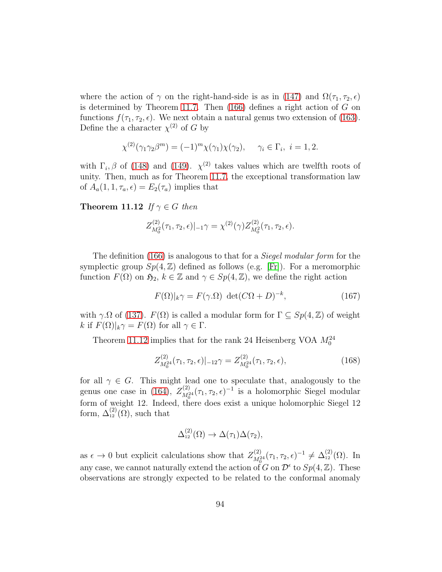where the action of  $\gamma$  on the right-hand-side is as in [\(147\)](#page-84-2) and  $\Omega(\tau_1, \tau_2, \epsilon)$ is determined by Theorem [11.7.](#page-84-1) Then  $(166)$  defines a right action of G on functions  $f(\tau_1, \tau_2, \epsilon)$ . We next obtain a natural genus two extension of [\(163\)](#page-92-2). Define the a character  $\chi^{(2)}$  of G by

$$
\chi^{(2)}(\gamma_1 \gamma_2 \beta^m) = (-1)^m \chi(\gamma_1) \chi(\gamma_2), \quad \gamma_i \in \Gamma_i, \ i = 1, 2.
$$

with  $\Gamma_i$ ,  $\beta$  of [\(148\)](#page-85-0) and [\(149\)](#page-85-1).  $\chi^{(2)}$  takes values which are twelfth roots of unity. Then, much as for Theorem [11.7,](#page-84-1) the exceptional transformation law of  $A_a(1, 1, \tau_a, \epsilon) = E_2(\tau_a)$  implies that

<span id="page-93-0"></span>Theorem 11.12 If  $\gamma \in G$  then

$$
Z_{M_0^2}^{(2)}(\tau_1, \tau_2, \epsilon)|_{-1} \gamma = \chi^{(2)}(\gamma) Z_{M_0^2}^{(2)}(\tau_1, \tau_2, \epsilon).
$$

The definition [\(166\)](#page-92-1) is analogous to that for a *Siegel modular form* for the symplectic group  $Sp(4, \mathbb{Z})$  defined as follows (e.g. [\[Fr\]](#page-113-2)). For a meromorphic function  $F(\Omega)$  on  $\mathfrak{H}_2$ ,  $k \in \mathbb{Z}$  and  $\gamma \in Sp(4,\mathbb{Z})$ , we define the right action

$$
F(\Omega)|_{k}\gamma = F(\gamma.\Omega) \ \det(C\Omega + D)^{-k},\tag{167}
$$

with  $\gamma \Omega$  of [\(137\)](#page-82-0).  $F(\Omega)$  is called a modular form for  $\Gamma \subseteq Sp(4, \mathbb{Z})$  of weight k if  $F(\Omega)|_k \gamma = F(\Omega)$  for all  $\gamma \in \Gamma$ .

Theorem [11.12](#page-93-0) implies that for the rank 24 Heisenberg VOA  $M_0^{24}$ 

$$
Z_{M_0^{24}}^{(2)}(\tau_1, \tau_2, \epsilon)|_{-12} \gamma = Z_{M_0^{24}}^{(2)}(\tau_1, \tau_2, \epsilon), \qquad (168)
$$

for all  $\gamma \in G$ . This might lead one to speculate that, analogously to the genus one case in [\(164\)](#page-92-3),  $Z_{M^2}^{(2)}$  $\frac{(2)}{M_0^{24}}(\tau_1, \tau_2, \epsilon)^{-1}$  is a holomorphic Siegel modular form of weight 12. Indeed, there does exist a unique holomorphic Siegel  $12$ form,  $\Delta_{12}^{(2)}(\Omega)$ , such that

$$
\Delta_{12}^{(2)}(\Omega) \to \Delta(\tau_1)\Delta(\tau_2),
$$

as  $\epsilon \to 0$  but explicit calculations show that  $Z_{M_0^2}^{(2)}$  $\Delta_{M_0^{24}}^{(2)}(\tau_1, \tau_2, \epsilon)^{-1} \neq \Delta_{12}^{(2)}(\Omega)$ . In any case, we cannot naturally extend the action of G on  $\mathcal{D}^{\epsilon}$  to  $Sp(4, \mathbb{Z})$ . These observations are strongly expected to be related to the conformal anomaly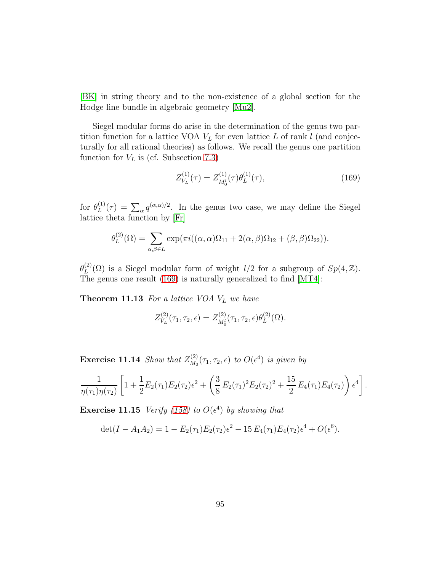[\[BK\]](#page-111-1) in string theory and to the non-existence of a global section for the Hodge line bundle in algebraic geometry [\[Mu2\]](#page-116-7).

Siegel modular forms do arise in the determination of the genus two partition function for a lattice VOA  $V_L$  for even lattice L of rank l (and conjecturally for all rational theories) as follows. We recall the genus one partition function for  $V_L$  is (cf. Subsection [7.3\)](#page-49-0)

<span id="page-94-0"></span>
$$
Z_{V_L}^{(1)}(\tau) = Z_{M_0^1}^{(1)}(\tau)\theta_L^{(1)}(\tau),\tag{169}
$$

for  $\theta_L^{(1)}$  $L^{(1)}(\tau) = \sum_{\alpha} q^{(\alpha,\alpha)/2}$ . In the genus two case, we may define the Siegel lattice theta function by [\[Fr\]](#page-113-2)

$$
\theta_L^{(2)}(\Omega) = \sum_{\alpha,\beta \in L} \exp(\pi i((\alpha,\alpha)\Omega_{11} + 2(\alpha,\beta)\Omega_{12} + (\beta,\beta)\Omega_{22})).
$$

 $\theta^{(2)}_L$  $L^{(2)}(\Omega)$  is a Siegel modular form of weight  $l/2$  for a subgroup of  $Sp(4, \mathbb{Z})$ . The genus one result [\(169\)](#page-94-0) is naturally generalized to find [\[MT4\]](#page-116-4):

**Theorem 11.13** For a lattice VOA  $V_L$  we have

$$
Z_{V_L}^{(2)}(\tau_1, \tau_2, \epsilon) = Z_{M_0^1}^{(2)}(\tau_1, \tau_2, \epsilon) \theta_L^{(2)}(\Omega).
$$

**Exercise 11.14** Show that  $Z_{M_0}^{(2)}$  $\mathcal{L}_{M_0}^{(2)}(\tau_1,\tau_2,\epsilon)$  to  $O(\epsilon^4)$  is given by

$$
\frac{1}{\eta(\tau_1)\eta(\tau_2)} \left[ 1 + \frac{1}{2} E_2(\tau_1) E_2(\tau_2) \epsilon^2 + \left( \frac{3}{8} E_2(\tau_1)^2 E_2(\tau_2)^2 + \frac{15}{2} E_4(\tau_1) E_4(\tau_2) \right) \epsilon^4 \right].
$$

**Exercise 11.15** Verify [\(158\)](#page-89-3) to  $O(\epsilon^4)$  by showing that

$$
\det(I - A_1 A_2) = 1 - E_2(\tau_1) E_2(\tau_2) \epsilon^2 - 15 E_4(\tau_1) E_4(\tau_2) \epsilon^4 + O(\epsilon^6).
$$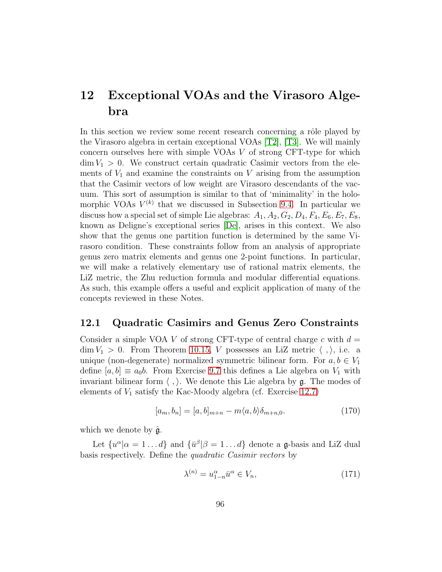## 12 Exceptional VOAs and the Virasoro Algebra

In this section we review some recent research concerning a rôle played by the Virasoro algebra in certain exceptional VOAs [\[T2\]](#page-116-8), [\[T3\]](#page-116-9). We will mainly concern ourselves here with simple VOAs V of strong CFT-type for which  $\dim V_1 > 0$ . We construct certain quadratic Casimir vectors from the elements of  $V_1$  and examine the constraints on V arising from the assumption that the Casimir vectors of low weight are Virasoro descendants of the vacuum. This sort of assumption is similar to that of 'minimality' in the holomorphic VOAs  $V^{(k)}$  that we discussed in Subsection [9.4.](#page-62-0) In particular we discuss how a special set of simple Lie algebras:  $A_1, A_2, G_2, D_4, F_4, E_6, E_7, E_8$ , known as Deligne's exceptional series [\[De\]](#page-112-0), arises in this context. We also show that the genus one partition function is determined by the same Virasoro condition. These constraints follow from an analysis of appropriate genus zero matrix elements and genus one 2-point functions. In particular, we will make a relatively elementary use of rational matrix elements, the LiZ metric, the Zhu reduction formula and modular differential equations. As such, this example offers a useful and explicit application of many of the concepts reviewed in these Notes.

#### 12.1 Quadratic Casimirs and Genus Zero Constraints

Consider a simple VOA V of strong CFT-type of central charge c with  $d =$  $\dim V_1 > 0$ . From Theorem [10.15,](#page-74-3) V possesses an LiZ metric  $\langle , \rangle$ , i.e. a unique (non-degenerate) normalized symmetric bilinear form. For  $a, b \in V_1$ define  $[a, b] \equiv a_0 b$ . From Exercise [9.7](#page-65-0) this defines a Lie algebra on  $V_1$  with invariant bilinear form  $\langle , \rangle$ . We denote this Lie algebra by g. The modes of elements of  $V_1$  satisfy the Kac-Moody algebra (cf. Exercise [12.7\)](#page-101-0)

<span id="page-95-1"></span>
$$
[a_m, b_n] = [a, b]_{m+n} - m\langle a, b \rangle \delta_{m+n,0}.
$$
 (170)

which we denote by  $\hat{\mathfrak{g}}$ .

Let  $\{u^{\alpha}|\alpha=1...d\}$  and  $\{\bar{u}^{\beta}|\beta=1...d\}$  denote a **g**-basis and LiZ dual basis respectively. Define the quadratic Casimir vectors by

<span id="page-95-0"></span>
$$
\lambda^{(n)} = u_{1-n}^{\alpha} \bar{u}^{\alpha} \in V_n,\tag{171}
$$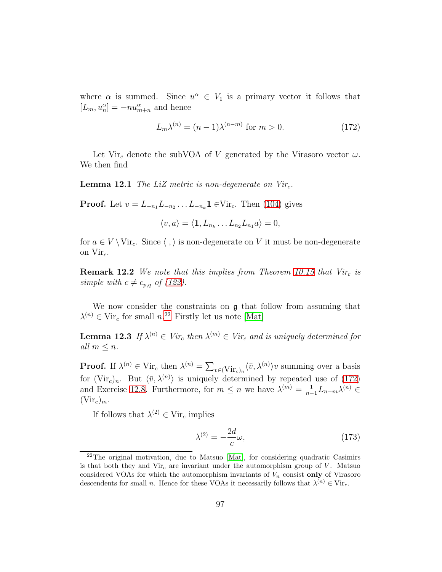where  $\alpha$  is summed. Since  $u^{\alpha} \in V_1$  is a primary vector it follows that  $[L_m, u_n^{\alpha}] = -nu_{m+n}^{\alpha}$  and hence

<span id="page-96-1"></span>
$$
L_m \lambda^{(n)} = (n-1)\lambda^{(n-m)} \text{ for } m > 0.
$$
 (172)

Let Vir<sub>c</sub> denote the subVOA of V generated by the Virasoro vector  $\omega$ . We then find

**Lemma 12.1** The LiZ metric is non-degenerate on  $Vir_c$ .

**Proof.** Let  $v = L_{-n_1} L_{-n_2} ... L_{-n_k} \mathbf{1}$  ∈Vir<sub>c</sub>. Then [\(104\)](#page-71-1) gives

$$
\langle v, a \rangle = \langle \mathbf{1}, L_{n_k} \dots L_{n_2} L_{n_1} a \rangle = 0,
$$

<span id="page-96-2"></span>for  $a \in V \setminus \text{Vir}_c$ . Since  $\langle , \rangle$  is non-degenerate on V it must be non-degenerate on  $Vir_c$ .

**Remark 12.2** We note that this implies from Theorem [10.15](#page-74-3) that  $Vir_c$  is simple with  $c \neq c_{p,q}$  of [\(122\)](#page-75-2).

We now consider the constraints on  $\mathfrak g$  that follow from assuming that  $\lambda^{(n)} \in \text{Vir}_c$  for small  $n^{22}$  $n^{22}$  $n^{22}$  Firstly let us note [\[Mat\]](#page-115-2)

**Lemma 12.3** If  $\lambda^{(n)} \in Vir_c$  then  $\lambda^{(m)} \in Vir_c$  and is uniquely determined for all  $m \leq n$ .

**Proof.** If  $\lambda^{(n)} \in \text{Vir}_c$  then  $\lambda^{(n)} = \sum_{v \in (\text{Vir}_c)_n} \langle \bar{v}, \lambda^{(n)} \rangle v$  summing over a basis for  $(\text{Vir}_c)_n$ . But  $\langle \bar{v}, \lambda^{(n)} \rangle$  is uniquely determined by repeated use of [\(172\)](#page-96-1) and Exercise [12.8.](#page-101-1) Furthermore, for  $m \leq n$  we have  $\lambda^{(m)} = \frac{1}{n-1}$  $\frac{1}{n-1}L_{n-m}\lambda^{(n)}\in$  $(\mathrm{Vir}_c)_m.$ 

If follows that  $\lambda^{(2)} \in \text{Vir}_c$  implies

<span id="page-96-3"></span>
$$
\lambda^{(2)} = -\frac{2d}{c}\omega,\tag{173}
$$

<span id="page-96-0"></span> $2<sup>22</sup>$ The original motivation, due to Matsuo [\[Mat\]](#page-115-2), for considering quadratic Casimirs is that both they and  $Vir_c$  are invariant under the automorphism group of V. Matsuo considered VOAs for which the automorphism invariants of  $V_n$  consist only of Virasoro descendents for small *n*. Hence for these VOAs it necessarily follows that  $\lambda^{(n)} \in \text{Vir}_c$ .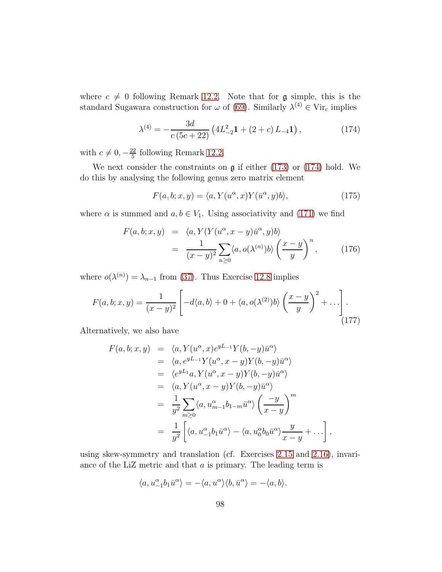where  $c \neq 0$  following Remark [12.2.](#page-96-2) Note that for g simple, this is the standard Sugawara construction for  $\omega$  of [\(69\)](#page-47-0). Similarly  $\lambda^{(4)} \in \text{Vir}_c$  implies

<span id="page-97-0"></span>
$$
\lambda^{(4)} = -\frac{3d}{c(5c+22)} \left( 4L_{-2}^2 \mathbf{1} + (2+c) L_{-4} \mathbf{1} \right),\tag{174}
$$

with  $c \neq 0, -\frac{22}{5}$  $\frac{22}{5}$  following Remark [12.2.](#page-96-2)

We next consider the constraints on  $\mathfrak g$  if either [\(173\)](#page-96-3) or [\(174\)](#page-97-0) hold. We do this by analysing the following genus zero matrix element

<span id="page-97-3"></span>
$$
F(a, b; x, y) = \langle a, Y(u^{\alpha}, x)Y(\bar{u}^{\alpha}, y)b \rangle,
$$
\n(175)

where  $\alpha$  is summed and  $a, b \in V_1$ . Using associativity and [\(171\)](#page-95-0) we find

<span id="page-97-2"></span>
$$
F(a, b; x, y) = \langle a, Y(Y(u^{\alpha}, x - y)\overline{u}^{\alpha}, y)b \rangle
$$
  
= 
$$
\frac{1}{(x - y)^2} \sum_{n \ge 0} \langle a, o(\lambda^{(n)})b \rangle \left(\frac{x - y}{y}\right)^n,
$$
 (176)

where  $o(\lambda^{(n)}) = \lambda_{n-1}$  from [\(37\)](#page-24-0). Thus Exercise [12.8](#page-101-1) implies

<span id="page-97-1"></span>
$$
F(a,b;x,y) = \frac{1}{(x-y)^2} \left[ -d\langle a,b\rangle + 0 + \langle a,o(\lambda^{(2)})b\rangle \left(\frac{x-y}{y}\right)^2 + \ldots \right].
$$
\n(177)

Alternatively, we also have

$$
F(a, b; x, y) = \langle a, Y(u^{\alpha}, x)e^{yL_{-1}}Y(b, -y)\bar{u}^{\alpha} \rangle
$$
  
\n
$$
= \langle a, e^{yL_{-1}}Y(u^{\alpha}, x - y)Y(b, -y)\bar{u}^{\alpha} \rangle
$$
  
\n
$$
= \langle e^{yL_{1}}a, Y(u^{\alpha}, x - y)Y(b, -y)\bar{u}^{\alpha} \rangle
$$
  
\n
$$
= \langle a, Y(u^{\alpha}, x - y)Y(b, -y)\bar{u}^{\alpha} \rangle
$$
  
\n
$$
= \frac{1}{y^{2}} \sum_{m \geq 0} \langle a, u_{m-1}^{\alpha}b_{1-m}\bar{u}^{\alpha} \rangle \left(\frac{-y}{x - y}\right)^{m}
$$
  
\n
$$
= \frac{1}{y^{2}} \left[ \langle a, u_{-1}^{\alpha}b_{1}\bar{u}^{\alpha} \rangle - \langle a, u_{0}^{\alpha}b_{0}\bar{u}^{\alpha} \rangle \frac{y}{x - y} + \dots \right],
$$

using skew-symmetry and translation (cf. Exercises [2.15](#page-10-0) and [2.16\)](#page-10-1), invariance of the LiZ metric and that a is primary. The leading term is

$$
\langle a, u_{-1}^\alpha b_1 \bar u^\alpha \rangle = - \langle a, u^\alpha \rangle \langle b, \bar u^\alpha \rangle = - \langle a,b \rangle.
$$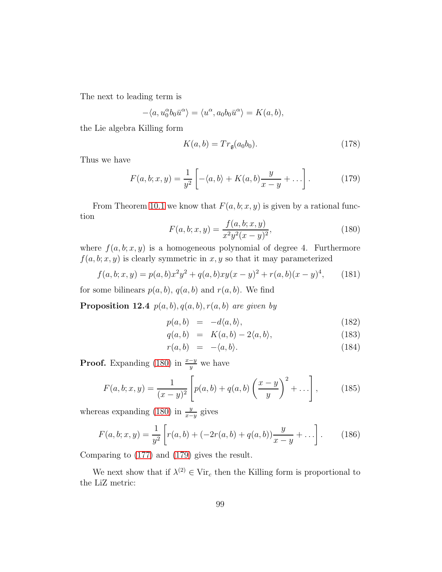The next to leading term is

$$
-\langle a, u_0^{\alpha}b_0\bar{u}^{\alpha}\rangle = \langle u^{\alpha}, a_0b_0\bar{u}^{\alpha}\rangle = K(a, b),
$$

the Lie algebra Killing form

$$
K(a,b) = Tr_{\mathfrak{g}}(a_0b_0). \tag{178}
$$

Thus we have

<span id="page-98-1"></span>
$$
F(a,b;x,y) = \frac{1}{y^2} \left[ -\langle a,b \rangle + K(a,b) \frac{y}{x-y} + \dots \right].
$$
 (179)

From Theorem [10.1](#page-67-0) we know that  $F(a, b; x, y)$  is given by a rational function

<span id="page-98-0"></span>
$$
F(a, b; x, y) = \frac{f(a, b; x, y)}{x^2 y^2 (x - y)^2},
$$
\n(180)

where  $f(a, b; x, y)$  is a homogeneous polynomial of degree 4. Furthermore  $f(a, b; x, y)$  is clearly symmetric in x, y so that it may parameterized

$$
f(a, b; x, y) = p(a, b)x^{2}y^{2} + q(a, b)xy(x - y)^{2} + r(a, b)(x - y)^{4},
$$
 (181)

for some bilinears  $p(a, b)$ ,  $q(a, b)$  and  $r(a, b)$ . We find

**Proposition 12.4**  $p(a, b), q(a, b), r(a, b)$  are given by

$$
p(a,b) = -d\langle a,b\rangle, \tag{182}
$$

$$
q(a,b) = K(a,b) - 2\langle a,b \rangle, \tag{183}
$$

$$
r(a,b) = -\langle a,b \rangle. \tag{184}
$$

**Proof.** Expanding [\(180\)](#page-98-0) in  $\frac{x-y}{y}$  we have

<span id="page-98-2"></span>
$$
F(a, b; x, y) = \frac{1}{(x - y)^2} \left[ p(a, b) + q(a, b) \left( \frac{x - y}{y} \right)^2 + \dots \right],
$$
 (185)

whereas expanding [\(180\)](#page-98-0) in  $\frac{y}{x-y}$  gives

$$
F(a, b; x, y) = \frac{1}{y^2} \left[ r(a, b) + (-2r(a, b) + q(a, b)) \frac{y}{x - y} + \dots \right].
$$
 (186)

Comparing to [\(177\)](#page-97-1) and [\(179\)](#page-98-1) gives the result.

We next show that if  $\lambda^{(2)} \in \text{Vir}_c$  then the Killing form is proportional to the LiZ metric: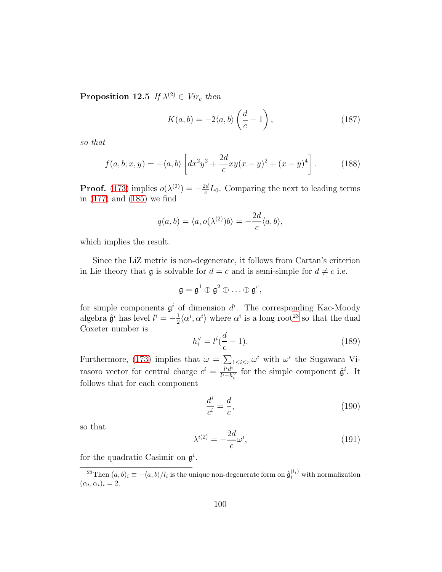**Proposition 12.5** If  $\lambda^{(2)} \in Vir_c$  then

$$
K(a,b) = -2\langle a,b\rangle \left(\frac{d}{c} - 1\right),\tag{187}
$$

so that

<span id="page-99-2"></span>
$$
f(a, b; x, y) = -\langle a, b \rangle \left[ dx^2 y^2 + \frac{2d}{c} xy(x - y)^2 + (x - y)^4 \right].
$$
 (188)

**Proof.** [\(173\)](#page-96-3) implies  $o(\lambda^{(2)}) = -\frac{2d}{c}$  $\frac{da}{c}L_0$ . Comparing the next to leading terms in [\(177\)](#page-97-1) and [\(185\)](#page-98-2) we find

$$
q(a,b) = \langle a, o(\lambda^{(2)})b \rangle = -\frac{2d}{c} \langle a, b \rangle,
$$

which implies the result.

Since the LiZ metric is non-degenerate, it follows from Cartan's criterion in Lie theory that **g** is solvable for  $d = c$  and is semi-simple for  $d \neq c$  i.e.

$$
\mathfrak{g}=\mathfrak{g}^1\oplus\mathfrak{g}^2\oplus\ldots\oplus\mathfrak{g}^r,
$$

for simple components  $\mathfrak{g}^i$  of dimension  $d^i$ . The corresponding Kac-Moody algebra  $\hat{\mathfrak{g}}^i$  has level  $l^i = -\frac{1}{2}$  $\frac{1}{2}\langle \alpha^i, \alpha^i \rangle$  where  $\alpha^i$  is a long root<sup>[23](#page-99-0)</sup> so that the dual Coxeter number is

<span id="page-99-3"></span>
$$
h_i^{\vee} = l^i(\frac{d}{c} - 1).
$$
 (189)

Furthermore, [\(173\)](#page-96-3) implies that  $\omega = \sum_{i,j} 1 \leq i \leq r} \omega^i$  with  $\omega^i$  the Sugawara Virasoro vector for central charge  $c^i = \frac{l^i d^i}{l^i + h^i}$  $\frac{l^i d^i}{l^i+h_i^{\vee}}$  for the simple component  $\hat{\mathfrak{g}}^i$ . It follows that for each component

$$
\frac{d^i}{c^i} = \frac{d}{c},\tag{190}
$$

so that

<span id="page-99-1"></span>
$$
\lambda^{i(2)} = -\frac{2d}{c}\omega^i,\tag{191}
$$

for the quadratic Casimir on  $\mathfrak{g}^i$ .

<span id="page-99-0"></span><sup>&</sup>lt;sup>23</sup>Then  $(a, b)_i \equiv -\langle a, b \rangle / l_i$  is the unique non-degenerate form on  $\hat{\mathfrak{g}}_i^{(l_i)}$  with normalization  $(\alpha_i, \alpha_i)_i = 2.$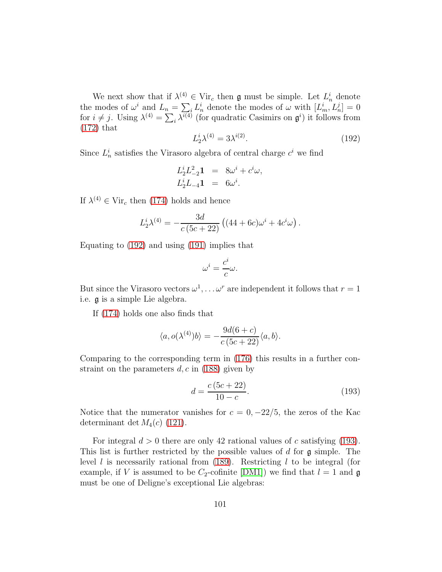We next show that if  $\lambda^{(4)} \in \text{Vir}_c$  then g must be simple. Let  $L_n^i$  denote the modes of  $\omega^i$  and  $L_n = \sum_i L_n^i$  denote the modes of  $\omega$  with  $[L_m^i, L_n^j] = 0$ for  $i \neq j$ . Using  $\lambda^{(4)} = \sum_i \lambda^{i(4)}$  (for quadratic Casimirs on  $\mathfrak{g}^i$ ) it follows from [\(172\)](#page-96-1) that

<span id="page-100-0"></span>
$$
L_2^i \lambda^{(4)} = 3\lambda^{i(2)}.\tag{192}
$$

Since  $L_n^i$  satisfies the Virasoro algebra of central charge  $c^i$  we find

$$
L_2^i L_{-2}^2 \mathbf{1} = 8\omega^i + c^i \omega,
$$
  
\n
$$
L_2^i L_{-4} \mathbf{1} = 6\omega^i.
$$

If  $\lambda^{(4)} \in \text{Vir}_c$  then [\(174\)](#page-97-0) holds and hence

$$
L_2^i \lambda^{(4)} = -\frac{3d}{c(5c+22)} ((44+6c)\omega^i + 4c^i \omega).
$$

Equating to [\(192\)](#page-100-0) and using [\(191\)](#page-99-1) implies that

$$
\omega^i = \frac{c^i}{c}\omega.
$$

But since the Virasoro vectors  $\omega^1, \ldots \omega^r$  are independent it follows that  $r = 1$ i.e. g is a simple Lie algebra.

If [\(174\)](#page-97-0) holds one also finds that

$$
\langle a, o(\lambda^{(4)})b \rangle = -\frac{9d(6+c)}{c(5c+22)} \langle a, b \rangle.
$$

Comparing to the corresponding term in [\(176\)](#page-97-2) this results in a further constraint on the parameters  $d, c$  in [\(188\)](#page-99-2) given by

<span id="page-100-1"></span>
$$
d = \frac{c(5c + 22)}{10 - c}.
$$
\n(193)

Notice that the numerator vanishes for  $c = 0, -22/5$ , the zeros of the Kac determinant det  $M_4(c)$  [\(121\)](#page-75-3).

<span id="page-100-2"></span>For integral  $d > 0$  there are only 42 rational values of c satisfying [\(193\)](#page-100-1). This list is further restricted by the possible values of  $d$  for  $\mathfrak g$  simple. The level l is necessarily rational from  $(189)$ . Restricting l to be integral (for example, if V is assumed to be  $C_2$ -cofinite [\[DM1\]](#page-112-1)) we find that  $l = 1$  and  $\mathfrak g$ must be one of Deligne's exceptional Lie algebras: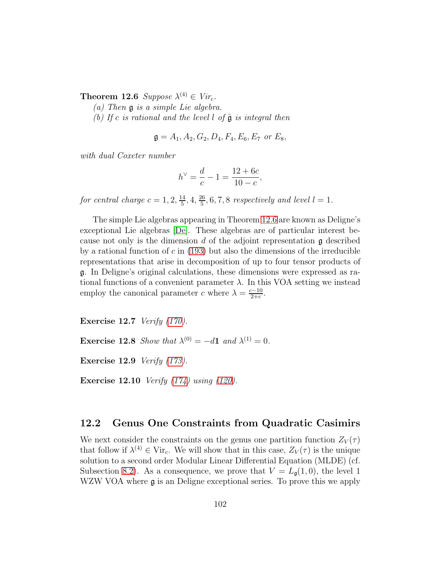**Theorem 12.6** Suppose  $\lambda^{(4)} \in Vir_c$ .

(a) Then g is a simple Lie algebra.

(b) If c is rational and the level l of  $\hat{\mathfrak{g}}$  is integral then

$$
\mathfrak{g} = A_1, A_2, G_2, D_4, F_4, E_6, E_7 \text{ or } E_8,
$$

with dual Coxeter number

$$
h^{\vee} = \frac{d}{c} - 1 = \frac{12 + 6c}{10 - c},
$$

for central charge  $c = 1, 2, \frac{14}{5}$  $\frac{14}{5}$ , 4,  $\frac{26}{5}$  $\frac{26}{5}$ , 6, 7, 8 respectively and level  $l = 1$ .

The simple Lie algebras appearing in Theorem [12.6](#page-100-2) are known as Deligne's exceptional Lie algebras [\[De\]](#page-112-0). These algebras are of particular interest because not only is the dimension d of the adjoint representation  $\mathfrak g$  described by a rational function of c in  $(193)$  but also the dimensions of the irreducible representations that arise in decomposition of up to four tensor products of g. In Deligne's original calculations, these dimensions were expressed as rational functions of a convenient parameter  $\lambda$ . In this VOA setting we instead employ the canonical parameter c where  $\lambda = \frac{c-10}{2+c}$ .

<span id="page-101-0"></span>Exercise 12.7 Verify [\(170\)](#page-95-1).

<span id="page-101-1"></span>**Exercise 12.8** Show that  $\lambda^{(0)} = -d\mathbf{1}$  and  $\lambda^{(1)} = 0$ .

Exercise 12.9 Verify [\(173\)](#page-96-3).

**Exercise 12.10** Verify  $(174)$  using  $(120)$ .

#### 12.2 Genus One Constraints from Quadratic Casimirs

We next consider the constraints on the genus one partition function  $Z_V(\tau)$ that follow if  $\lambda^{(4)} \in \text{Vir}_c$ . We will show that in this case,  $Z_V(\tau)$  is the unique solution to a second order Modular Linear Differential Equation (MLDE) (cf. Subsection [8.2\)](#page-56-1). As a consequence, we prove that  $V = L_{\mathfrak{g}}(1,0)$ , the level 1 WZW VOA where  $\mathfrak g$  is an Deligne exceptional series. To prove this we apply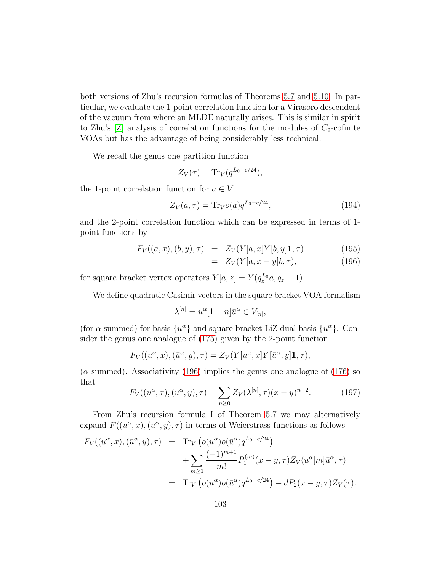both versions of Zhu's recursion formulas of Theorems [5.7](#page-34-0) and [5.10.](#page-35-0) In particular, we evaluate the 1-point correlation function for a Virasoro descendent of the vacuum from where an MLDE naturally arises. This is similar in spirit to Zhu's  $[Z]$  analysis of correlation functions for the modules of  $C_2$ -cofinite VOAs but has the advantage of being considerably less technical.

We recall the genus one partition function

$$
Z_V(\tau) = \text{Tr}_V(q^{L_0 - c/24}),
$$

the 1-point correlation function for  $a \in V$ 

$$
Z_V(a,\tau) = \text{Tr}_V o(a) q^{L_0 - c/24},\tag{194}
$$

and the 2-point correlation function which can be expressed in terms of 1 point functions by

<span id="page-102-0"></span>
$$
F_V((a, x), (b, y), \tau) = Z_V(Y[a, x]Y[b, y]\mathbf{1}, \tau) \tag{195}
$$

$$
= Z_V(Y[a, x-y]b, \tau), \qquad (196)
$$

for square bracket vertex operators  $Y[a, z] = Y(q_z^{L_0}a, q_z - 1)$ .

We define quadratic Casimir vectors in the square bracket VOA formalism

$$
\lambda^{[n]} = u^{\alpha} [1 - n] \bar{u}^{\alpha} \in V_{[n]},
$$

(for  $\alpha$  summed) for basis  $\{u^{\alpha}\}\$  and square bracket LiZ dual basis  $\{\bar{u}^{\alpha}\}\$ . Consider the genus one analogue of [\(175\)](#page-97-3) given by the 2-point function

$$
F_V((u^{\alpha}, x), (\bar{u}^{\alpha}, y), \tau) = Z_V(Y[u^{\alpha}, x]Y[\bar{u}^{\alpha}, y]\mathbf{1}, \tau),
$$

 $(\alpha \text{ summed})$ . Associativity [\(196\)](#page-102-0) implies the genus one analogue of [\(176\)](#page-97-2) so that

<span id="page-102-1"></span>
$$
F_V((u^{\alpha}, x), (\bar{u}^{\alpha}, y), \tau) = \sum_{n \ge 0} Z_V(\lambda^{[n]}, \tau)(x - y)^{n-2}.
$$
 (197)

From Zhu's recursion formula I of Theorem [5.7](#page-34-0) we may alternatively expand  $F((u^{\alpha}, x), (\bar{u}^{\alpha}, y), \tau)$  in terms of Weierstrass functions as follows

$$
F_V((u^{\alpha}, x), (\bar{u}^{\alpha}, y), \tau) = \text{Tr}_V (o(u^{\alpha})o(\bar{u}^{\alpha})q^{L_0 - c/24})
$$
  
+ 
$$
\sum_{m \geq 1} \frac{(-1)^{m+1}}{m!} P_1^{(m)}(x - y, \tau) Z_V(u^{\alpha}[m] \bar{u}^{\alpha}, \tau)
$$
  
= 
$$
\text{Tr}_V (o(u^{\alpha})o(\bar{u}^{\alpha})q^{L_0 - c/24}) - dP_2(x - y, \tau) Z_V(\tau).
$$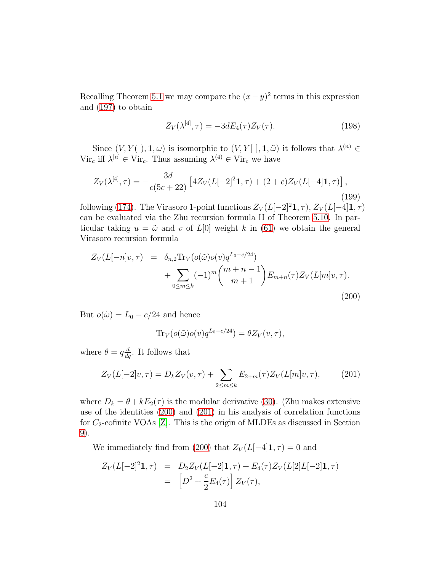Recalling Theorem [5.1](#page-30-0) we may compare the  $(x - y)^2$  terms in this expression and [\(197\)](#page-102-1) to obtain

$$
Z_V(\lambda^{[4]}, \tau) = -3dE_4(\tau)Z_V(\tau). \tag{198}
$$

Since  $(V, Y(.), \mathbf{1}, \omega)$  is isomorphic to  $(V, Y[ ], \mathbf{1}, \tilde{\omega})$  it follows that  $\lambda^{(n)} \in \mathbb{R}$ Vir<sub>c</sub> iff  $\lambda^{[n]} \in \text{Vir}_c$ . Thus assuming  $\lambda^{(4)} \in \text{Vir}_c$  we have

<span id="page-103-2"></span>
$$
Z_V(\lambda^{[4]}, \tau) = -\frac{3d}{c(5c+22)} \left[ 4Z_V(L[-2]^2 \mathbf{1}, \tau) + (2+c)Z_V(L[-4]\mathbf{1}, \tau) \right],\tag{199}
$$

following [\(174\)](#page-97-0). The Virasoro 1-point functions  $Z_V(L[-2]^2 \mathbf{1}, \tau)$ ,  $Z_V(L[-4] \mathbf{1}, \tau)$ can be evaluated via the Zhu recursion formula II of Theorem [5.10.](#page-35-0) In particular taking  $u = \tilde{\omega}$  and v of  $L[0]$  weight k in [\(61\)](#page-35-1) we obtain the general Virasoro recursion formula

<span id="page-103-0"></span>
$$
Z_V(L[-n]v, \tau) = \delta_{n,2} \text{Tr}_V(o(\tilde{\omega})o(v)q^{L_0 - c/24}) + \sum_{0 \le m \le k} (-1)^m {m+n-1 \choose m+1} E_{m+n}(\tau) Z_V(L[m]v, \tau).
$$
\n(200)

But  $o(\tilde{\omega}) = L_0 - c/24$  and hence

$$
\text{Tr}_V(o(\tilde{\omega})o(v)q^{L_0-c/24}) = \theta Z_V(v,\tau),
$$

where  $\theta = q \frac{d}{dq}$ . It follows that

<span id="page-103-1"></span>
$$
Z_V(L[-2]v,\tau) = D_k Z_V(v,\tau) + \sum_{2 \le m \le k} E_{2+m}(\tau) Z_V(L[m]v,\tau), \qquad (201)
$$

where  $D_k = \theta + kE_2(\tau)$  is the modular derivative [\(30\)](#page-21-1). (Zhu makes extensive use of the identities [\(200\)](#page-103-0) and [\(201\)](#page-103-1) in his analysis of correlation functions for  $C_2$ -cofinite VOAs [\[Z\]](#page-117-1). This is the origin of MLDEs as discussed in Section [9\)](#page-58-0).

We immediately find from [\(200\)](#page-103-0) that  $Z_V(L[-4]1, \tau) = 0$  and

$$
Z_V(L[-2]^2 \mathbf{1}, \tau) = D_2 Z_V(L[-2] \mathbf{1}, \tau) + E_4(\tau) Z_V(L[2]L[-2] \mathbf{1}, \tau)
$$
  
= 
$$
\left[ D^2 + \frac{c}{2} E_4(\tau) \right] Z_V(\tau),
$$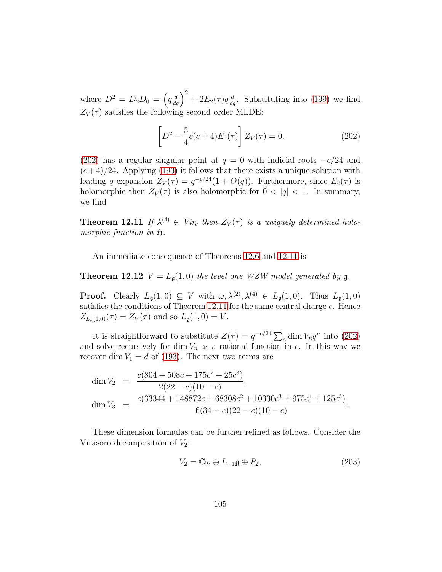where  $D^2 = D_2 D_0 = \left(q \frac{d}{dq}\right)^2 + 2E_2(\tau)q \frac{d}{dq}$ . Substituting into [\(199\)](#page-103-2) we find  $Z_V(\tau)$  satisfies the following second order MLDE:

<span id="page-104-0"></span>
$$
\[D^2 - \frac{5}{4}c(c+4)E_4(\tau)\]Z_V(\tau) = 0.\tag{202}
$$

[\(202\)](#page-104-0) has a regular singular point at  $q = 0$  with indicial roots  $-c/24$  and  $(c+4)/24$ . Applying [\(193\)](#page-100-1) it follows that there exists a unique solution with leading q expansion  $Z_V(\tau) = q^{-c/24}(1 + O(q))$ . Furthermore, since  $E_4(\tau)$  is holomorphic then  $Z_V(\tau)$  is also holomorphic for  $0 < |q| < 1$ . In summary, we find

<span id="page-104-1"></span>**Theorem 12.11** If  $\lambda^{(4)} \in Vir_c$  then  $Z_V(\tau)$  is a uniquely determined holomorphic function in  $\mathfrak{H}.$ 

<span id="page-104-2"></span>An immediate consequence of Theorems [12.6](#page-100-2) and [12.11](#page-104-1) is:

**Theorem 12.12**  $V = L<sub>\mathfrak{g}</sub>(1,0)$  the level one WZW model generated by  $\mathfrak{g}$ .

**Proof.** Clearly  $L_{\mathfrak{g}}(1,0) \subseteq V$  with  $\omega, \lambda^{(2)}, \lambda^{(4)} \in L_{\mathfrak{g}}(1,0)$ . Thus  $L_{\mathfrak{g}}(1,0)$ satisfies the conditions of Theorem [12.11](#page-104-1) for the same central charge c. Hence  $Z_{L_{\mathfrak{a}}(1,0)}(\tau) = Z_V(\tau)$  and so  $L_{\mathfrak{g}}(1,0) = V$ .

It is straightforward to substitute  $Z(\tau) = q^{-c/24} \sum_n \dim V_n q^n$  into [\(202\)](#page-104-0) and solve recursively for dim  $V_n$  as a rational function in c. In this way we recover dim  $V_1 = d$  of [\(193\)](#page-100-1). The next two terms are

$$
\dim V_2 = \frac{c(804 + 508c + 175c^2 + 25c^3)}{2(22 - c)(10 - c)},
$$
  
\n
$$
\dim V_3 = \frac{c(33344 + 148872c + 68308c^2 + 10330c^3 + 975c^4 + 125c^5)}{6(34 - c)(22 - c)(10 - c)}.
$$

These dimension formulas can be further refined as follows. Consider the Virasoro decomposition of  $V_2$ :

$$
V_2 = \mathbb{C}\omega \oplus L_{-1}\mathfrak{g} \oplus P_2, \tag{203}
$$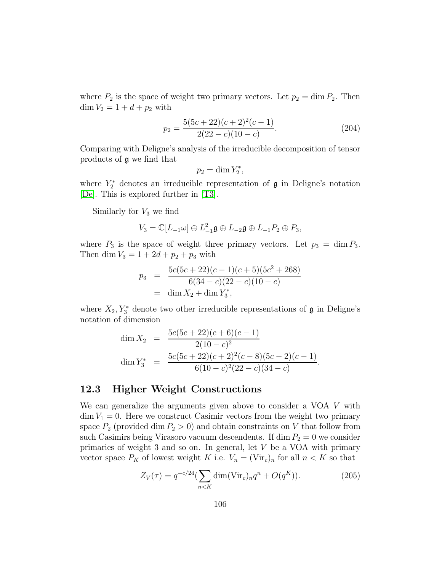where  $P_2$  is the space of weight two primary vectors. Let  $p_2 = \dim P_2$ . Then  $\dim V_2 = 1 + d + p_2$  with

$$
p_2 = \frac{5(5c+22)(c+2)^2(c-1)}{2(22-c)(10-c)}.
$$
\n(204)

Comparing with Deligne's analysis of the irreducible decomposition of tensor products of g we find that

$$
p_2 = \dim Y_2^*,
$$

where  $Y_2^*$  denotes an irreducible representation of  $\mathfrak g$  in Deligne's notation [\[De\]](#page-112-0). This is explored further in [\[T3\]](#page-116-9).

Similarly for  $V_3$  we find

$$
V_3 = \mathbb{C}[L_{-1}\omega] \oplus L_{-1}^2 \mathfrak{g} \oplus L_{-2}\mathfrak{g} \oplus L_{-1}P_2 \oplus P_3,
$$

where  $P_3$  is the space of weight three primary vectors. Let  $p_3 = \dim P_3$ . Then dim  $V_3 = 1 + 2d + p_2 + p_3$  with

$$
p_3 = \frac{5c(5c+22)(c-1)(c+5)(5c^2+268)}{6(34-c)(22-c)(10-c)}
$$
  
= dim X<sub>2</sub> + dim Y<sub>3</sub><sup>\*</sup>,

where  $X_2, Y_3^*$  denote two other irreducible representations of  $\mathfrak g$  in Deligne's notation of dimension

$$
\dim X_2 = \frac{5c(5c+22)(c+6)(c-1)}{2(10-c)^2}
$$
  
\n
$$
\dim Y_3^* = \frac{5c(5c+22)(c+2)^2(c-8)(5c-2)(c-1)}{6(10-c)^2(22-c)(34-c)}.
$$

#### 12.3 Higher Weight Constructions

We can generalize the arguments given above to consider a VOA V with  $\dim V_1 = 0$ . Here we construct Casimir vectors from the weight two primary space  $P_2$  (provided dim  $P_2 > 0$ ) and obtain constraints on V that follow from such Casimirs being Virasoro vacuum descendents. If dim  $P_2 = 0$  we consider primaries of weight 3 and so on. In general, let V be a VOA with primary vector space  $P_K$  of lowest weight K i.e.  $V_n = (\text{Vir}_c)_n$  for all  $n < K$  so that

<span id="page-105-0"></span>
$$
Z_V(\tau) = q^{-c/24} \left(\sum_{n < K} \dim(\text{Vir}_c)_n q^n + O(q^K)\right). \tag{205}
$$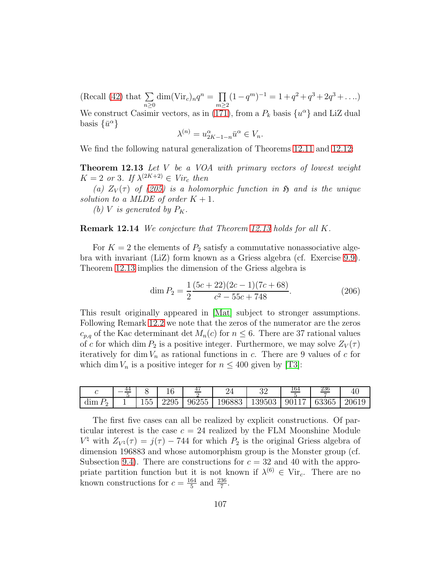(Recall [\(42\)](#page-26-1) that  $\Sigma$  $n\geq 0$  $\dim(\mathrm{Vir}_c)_n q^n = \prod$  $m\geq 2$  $(1-q^m)^{-1} = 1 + q^2 + q^3 + 2q^3 + \dots$ We construct Casimir vectors, as in [\(171\)](#page-95-0), from a  $P_k$  basis  $\{u^{\alpha}\}\$  and LiZ dual basis  $\{\bar{u}^{\alpha}\}\$ 

$$
\lambda^{(n)} = u_{2K-1-n}^{\alpha} \bar{u}^{\alpha} \in V_n.
$$

<span id="page-106-0"></span>We find the following natural generalization of Theorems [12.11](#page-104-1) and [12.12:](#page-104-2)

Theorem 12.13 Let V be a VOA with primary vectors of lowest weight  $K = 2$  or 3. If  $\lambda^{(2K+2)} \in Vir_c$  then

(a)  $Z_V(\tau)$  of [\(205\)](#page-105-0) is a holomorphic function in  $\mathfrak H$  and is the unique solution to a MLDE of order  $K + 1$ .

(b) V is generated by  $P_K$ .

**Remark 12.14** We conjecture that Theorem [12.13](#page-106-0) holds for all K.

For  $K = 2$  the elements of  $P_2$  satisfy a commutative nonassociative algebra with invariant (LiZ) form known as a Griess algebra (cf. Exercise [9.9\)](#page-65-1). Theorem [12.13](#page-106-0) implies the dimension of the Griess algebra is

$$
\dim P_2 = \frac{1}{2} \frac{(5c+22)(2c-1)(7c+68)}{c^2 - 55c + 748}.
$$
\n(206)

This result originally appeared in [\[Mat\]](#page-115-2) subject to stronger assumptions. Following Remark [12.2](#page-96-2) we note that the zeros of the numerator are the zeros  $c_{p,q}$  of the Kac determinant det  $M_n(c)$  for  $n \leq 6$ . There are 37 rational values of c for which dim  $P_2$  is a positive integer. Furthermore, we may solve  $Z_V(\tau)$ iteratively for dim  $V_n$  as rational functions in c. There are 9 values of c for which dim  $V_n$  is a positive integer for  $n \leq 400$  given by [\[T3\]](#page-116-9):

|           | 44 |                        | $\sim$ | 41    |        | ◡▵     | <u>164</u> | 236   |       |
|-----------|----|------------------------|--------|-------|--------|--------|------------|-------|-------|
| $dim_{1}$ |    | ---<br>. hh<br>$100 -$ | 2295   | 96255 | 196883 | 139503 | 90117      | 63365 | 20619 |

The first five cases can all be realized by explicit constructions. Of particular interest is the case  $c = 24$  realized by the FLM Moonshine Module  $V^{\natural}$  with  $Z_{V^{\natural}}(\tau) = j(\tau) - 744$  for which  $P_2$  is the original Griess algebra of dimension 196883 and whose automorphism group is the Monster group (cf. Subsection [9.4\)](#page-62-0). There are constructions for  $c = 32$  and 40 with the appropriate partition function but it is not known if  $\lambda^{(6)} \in \text{Vir}_c$ . There are no known constructions for  $c = \frac{164}{5}$  $\frac{64}{5}$  and  $\frac{236}{7}$ .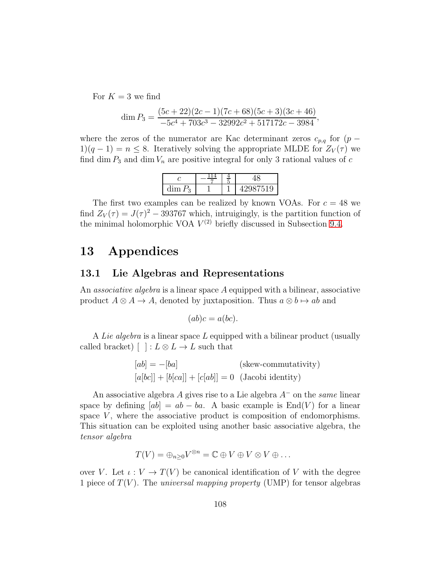For  $K = 3$  we find

$$
\dim P_3 = \frac{(5c+22)(2c-1)(7c+68)(5c+3)(3c+46)}{-5c^4 + 703c^3 - 32992c^2 + 517172c - 3984},
$$

where the zeros of the numerator are Kac determinant zeros  $c_{p,q}$  for  $(p 1(q-1) = n \leq 8$ . Iteratively solving the appropriate MLDE for  $Z_V(\tau)$  we find dim  $P_3$  and dim  $V_n$  are positive integral for only 3 rational values of c

| dım<br>-----<br>ω |  | ıэ |
|-------------------|--|----|

The first two examples can be realized by known VOAs. For  $c = 48$  we find  $Z_V(\tau) = J(\tau)^2 - 393767$  which, intruigingly, is the partition function of the minimal holomorphic VOA  $V^{(2)}$  briefly discussed in Subsection [9.4.](#page-62-0)

### 13 Appendices

#### 13.1 Lie Algebras and Representations

An *associative algebra* is a linear space A equipped with a bilinear, associative product  $A \otimes A \rightarrow A$ , denoted by juxtaposition. Thus  $a \otimes b \mapsto ab$  and

$$
(ab)c = a(bc).
$$

A Lie algebra is a linear space L equipped with a bilinear product (usually called bracket)  $[ \ ]: L \otimes L \to L$  such that

$$
[ab] = -[ba]
$$
 (skew-commutativity)  

$$
[a[bc]] + [b[ca]] + [c[ab]] = 0
$$
 (Jacobi identity)

An associative algebra A gives rise to a Lie algebra  $A^-$  on the same linear space by defining  $[ab] = ab - ba$ . A basic example is  $\text{End}(V)$  for a linear space  $V$ , where the associative product is composition of endomorphisms. This situation can be exploited using another basic associative algebra, the tensor algebra

$$
T(V) = \bigoplus_{n \geq 0} V^{\otimes n} = \mathbb{C} \oplus V \oplus V \otimes V \oplus \ldots
$$

over V. Let  $\iota: V \to T(V)$  be canonical identification of V with the degree 1 piece of  $T(V)$ . The *universal mapping property* (UMP) for tensor algebras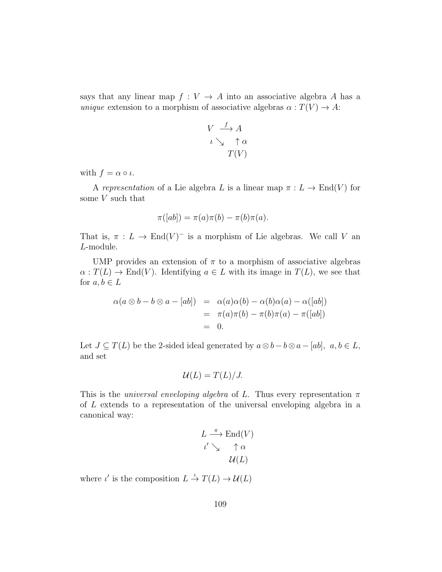says that any linear map  $f: V \to A$  into an associative algebra A has a unique extension to a morphism of associative algebras  $\alpha : T(V) \to A$ :

$$
V \xrightarrow{f} A
$$
  

$$
\iota \searrow \uparrow \alpha
$$
  

$$
T(V)
$$

with  $f = \alpha \circ \iota$ .

A representation of a Lie algebra L is a linear map  $\pi : L \to \text{End}(V)$  for some  $V$  such that

$$
\pi([ab]) = \pi(a)\pi(b) - \pi(b)\pi(a).
$$

That is,  $\pi : L \to \text{End}(V)^-$  is a morphism of Lie algebras. We call V an L-module.

UMP provides an extension of  $\pi$  to a morphism of associative algebras  $\alpha: T(L) \to End(V)$ . Identifying  $a \in L$  with its image in  $T(L)$ , we see that for  $a, b \in L$ 

$$
\alpha(a \otimes b - b \otimes a - [ab]) = \alpha(a)\alpha(b) - \alpha(b)\alpha(a) - \alpha([ab])
$$
  
=  $\pi(a)\pi(b) - \pi(b)\pi(a) - \pi([ab])$   
= 0.

Let  $J \subseteq T(L)$  be the 2-sided ideal generated by  $a \otimes b - b \otimes a - [ab], a, b \in L$ , and set

$$
\mathcal{U}(L)=T(L)/J.
$$

This is the *universal enveloping algebra* of L. Thus every representation  $\pi$ of L extends to a representation of the universal enveloping algebra in a canonical way:

$$
L \xrightarrow{\pi} \text{End}(V)
$$
  

$$
\iota' \searrow \uparrow \alpha
$$
  

$$
\mathcal{U}(L)
$$

where  $\iota'$  is the composition  $L \stackrel{\iota}{\to} T(L) \to \mathcal{U}(L)$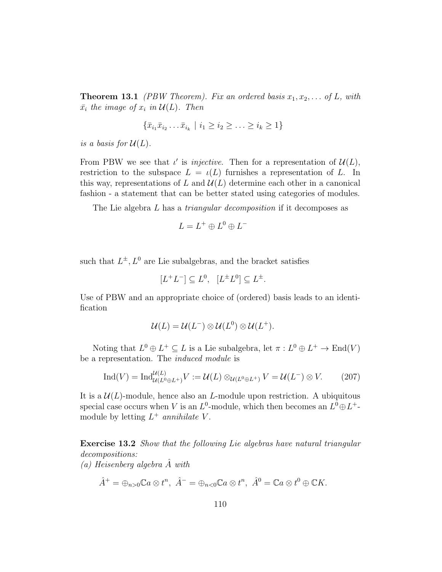**Theorem 13.1** (PBW Theorem). Fix an ordered basis  $x_1, x_2, \ldots$  of L, with  $\bar{x_i}$  the image of  $x_i$  in  $\mathcal{U}(L)$ . Then

$$
\{\bar{x}_{i_1}\bar{x}_{i_2}\dots\bar{x}_{i_k} \mid i_1 \ge i_2 \ge \dots \ge i_k \ge 1\}
$$

is a basis for  $\mathcal{U}(L)$ .

From PBW we see that  $\iota'$  is *injective*. Then for a representation of  $\mathcal{U}(L)$ , restriction to the subspace  $L = \iota(L)$  furnishes a representation of L. In this way, representations of L and  $\mathcal{U}(L)$  determine each other in a canonical fashion - a statement that can be better stated using categories of modules.

The Lie algebra L has a *triangular decomposition* if it decomposes as

$$
L = L^+ \oplus L^0 \oplus L^-
$$

such that  $L^{\pm}$ ,  $L^0$  are Lie subalgebras, and the bracket satisfies

$$
[L^+L^-] \subseteq L^0, \ \ [L^{\pm}L^0] \subseteq L^{\pm}.
$$

Use of PBW and an appropriate choice of (ordered) basis leads to an identification

$$
\mathcal{U}(L) = \mathcal{U}(L^-) \otimes \mathcal{U}(L^0) \otimes \mathcal{U}(L^+).
$$

Noting that  $L^0 \oplus L^+ \subseteq L$  is a Lie subalgebra, let  $\pi : L^0 \oplus L^+ \to \text{End}(V)$ be a representation. The induced module is

$$
\operatorname{Ind}(V) = \operatorname{Ind}_{\mathcal{U}(L^0 \oplus L^+)}^{\mathcal{U}(L)} V := \mathcal{U}(L) \otimes_{\mathcal{U}(L^0 \oplus L^+)} V = \mathcal{U}(L^-) \otimes V. \tag{207}
$$

It is a  $\mathcal{U}(L)$ -module, hence also an L-module upon restriction. A ubiquitous special case occurs when V is an  $L^0$ -module, which then becomes an  $L^0 \oplus L^+$ module by letting  $L^+$  annihilate V.

Exercise 13.2 Show that the following Lie algebras have natural triangular decompositions:

(a) Heisenberg algebra  $\hat{A}$  with

$$
\hat{A}^+ = \oplus_{n>0} \mathbb{C}a \otimes t^n, \ \hat{A}^- = \oplus_{n<0} \mathbb{C}a \otimes t^n, \ \hat{A}^0 = \mathbb{C}a \otimes t^0 \oplus \mathbb{C}K.
$$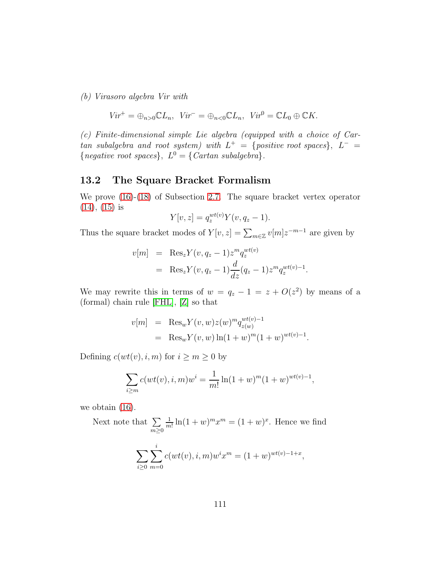(b) Virasoro algebra Vir with

$$
Vir^+ = \oplus_{n>0} \mathbb{C} L_n, \ \ Vir^- = \oplus_{n<0} \mathbb{C} L_n, \ \ Vir^0 = \mathbb{C} L_0 \oplus \mathbb{C} K.
$$

(c) Finite-dimensional simple Lie algebra (equipped with a choice of Cartan subalgebra and root system) with  $L^+ = \{positive\ root\ spaces\}, \ L^- =$ {negative root spaces},  $L^0 = \{ Cartan subalgebra\}.$ 

## 13.2 The Square Bracket Formalism

We prove [\(16\)](#page-16-0)-[\(18\)](#page-16-1) of Subsection [2.7.](#page-15-0) The square bracket vertex operator  $(14)$ ,  $(15)$  is

$$
Y[v, z] = q_z^{wt(v)} Y(v, q_z - 1).
$$

Thus the square bracket modes of  $Y[v, z] = \sum_{m \in \mathbb{Z}} v[m] z^{-m-1}$  are given by

$$
v[m] = \text{Res}_{z} Y(v, q_z - 1) z^{m} q_z^{wt(v)}
$$
  
= 
$$
\text{Res}_{z} Y(v, q_z - 1) \frac{d}{dz} (q_z - 1) z^{m} q_z^{wt(v)-1}.
$$

We may rewrite this in terms of  $w = q_z - 1 = z + O(z^2)$  by means of a (formal) chain rule [\[FHL\]](#page-113-0), [\[Z\]](#page-117-0) so that

$$
v[m] = \text{Res}_{w} Y(v, w) z(w)^{m} q_{z(w)}^{wt(v)-1}
$$
  
= Res\_{w} Y(v, w) \ln(1 + w)^{m} (1 + w)^{wt(v)-1}.

Defining  $c(wt(v), i, m)$  for  $i \ge m \ge 0$  by

$$
\sum_{i \ge m} c(wt(v), i, m)w^{i} = \frac{1}{m!} \ln(1+w)^{m} (1+w)^{wt(v)-1},
$$

we obtain [\(16\)](#page-16-0).

Next note that  $\Sigma$  $m \geq 0$ 1  $\frac{1}{m!} \ln(1+w)^m x^m = (1+w)^x$ . Hence we find  $\sum$  $i \geq 0$  $\sum$ i  $m=0$  $c(wt(v), i, m)w^{i}x^{m} = (1+w)^{wt(v)-1+x},$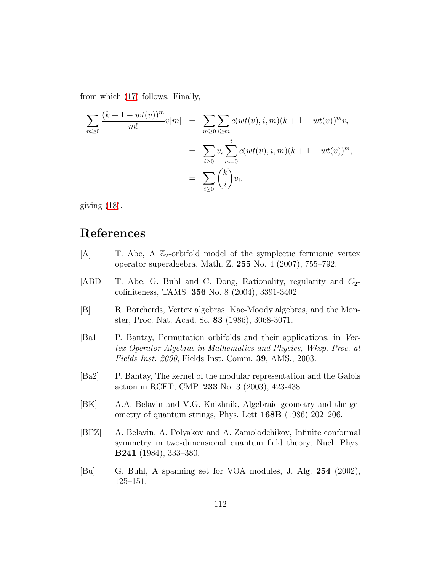from which [\(17\)](#page-16-3) follows. Finally,

$$
\sum_{m\geq 0} \frac{(k+1-wt(v))^m}{m!} v[m] = \sum_{m\geq 0} \sum_{i\geq m} c(wt(v), i, m)(k+1-wt(v))^m v_i
$$
  

$$
= \sum_{i\geq 0} v_i \sum_{m=0}^i c(wt(v), i, m)(k+1-wt(v))^m,
$$
  

$$
= \sum_{i\geq 0} {k \choose i} v_i.
$$

giving [\(18\)](#page-16-1).

## References

- [A] T. Abe, A  $\mathbb{Z}_2$ -orbifold model of the symplectic fermionic vertex operator superalgebra, Math. Z. 255 No. 4 (2007), 755–792.
- [ABD] T. Abe, G. Buhl and C. Dong, Rationality, regularity and  $C_2$ cofiniteness, TAMS. 356 No. 8 (2004), 3391-3402.
- [B] R. Borcherds, Vertex algebras, Kac-Moody algebras, and the Monster, Proc. Nat. Acad. Sc. 83 (1986), 3068-3071.
- [Ba1] P. Bantay, Permutation orbifolds and their applications, in Vertex Operator Algebras in Mathematics and Physics, Wksp. Proc. at Fields Inst. 2000, Fields Inst. Comm. 39, AMS., 2003.
- [Ba2] P. Bantay, The kernel of the modular representation and the Galois action in RCFT, CMP. 233 No. 3 (2003), 423-438.
- [BK] A.A. Belavin and V.G. Knizhnik, Algebraic geometry and the geometry of quantum strings, Phys. Lett 168B (1986) 202–206.
- [BPZ] A. Belavin, A. Polyakov and A. Zamolodchikov, Infinite conformal symmetry in two-dimensional quantum field theory, Nucl. Phys. B241 (1984), 333–380.
- [Bu] G. Buhl, A spanning set for VOA modules, J. Alg. 254 (2002), 125–151.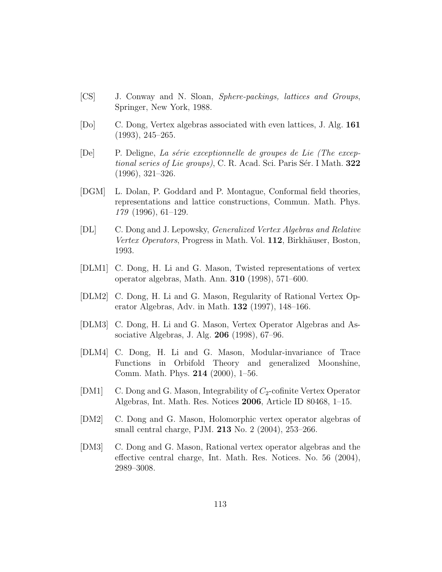- [CS] J. Conway and N. Sloan, Sphere-packings, lattices and Groups, Springer, New York, 1988.
- [Do] C. Dong, Vertex algebras associated with even lattices, J. Alg. 161 (1993), 245–265.
- $[De]$  P. Deligne, La série exceptionnelle de groupes de Lie (The exceptional series of Lie groups), C. R. Acad. Sci. Paris Sér. I Math.  $322$ (1996), 321–326.
- [DGM] L. Dolan, P. Goddard and P. Montague, Conformal field theories, representations and lattice constructions, Commun. Math. Phys. 179 (1996), 61–129.
- [DL] C. Dong and J. Lepowsky, Generalized Vertex Algebras and Relative Vertex Operators, Progress in Math. Vol. 112, Birkhäuser, Boston, 1993.
- [DLM1] C. Dong, H. Li and G. Mason, Twisted representations of vertex operator algebras, Math. Ann. 310 (1998), 571–600.
- [DLM2] C. Dong, H. Li and G. Mason, Regularity of Rational Vertex Operator Algebras, Adv. in Math. 132 (1997), 148–166.
- [DLM3] C. Dong, H. Li and G. Mason, Vertex Operator Algebras and Associative Algebras, J. Alg. 206 (1998), 67–96.
- [DLM4] C. Dong, H. Li and G. Mason, Modular-invariance of Trace Functions in Orbifold Theory and generalized Moonshine, Comm. Math. Phys. 214 (2000), 1–56.
- [DM1] C. Dong and G. Mason, Integrability of  $C_2$ -cofinite Vertex Operator Algebras, Int. Math. Res. Notices 2006, Article ID 80468, 1–15.
- [DM2] C. Dong and G. Mason, Holomorphic vertex operator algebras of small central charge, PJM. 213 No. 2 (2004), 253–266.
- [DM3] C. Dong and G. Mason, Rational vertex operator algebras and the effective central charge, Int. Math. Res. Notices. No. 56 (2004), 2989–3008.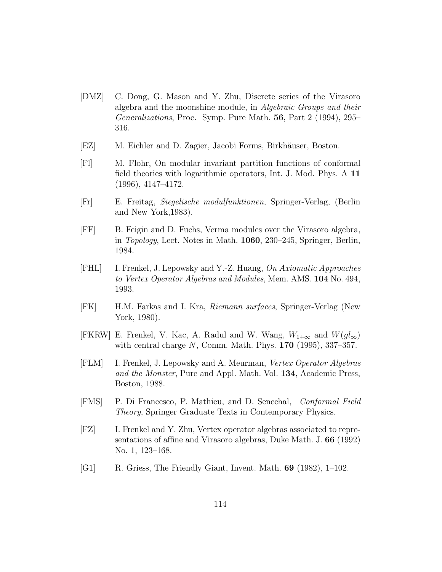- [DMZ] C. Dong, G. Mason and Y. Zhu, Discrete series of the Virasoro algebra and the moonshine module, in Algebraic Groups and their Generalizations, Proc. Symp. Pure Math. 56, Part 2 (1994), 295– 316.
- [EZ] M. Eichler and D. Zagier, Jacobi Forms, Birkhäuser, Boston.
- [Fl] M. Flohr, On modular invariant partition functions of conformal field theories with logarithmic operators, Int. J. Mod. Phys. A 11 (1996), 4147–4172.
- [Fr] E. Freitag, Siegelische modulfunktionen, Springer-Verlag, (Berlin and New York,1983).
- [FF] B. Feigin and D. Fuchs, Verma modules over the Virasoro algebra, in Topology, Lect. Notes in Math. 1060, 230–245, Springer, Berlin, 1984.
- <span id="page-113-0"></span>[FHL] I. Frenkel, J. Lepowsky and Y.-Z. Huang, On Axiomatic Approaches to Vertex Operator Algebras and Modules, Mem. AMS. 104 No. 494, 1993.
- [FK] H.M. Farkas and I. Kra, Riemann surfaces, Springer-Verlag (New York, 1980).
- [FKRW] E. Frenkel, V. Kac, A. Radul and W. Wang,  $W_{1+\infty}$  and  $W(gl_{\infty})$ with central charge  $N$ , Comm. Math. Phys. **170** (1995), 337–357.
- [FLM] I. Frenkel, J. Lepowsky and A. Meurman, Vertex Operator Algebras and the Monster, Pure and Appl. Math. Vol. 134, Academic Press, Boston, 1988.
- [FMS] P. Di Francesco, P. Mathieu, and D. Senechal, Conformal Field Theory, Springer Graduate Texts in Contemporary Physics.
- [FZ] I. Frenkel and Y. Zhu, Vertex operator algebras associated to representations of affine and Virasoro algebras, Duke Math. J. 66 (1992) No. 1, 123–168.
- [G1] R. Griess, The Friendly Giant, Invent. Math. 69 (1982), 1–102.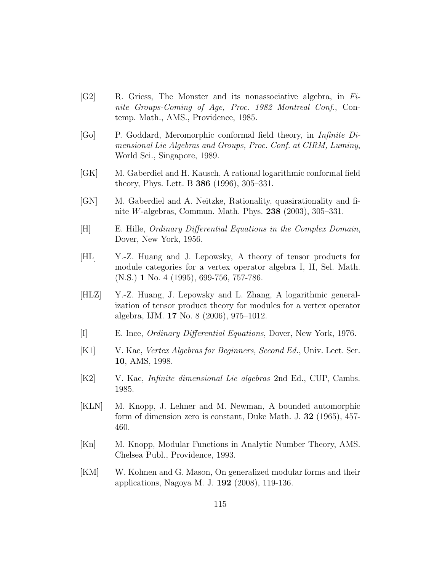- [G2] R. Griess, The Monster and its nonassociative algebra, in Finite Groups-Coming of Age, Proc. 1982 Montreal Conf., Contemp. Math., AMS., Providence, 1985.
- [Go] P. Goddard, Meromorphic conformal field theory, in Infinite Dimensional Lie Algebras and Groups, Proc. Conf. at CIRM, Luminy, World Sci., Singapore, 1989.
- [GK] M. Gaberdiel and H. Kausch, A rational logarithmic conformal field theory, Phys. Lett. B 386 (1996), 305–331.
- [GN] M. Gaberdiel and A. Neitzke, Rationality, quasirationality and finite *W*-algebras, Commun. Math. Phys. **238** (2003), 305–331.
- [H] E. Hille, Ordinary Differential Equations in the Complex Domain, Dover, New York, 1956.
- [HL] Y.-Z. Huang and J. Lepowsky, A theory of tensor products for module categories for a vertex operator algebra I, II, Sel. Math. (N.S.) 1 No. 4 (1995), 699-756, 757-786.
- [HLZ] Y.-Z. Huang, J. Lepowsky and L. Zhang, A logarithmic generalization of tensor product theory for modules for a vertex operator algebra, IJM. 17 No. 8 (2006), 975–1012.
- [I] E. Ince, Ordinary Differential Equations, Dover, New York, 1976.
- [K1] V. Kac, Vertex Algebras for Beginners, Second Ed., Univ. Lect. Ser. 10, AMS, 1998.
- [K2] V. Kac, Infinite dimensional Lie algebras 2nd Ed., CUP, Cambs. 1985.
- [KLN] M. Knopp, J. Lehner and M. Newman, A bounded automorphic form of dimension zero is constant, Duke Math. J. 32 (1965), 457- 460.
- [Kn] M. Knopp, Modular Functions in Analytic Number Theory, AMS. Chelsea Publ., Providence, 1993.
- [KM] W. Kohnen and G. Mason, On generalized modular forms and their applications, Nagoya M. J. 192 (2008), 119-136.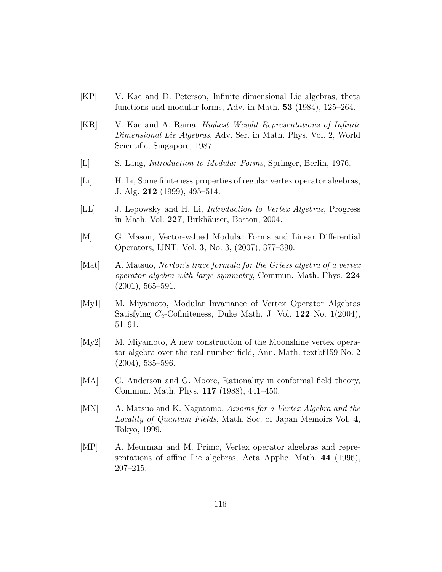- [KP] V. Kac and D. Peterson, Infinite dimensional Lie algebras, theta functions and modular forms, Adv. in Math. 53 (1984), 125–264.
- [KR] V. Kac and A. Raina, Highest Weight Representations of Infinite Dimensional Lie Algebras, Adv. Ser. in Math. Phys. Vol. 2, World Scientific, Singapore, 1987.
- [L] S. Lang, Introduction to Modular Forms, Springer, Berlin, 1976.
- [Li] H. Li, Some finiteness properties of regular vertex operator algebras, J. Alg. 212 (1999), 495–514.
- [LL] J. Lepowsky and H. Li, Introduction to Vertex Algebras, Progress in Math. Vol. 227, Birkhäuser, Boston, 2004.
- [M] G. Mason, Vector-valued Modular Forms and Linear Differential Operators, IJNT. Vol. 3, No. 3, (2007), 377–390.
- [Mat] A. Matsuo, Norton's trace formula for the Griess algebra of a vertex operator algebra with large symmetry, Commun. Math. Phys. 224  $(2001), 565 - 591.$
- [My1] M. Miyamoto, Modular Invariance of Vertex Operator Algebras Satisfying  $C_2$ -Cofiniteness, Duke Math. J. Vol. 122 No. 1(2004), 51–91.
- [My2] M. Miyamoto, A new construction of the Moonshine vertex operator algebra over the real number field, Ann. Math. textbf159 No. 2  $(2004), 535 - 596.$
- [MA] G. Anderson and G. Moore, Rationality in conformal field theory, Commun. Math. Phys. 117 (1988), 441–450.
- [MN] A. Matsuo and K. Nagatomo, Axioms for a Vertex Algebra and the Locality of Quantum Fields, Math. Soc. of Japan Memoirs Vol. 4, Tokyo, 1999.
- [MP] A. Meurman and M. Primc, Vertex operator algebras and representations of affine Lie algebras, Acta Applic. Math. 44 (1996), 207–215.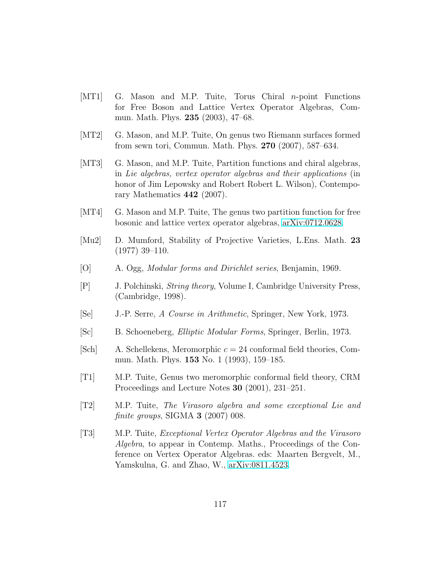- [MT1] G. Mason and M.P. Tuite, Torus Chiral n-point Functions for Free Boson and Lattice Vertex Operator Algebras, Commun. Math. Phys. 235 (2003), 47–68.
- [MT2] G. Mason, and M.P. Tuite, On genus two Riemann surfaces formed from sewn tori, Commun. Math. Phys. 270 (2007), 587–634.
- [MT3] G. Mason, and M.P. Tuite, Partition functions and chiral algebras, in Lie algebras, vertex operator algebras and their applications (in honor of Jim Lepowsky and Robert Robert L. Wilson), Contemporary Mathematics 442 (2007).
- [MT4] G. Mason and M.P. Tuite, The genus two partition function for free bosonic and lattice vertex operator algebras, [arXiv:0712.0628.](http://arxiv.org/abs/0712.0628)
- [Mu2] D. Mumford, Stability of Projective Varieties, L.Ens. Math. 23 (1977) 39–110.
- [O] A. Ogg, Modular forms and Dirichlet series, Benjamin, 1969.
- [P] J. Polchinski, String theory, Volume I, Cambridge University Press, (Cambridge, 1998).
- [Se] J.-P. Serre, A Course in Arithmetic, Springer, New York, 1973.
- [Sc] B. Schoeneberg, Elliptic Modular Forms, Springer, Berlin, 1973.
- [Sch] A. Schellekens, Meromorphic  $c = 24$  conformal field theories, Commun. Math. Phys. 153 No. 1 (1993), 159–185.
- [T1] M.P. Tuite, Genus two meromorphic conformal field theory, CRM Proceedings and Lecture Notes 30 (2001), 231–251.
- [T2] M.P. Tuite, The Virasoro algebra and some exceptional Lie and finite groups, SIGMA  $3$  (2007) 008.
- [T3] M.P. Tuite, Exceptional Vertex Operator Algebras and the Virasoro Algebra, to appear in Contemp. Maths., Proceedings of the Conference on Vertex Operator Algebras. eds: Maarten Bergvelt, M., Yamskulna, G. and Zhao, W., [arXiv:0811.4523.](http://arxiv.org/abs/0811.4523)